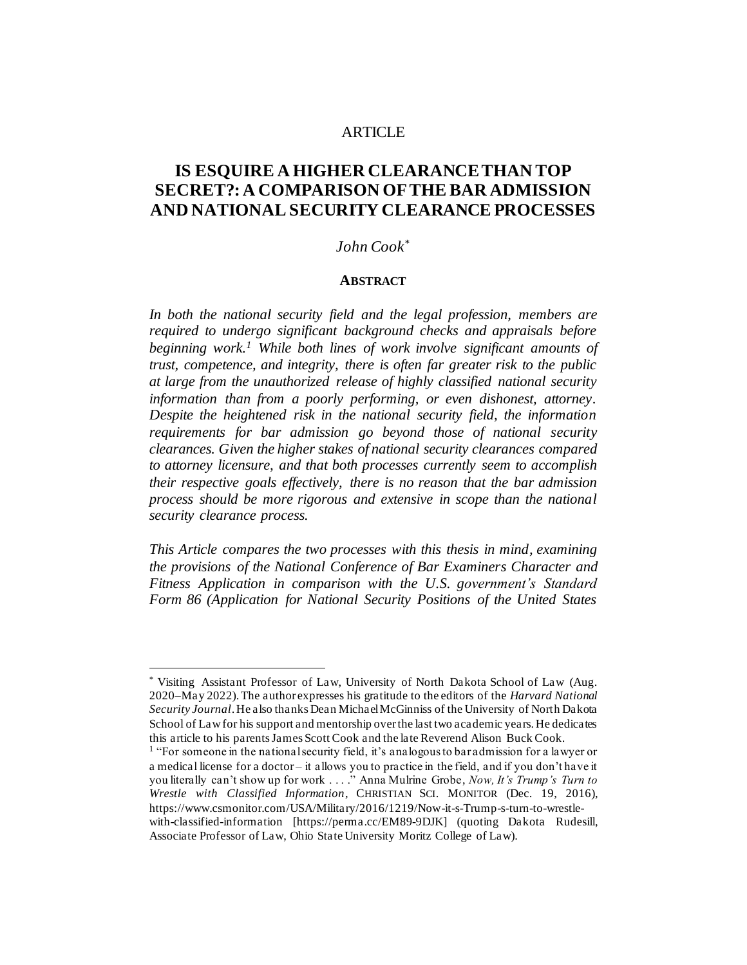### ARTICLE

# **IS ESQUIRE A HIGHER CLEARANCE THAN TOP SECRET?: A COMPARISON OF THE BAR ADMISSION AND NATIONAL SECURITY CLEARANCE PROCESSES**

### *John Cook*\*

#### **ABSTRACT**

*In both the national security field and the legal profession, members are required to undergo significant background checks and appraisals before beginning work.<sup>1</sup> While both lines of work involve significant amounts of trust, competence, and integrity, there is often far greater risk to the public at large from the unauthorized release of highly classified national security information than from a poorly performing, or even dishonest, attorney. Despite the heightened risk in the national security field, the information requirements for bar admission go beyond those of national security clearances. Given the higher stakes of national security clearances compared to attorney licensure, and that both processes currently seem to accomplish their respective goals effectively, there is no reason that the bar admission process should be more rigorous and extensive in scope than the national security clearance process.*

*This Article compares the two processes with this thesis in mind, examining the provisions of the National Conference of Bar Examiners Character and Fitness Application in comparison with the U.S. government's Standard Form 86 (Application for National Security Positions of the United States* 

<sup>\*</sup> Visiting Assistant Professor of Law, University of North Dakota School of Law (Aug. 2020–May 2022). The author expresses his gratitude to the editors of the *Harvard National Security Journal*. He also thanks Dean Michael McGinniss of the University of North Dakota School of Law for his support and mentorship over the last two academic years. He dedicates this article to his parents James Scott Cook and the late Reverend Alison Buck Cook.

<sup>&</sup>lt;sup>1</sup> "For someone in the national security field, it's analogous to baradmission for a lawyer or a medical license for a doctor – it allows you to practice in the field, and if you don't have it you literally can't show up for work . . . ." Anna Mulrine Grobe, *Now, It's Trump's Turn to Wrestle with Classified Information*, CHRISTIAN SCI. MONITOR (Dec. 19, 2016), https://www.csmonitor.com/USA/Military/2016/1219/Now-it-s-Trump-s-turn-to-wrestlewith-classified-information [https://perma.cc/EM89-9DJK] (quoting Dakota Rudesill, Associate Professor of Law, Ohio State University Moritz College of Law).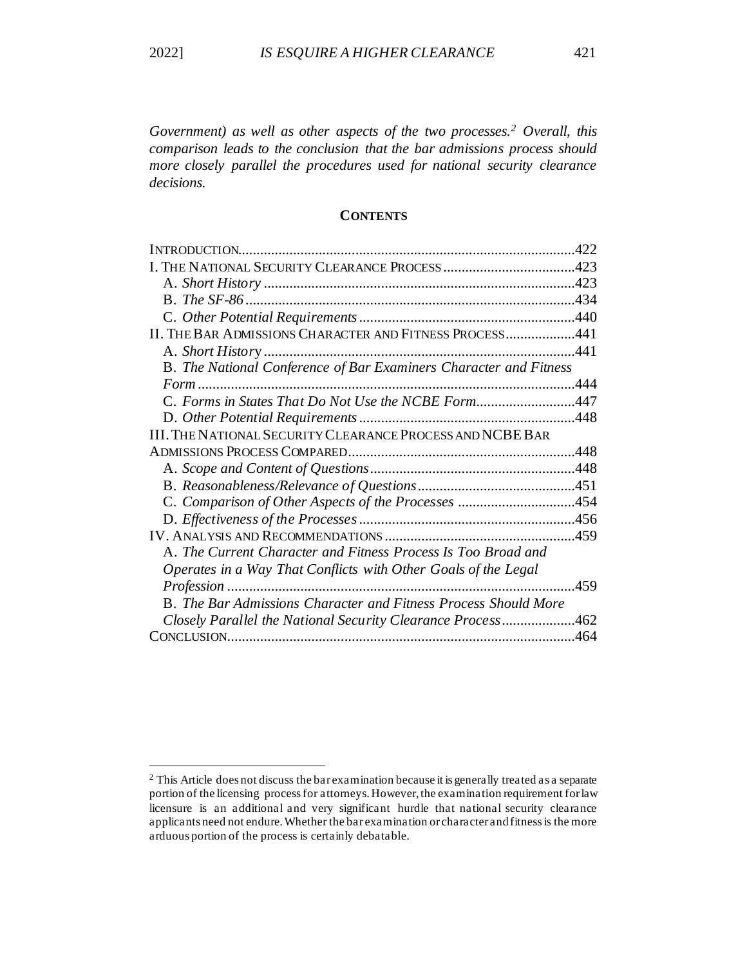*Government) as well as other aspects of the two processes.<sup>2</sup> Overall, this comparison leads to the conclusion that the bar admissions process should more closely parallel the procedures used for national security clearance decisions.*

# **CONTENTS**

| 422                                                         |
|-------------------------------------------------------------|
|                                                             |
|                                                             |
|                                                             |
|                                                             |
| II. THE BAR ADMISSIONS CHARACTER AND FITNESS PROCESS441     |
|                                                             |
|                                                             |
|                                                             |
| C. Forms in States That Do Not Use the NCBE Form447         |
|                                                             |
|                                                             |
|                                                             |
|                                                             |
|                                                             |
|                                                             |
|                                                             |
|                                                             |
|                                                             |
|                                                             |
| .459                                                        |
|                                                             |
| Closely Parallel the National Security Clearance Process462 |
|                                                             |
|                                                             |

<sup>&</sup>lt;sup>2</sup> This Article does not discuss the bar examination because it is generally treated as a separate portion of the licensing process for attorneys. However, the examination requirement for law licensure is an additional and very significant hurdle that national security clearance applicants need not endure. Whether the bar examination or character and fitness is the more arduous portion of the process is certainly debatable.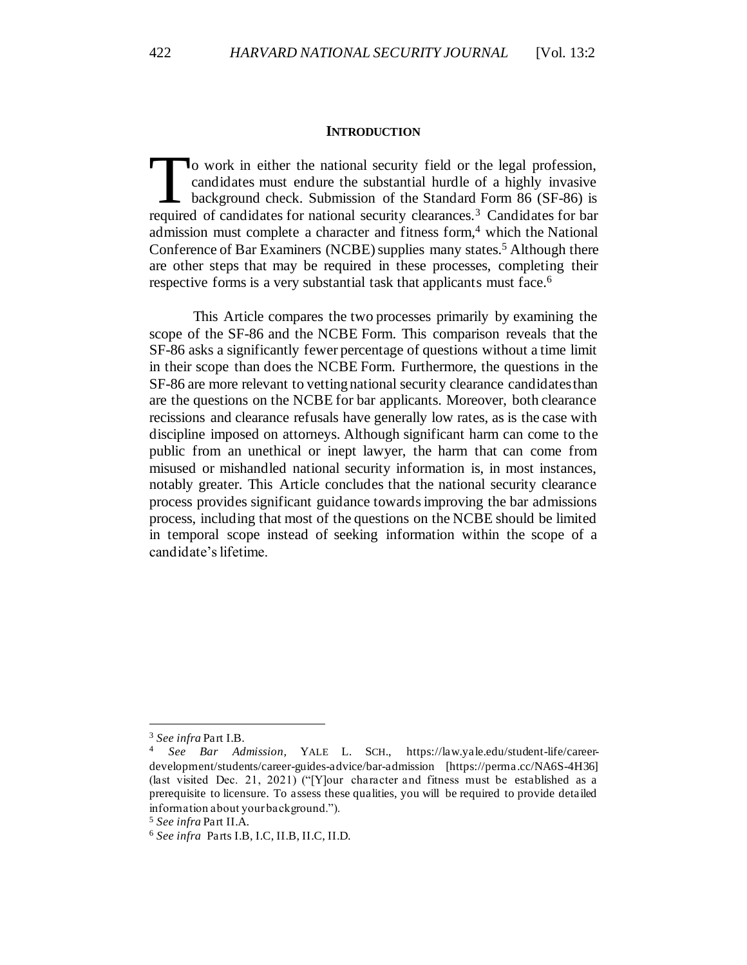#### **INTRODUCTION**

o work in either the national security field or the legal profession, candidates must endure the substantial hurdle of a highly invasive background check. Submission of the Standard Form 86 (SF-86) is To work in either the national security field or the legal profession, candidates must endure the substantial hurdle of a highly invasive background check. Submission of the Standard Form 86 (SF-86) is required of candidat admission must complete a character and fitness form, <sup>4</sup> which the National Conference of Bar Examiners (NCBE) supplies many states.<sup>5</sup> Although there are other steps that may be required in these processes, completing their respective forms is a very substantial task that applicants must face.<sup>6</sup>

This Article compares the two processes primarily by examining the scope of the SF-86 and the NCBE Form. This comparison reveals that the SF-86 asks a significantly fewer percentage of questions without a time limit in their scope than does the NCBE Form. Furthermore, the questions in the SF-86 are more relevant to vetting national security clearance candidates than are the questions on the NCBE for bar applicants. Moreover, both clearance recissions and clearance refusals have generally low rates, as is the case with discipline imposed on attorneys. Although significant harm can come to the public from an unethical or inept lawyer, the harm that can come from misused or mishandled national security information is, in most instances, notably greater. This Article concludes that the national security clearance process provides significant guidance towards improving the bar admissions process, including that most of the questions on the NCBE should be limited in temporal scope instead of seeking information within the scope of a candidate's lifetime.

<sup>3</sup> *See infra* Part I.B.

<sup>4</sup> *See Bar Admission,* YALE L. SCH., https://law.yale.edu/student-life/careerdevelopment/students/career-guides-advice/bar-admission [https://perma.cc/NA6S-4H36] (last visited Dec. 21, 2021) ("[Y]our character and fitness must be established as a prerequisite to licensure. To assess these qualities, you will be required to provide detailed information about your background.").

<sup>5</sup> *See infra* Part II.A.

<sup>6</sup> *See infra* Parts I.B, I.C, II.B, II.C, II.D.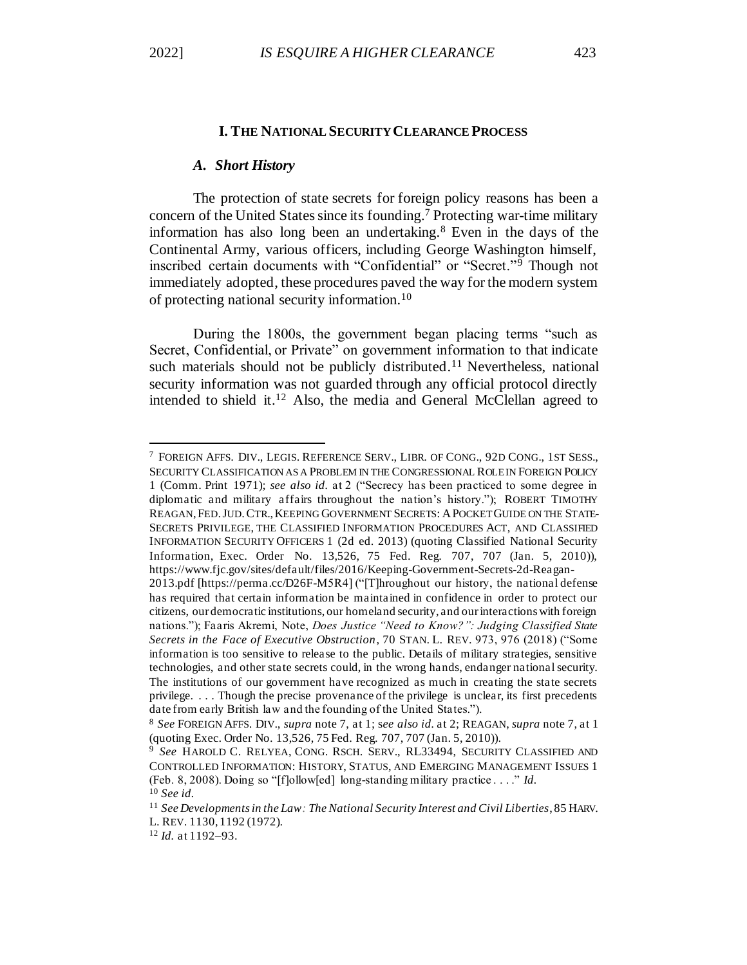#### **I. THE NATIONAL SECURITY CLEARANCE PROCESS**

#### *A. Short History*

The protection of state secrets for foreign policy reasons has been a concern of the United States since its founding.<sup>7</sup> Protecting war-time military information has also long been an undertaking.<sup>8</sup> Even in the days of the Continental Army, various officers, including George Washington himself, inscribed certain documents with "Confidential" or "Secret."<sup>9</sup> Though not immediately adopted, these procedures paved the way for the modern system of protecting national security information.<sup>10</sup>

During the 1800s, the government began placing terms "such as Secret, Confidential, or Private" on government information to that indicate such materials should not be publicly distributed.<sup>11</sup> Nevertheless, national security information was not guarded through any official protocol directly intended to shield it.<sup>12</sup> Also, the media and General McClellan agreed to

<sup>7</sup> FOREIGN AFFS. DIV., LEGIS. REFERENCE SERV., LIBR. OF CONG., 92D CONG., 1ST SESS., SECURITY CLASSIFICATION AS A PROBLEM IN THE CONGRESSIONAL ROLE IN FOREIGN POLICY 1 (Comm. Print 1971); *see also id.* at 2 ("Secrecy has been practiced to some degree in diplomatic and military affairs throughout the nation's history."); ROBERT TIMOTHY REAGAN,FED.JUD.CTR.,KEEPING GOVERNMENT SECRETS: APOCKET GUIDE ON THE STATE-SECRETS PRIVILEGE, THE CLASSIFIED INFORMATION PROCEDURES ACT, AND CLASSIFIED INFORMATION SECURITY OFFICERS 1 (2d ed. 2013) (quoting Classified National Security Information, Exec. Order No. 13,526, 75 Fed. Reg. 707, 707 (Jan. 5, 2010)), https://www.fjc.gov/sites/default/files/2016/Keeping-Government-Secrets-2d-Reagan-

<sup>2013.</sup>pdf [https://perma.cc/D26F-M5R4] ("[T]hroughout our history, the national defense has required that certain information be maintained in confidence in order to protect our citizens, our democratic institutions, our homeland security, and our interactions with foreign nations."); Faaris Akremi, Note, *Does Justice "Need to Know?": Judging Classified State Secrets in the Face of Executive Obstruction*, 70 STAN. L. REV. 973, 976 (2018) ("Some information is too sensitive to release to the public. Details of military strategies, sensitive technologies, and other state secrets could, in the wrong hands, endanger national security. The institutions of our government have recognized as much in creating the state secrets privilege. . . . Though the precise provenance of the privilege is unclear, its first precedents date from early British law and the founding of the United States.").

<sup>8</sup> *See* FOREIGN AFFS. DIV., *supra* note 7, at 1; s*ee also id.* at 2; REAGAN, *supra* note 7, at 1 (quoting Exec. Order No. 13,526, 75 Fed. Reg. 707, 707 (Jan. 5, 2010)).

<sup>9</sup> *See* HAROLD C. RELYEA, CONG. RSCH. SERV., RL33494, SECURITY CLASSIFIED AND CONTROLLED INFORMATION: HISTORY, STATUS, AND EMERGING MANAGEMENT ISSUES 1 (Feb. 8, 2008). Doing so "[f]ollow[ed] long-standing military practice . . . ." *Id.* <sup>10</sup> *See id.*

<sup>11</sup> *See Developments in the Law: The National Security Interest and Civil Liberties*, 85 HARV. L. REV. 1130, 1192 (1972).

<sup>12</sup> *Id.* at 1192–93.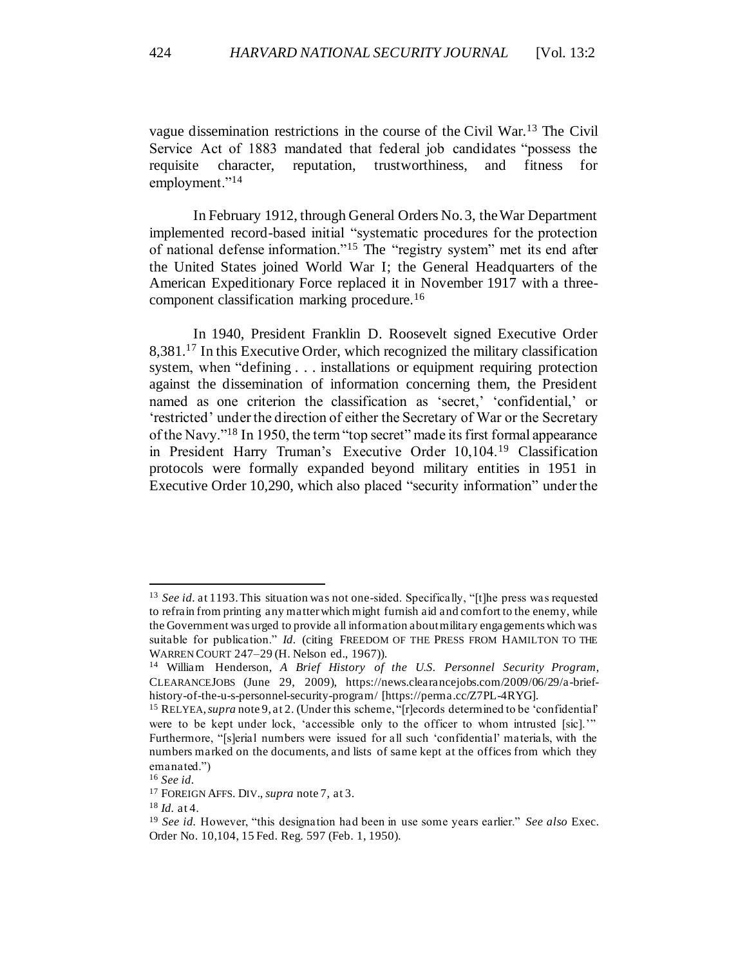vague dissemination restrictions in the course of the Civil War.<sup>13</sup> The Civil Service Act of 1883 mandated that federal job candidates "possess the requisite character, reputation, trustworthiness, and fitness for employment."<sup>14</sup>

In February 1912, through General Orders No. 3, the War Department implemented record-based initial "systematic procedures for the protection of national defense information."<sup>15</sup> The "registry system" met its end after the United States joined World War I; the General Headquarters of the American Expeditionary Force replaced it in November 1917 with a threecomponent classification marking procedure.<sup>16</sup>

In 1940, President Franklin D. Roosevelt signed Executive Order 8,381.<sup>17</sup> In this Executive Order, which recognized the military classification system, when "defining . . . installations or equipment requiring protection against the dissemination of information concerning them, the President named as one criterion the classification as 'secret,' 'confidential,' or 'restricted' under the direction of either the Secretary of War or the Secretary of the Navy."<sup>18</sup> In 1950, the term "top secret" made its first formal appearance in President Harry Truman's Executive Order 10,104.<sup>19</sup> Classification protocols were formally expanded beyond military entities in 1951 in Executive Order 10,290, which also placed "security information" under the

<sup>13</sup> *See id.* at 1193. This situation was not one-sided. Specifically, "[t]he press was requested to refrain from printing any matter which might furnish aid and comfort to the enemy, while the Government was urged to provide all information about military engagements which was suitable for publication." *Id.* (citing FREEDOM OF THE PRESS FROM HAMILTON TO THE WARREN COURT 247–29 (H. Nelson ed., 1967)).

<sup>14</sup> William Henderson, *A Brief History of the U.S. Personnel Security Program*, CLEARANCEJOBS (June 29, 2009), https://news.clearancejobs.com/2009/06/29/a-briefhistory-of-the-u-s-personnel-security-program/ [https://perma.cc/Z7PL-4RYG].

<sup>&</sup>lt;sup>15</sup> RELYEA, *supra* note 9, at 2. (Under this scheme, "[r]ecords determined to be 'confidential' were to be kept under lock, 'accessible only to the officer to whom intrusted [sic]." Furthermore, "[s]erial numbers were issued for all such 'confidential' materials, with the numbers marked on the documents, and lists of same kept at the offices from which they emanated.")

<sup>16</sup> *See id.*

<sup>17</sup> FOREIGN AFFS. DIV., *supra* note 7, at 3.

<sup>18</sup> *Id.* at 4.

<sup>19</sup> *See id.* However, "this designation had been in use some years earlier." *See also* Exec. Order No. 10,104, 15 Fed. Reg. 597 (Feb. 1, 1950).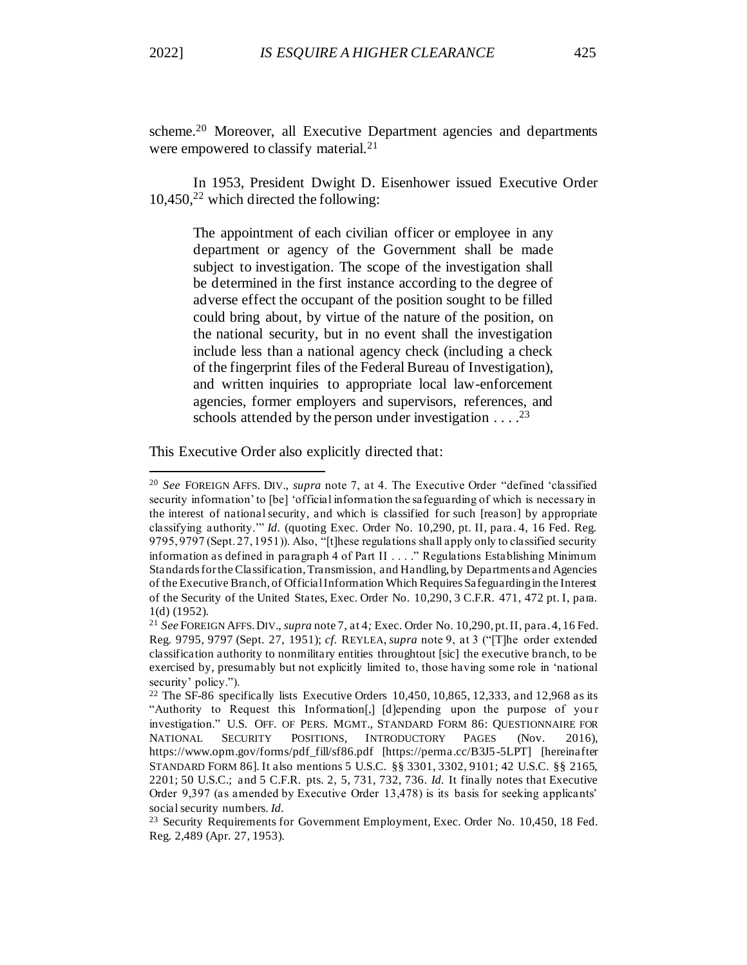scheme.<sup>20</sup> Moreover, all Executive Department agencies and departments were empowered to classify material.<sup>21</sup>

In 1953, President Dwight D. Eisenhower issued Executive Order  $10,450$ <sup>22</sup> which directed the following:

The appointment of each civilian officer or employee in any department or agency of the Government shall be made subject to investigation. The scope of the investigation shall be determined in the first instance according to the degree of adverse effect the occupant of the position sought to be filled could bring about, by virtue of the nature of the position, on the national security, but in no event shall the investigation include less than a national agency check (including a check of the fingerprint files of the Federal Bureau of Investigation), and written inquiries to appropriate local law-enforcement agencies, former employers and supervisors, references, and schools attended by the person under investigation  $\dots$ <sup>23</sup>

This Executive Order also explicitly directed that:

<sup>20</sup> *See* FOREIGN AFFS. DIV., *supra* note 7, at 4. The Executive Order "defined 'classified security information' to [be] 'official information the safeguarding of which is necessary in the interest of national security, and which is classified for such [reason] by appropriate classifying authority.'" *Id.* (quoting Exec. Order No. 10,290, pt. II, para. 4, 16 Fed. Reg. 9795, 9797 (Sept. 27, 1951)). Also, "[t]hese regulations shall apply only to classified security information as defined in paragraph 4 of Part II . . . ." Regulations Establishing Minimum Standards for the Classification, Transmission, and Handling, by Departments and Agencies of the Executive Branch, of Official Information Which Requires Safeguarding in the Interest of the Security of the United States, Exec. Order No. 10,290, 3 C.F.R. 471, 472 pt. I, para. 1(d) (1952).

<sup>21</sup> *See* FOREIGN AFFS.DIV., *supra* note 7, at 4*;* Exec. Order No. 10,290, pt. II, para. 4, 16 Fed. Reg. 9795, 9797 (Sept. 27, 1951); *cf.* REYLEA, *supra* note 9, at 3 ("[T]he order extended classification authority to nonmilitary entities throughtout [sic] the executive branch, to be exercised by, presumably but not explicitly limited to, those having some role in 'national security' policy.").

<sup>&</sup>lt;sup>22</sup> The SF-86 specifically lists Executive Orders 10,450, 10,865, 12,333, and 12,968 as its "Authority to Request this Information[J] [d]epending upon the purpose of your investigation." U.S. OFF. OF PERS. MGMT., STANDARD FORM 86: QUESTIONNAIRE FOR NATIONAL SECURITY POSITIONS, INTRODUCTORY PAGES (Nov. 2016), https://www.opm.gov/forms/pdf\_fill/sf86.pdf [https://perma.cc/B3J5-5LPT] [hereinafter STANDARD FORM 86]. It also mentions 5 U.S.C. §§ 3301, 3302, 9101; 42 U.S.C. §§ 2165, 2201; 50 U.S.C.; and 5 C.F.R. pts. 2, 5, 731, 732, 736. *Id.* It finally notes that Executive Order 9,397 (as amended by Executive Order 13,478) is its basis for seeking applicants' social security numbers. *Id.*

<sup>&</sup>lt;sup>23</sup> Security Requirements for Government Employment, Exec. Order No. 10,450, 18 Fed. Reg. 2,489 (Apr. 27, 1953).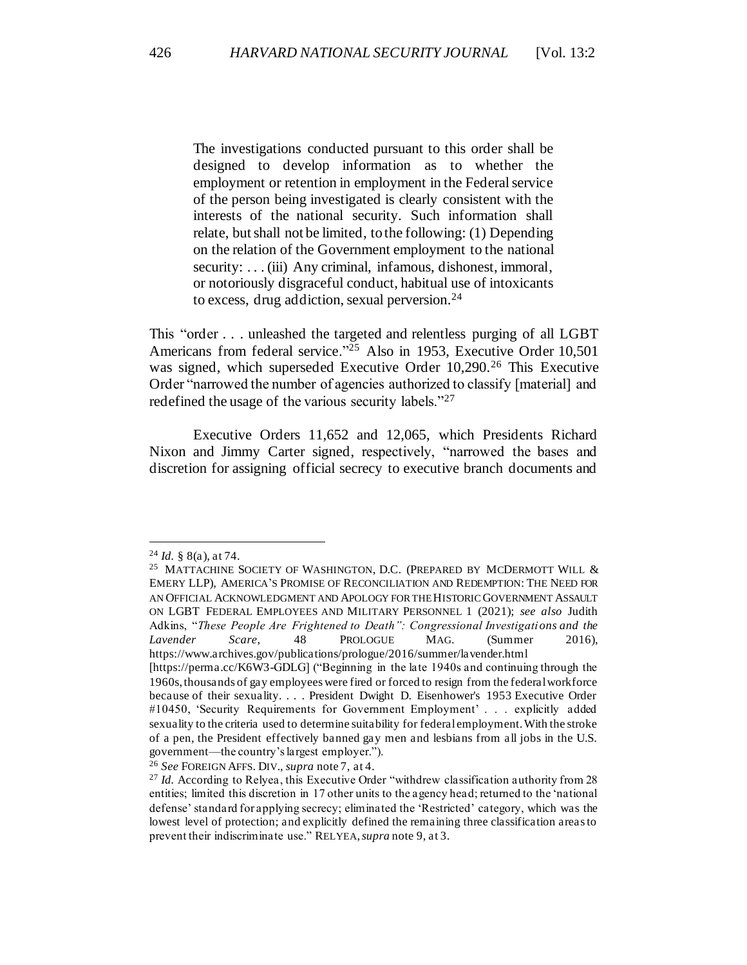The investigations conducted pursuant to this order shall be designed to develop information as to whether the employment or retention in employment in the Federal service of the person being investigated is clearly consistent with the interests of the national security. Such information shall relate, but shall not be limited, to the following: (1) Depending on the relation of the Government employment to the national security: . . . (iii) Any criminal, infamous, dishonest, immoral, or notoriously disgraceful conduct, habitual use of intoxicants to excess, drug addiction, sexual perversion.<sup>24</sup>

This "order . . . unleashed the targeted and relentless purging of all LGBT Americans from federal service."<sup>25</sup> Also in 1953, Executive Order 10,501 was signed, which superseded Executive Order 10,290.<sup>26</sup> This Executive Order "narrowed the number of agencies authorized to classify [material] and redefined the usage of the various security labels."<sup>27</sup>

Executive Orders 11,652 and 12,065, which Presidents Richard Nixon and Jimmy Carter signed, respectively, "narrowed the bases and discretion for assigning official secrecy to executive branch documents and

<sup>24</sup> *Id.* § 8(a), at 74.

<sup>&</sup>lt;sup>25</sup> MATTACHINE SOCIETY OF WASHINGTON, D.C. (PREPARED BY MCDERMOTT WILL  $\&$ EMERY LLP), AMERICA'S PROMISE OF RECONCILIATION AND REDEMPTION: THE NEED FOR AN OFFICIAL ACKNOWLEDGMENT AND APOLOGY FOR THE HISTORIC GOVERNMENT ASSAULT ON LGBT FEDERAL EMPLOYEES AND MILITARY PERSONNEL 1 (2021); *see also* Judith Adkins, "*These People Are Frightened to Death": Congressional Investigations and the Lavender Scare*, 48 PROLOGUE MAG. (Summer 2016), https://www.archives.gov/publications/prologue/2016/summer/lavender.html

<sup>[</sup>https://perma.cc/K6W3-GDLG] ("Beginning in the late 1940s and continuing through the 1960s, thousands of gay employees were fired or forced to resign from the federal workforce because of their sexuality. . . . President Dwight D. Eisenhower's 1953 Executive Order #10450, 'Security Requirements for Government Employment' . . . explicitly added sexuality to the criteria used to determine suitability for federal employment. With the stroke of a pen, the President effectively banned gay men and lesbians from all jobs in the U.S. government—the country's largest employer.").

<sup>26</sup> *See* FOREIGN AFFS. DIV., *supra* note 7, at 4.

<sup>&</sup>lt;sup>27</sup> *Id.* According to Relyea, this Executive Order "withdrew classification authority from 28 entities; limited this discretion in 17 other units to the agency head; returned to the 'national defense' standard for applying secrecy; eliminated the 'Restricted' category, which was the lowest level of protection; and explicitly defined the remaining three classification areas to prevent their indiscriminate use." RELYEA, *supra* note 9, at 3.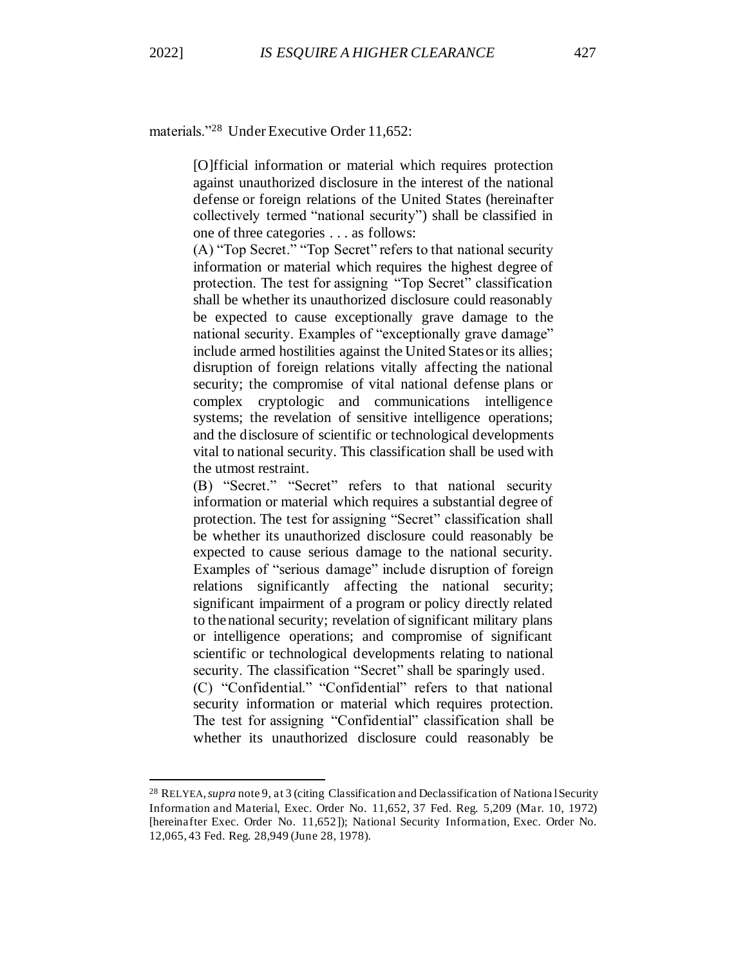materials."<sup>28</sup> Under Executive Order 11,652:

[O]fficial information or material which requires protection against unauthorized disclosure in the interest of the national defense or foreign relations of the United States (hereinafter collectively termed "national security") shall be classified in one of three categories . . . as follows:

(A) "Top Secret." "Top Secret" refers to that national security information or material which requires the highest degree of protection. The test for assigning "Top Secret" classification shall be whether its unauthorized disclosure could reasonably be expected to cause exceptionally grave damage to the national security. Examples of "exceptionally grave damage" include armed hostilities against the United States or its allies; disruption of foreign relations vitally affecting the national security; the compromise of vital national defense plans or complex cryptologic and communications intelligence systems; the revelation of sensitive intelligence operations; and the disclosure of scientific or technological developments vital to national security. This classification shall be used with the utmost restraint.

(B) "Secret." "Secret" refers to that national security information or material which requires a substantial degree of protection. The test for assigning "Secret" classification shall be whether its unauthorized disclosure could reasonably be expected to cause serious damage to the national security. Examples of "serious damage" include disruption of foreign relations significantly affecting the national security; significant impairment of a program or policy directly related to the national security; revelation of significant military plans or intelligence operations; and compromise of significant scientific or technological developments relating to national security. The classification "Secret" shall be sparingly used. (C) "Confidential." "Confidential" refers to that national security information or material which requires protection. The test for assigning "Confidential" classification shall be whether its unauthorized disclosure could reasonably be

<sup>28</sup> RELYEA, *supra* note 9, at 3 (citing Classification and Declassification of Nationa l Security Information and Material, Exec. Order No. 11,652, 37 Fed. Reg. 5,209 (Mar. 10, 1972) [hereinafter Exec. Order No. 11,652]); National Security Information, Exec. Order No. 12,065, 43 Fed. Reg. 28,949 (June 28, 1978).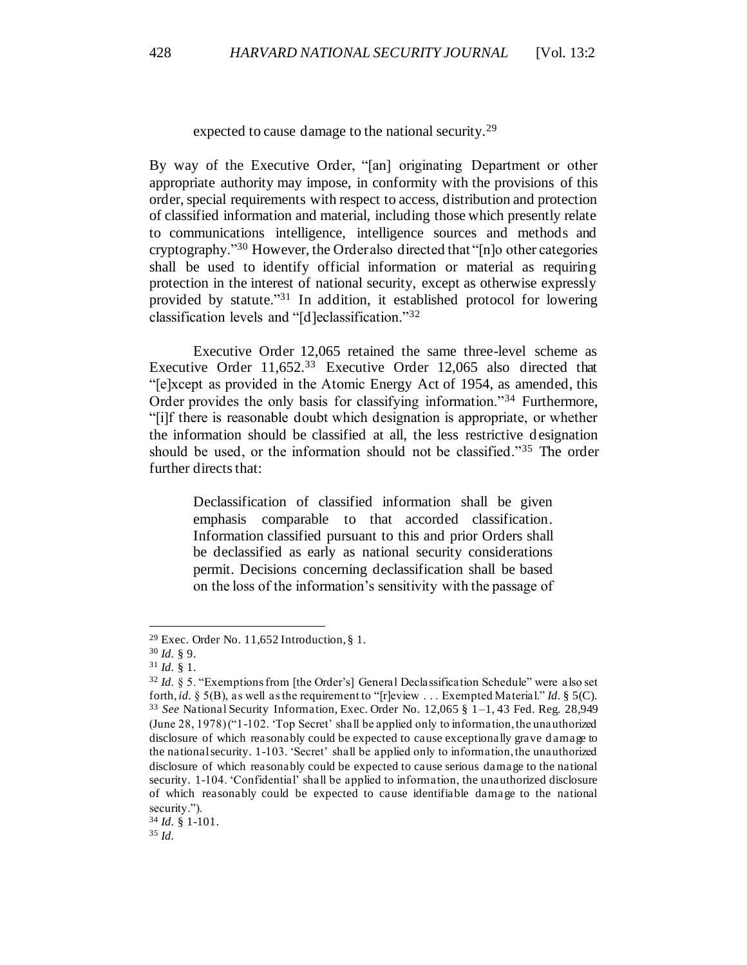expected to cause damage to the national security.<sup>29</sup>

By way of the Executive Order, "[an] originating Department or other appropriate authority may impose, in conformity with the provisions of this order, special requirements with respect to access, distribution and protection of classified information and material, including those which presently relate to communications intelligence, intelligence sources and methods and cryptography."<sup>30</sup> However, the Order also directed that "[n]o other categories shall be used to identify official information or material as requiring protection in the interest of national security, except as otherwise expressly provided by statute."<sup>31</sup> In addition, it established protocol for lowering classification levels and "[d]eclassification."<sup>32</sup>

Executive Order 12,065 retained the same three-level scheme as Executive Order 11,652.<sup>33</sup> Executive Order 12,065 also directed that "[e]xcept as provided in the Atomic Energy Act of 1954, as amended, this Order provides the only basis for classifying information."<sup>34</sup> Furthermore, "[i]f there is reasonable doubt which designation is appropriate, or whether the information should be classified at all, the less restrictive designation should be used, or the information should not be classified."<sup>35</sup> The order further directs that:

Declassification of classified information shall be given emphasis comparable to that accorded classification. Information classified pursuant to this and prior Orders shall be declassified as early as national security considerations permit. Decisions concerning declassification shall be based on the loss of the information's sensitivity with the passage of

<sup>34</sup> *Id.* § 1-101.

<sup>35</sup> *Id.*

<sup>&</sup>lt;sup>29</sup> Exec. Order No. 11,652 Introduction, § 1.

<sup>30</sup> *Id.* § 9.

<sup>31</sup> *Id.* § 1.

<sup>32</sup> *Id.* § 5. "Exemptions from [the Order's] General Declassification Schedule" were also set forth, *id.* § 5(B), as well as the requirement to "[r]eview . . . Exempted Material." *Id.* § 5(C). <sup>33</sup> *See* National Security Information, Exec. Order No. 12,065 § 1–1, 43 Fed. Reg. 28,949 (June 28, 1978) ("1-102. 'Top Secret' shall be applied only to information, the unauthorized disclosure of which reasonably could be expected to cause exceptionally grave d amage to the national security. 1-103. 'Secret' shall be applied only to information, the unauthorized disclosure of which reasonably could be expected to cause serious damage to the national security. 1-104. 'Confidential' shall be applied to information, the unauthorized disclosure of which reasonably could be expected to cause identifiable damage to the national security.").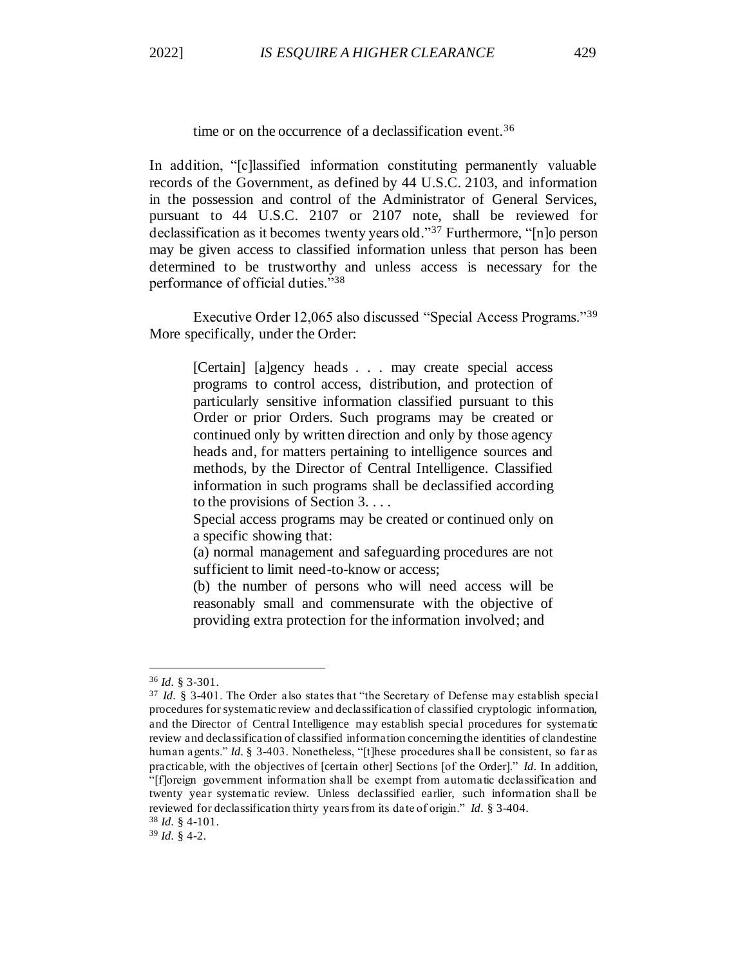time or on the occurrence of a declassification event.<sup>36</sup>

In addition, "[c]lassified information constituting permanently valuable records of the Government, as defined by 44 U.S.C. 2103, and information in the possession and control of the Administrator of General Services, pursuant to 44 U.S.C. 2107 or 2107 note, shall be reviewed for declassification as it becomes twenty years old."<sup>37</sup> Furthermore, "[n]o person may be given access to classified information unless that person has been determined to be trustworthy and unless access is necessary for the performance of official duties."<sup>38</sup>

Executive Order 12,065 also discussed "Special Access Programs."<sup>39</sup> More specifically, under the Order:

[Certain] [a]gency heads . . . may create special access programs to control access, distribution, and protection of particularly sensitive information classified pursuant to this Order or prior Orders. Such programs may be created or continued only by written direction and only by those agency heads and, for matters pertaining to intelligence sources and methods, by the Director of Central Intelligence. Classified information in such programs shall be declassified according to the provisions of Section 3. . . .

Special access programs may be created or continued only on a specific showing that:

(a) normal management and safeguarding procedures are not sufficient to limit need-to-know or access;

(b) the number of persons who will need access will be reasonably small and commensurate with the objective of providing extra protection for the information involved; and

<sup>39</sup> *Id.* § 4-2.

<sup>36</sup> *Id.* § 3-301.

<sup>&</sup>lt;sup>37</sup> *Id.* § 3-401. The Order also states that "the Secretary of Defense may establish special procedures for systematic review and declassification of classified cryptologic information, and the Director of Central Intelligence may establish special procedures for systematic review and declassification of classified information concerning the identities of clandestine human agents." *Id.* § 3-403. Nonetheless, "[t]hese procedures shall be consistent, so far as practicable, with the objectives of [certain other] Sections [of the Order]." *Id.* In addition, "[f]oreign government information shall be exempt from automatic declassification and twenty year systematic review. Unless declassified earlier, such information shall be reviewed for declassification thirty years from its date of origin." *Id.* § 3-404. <sup>38</sup> *Id.* § 4-101.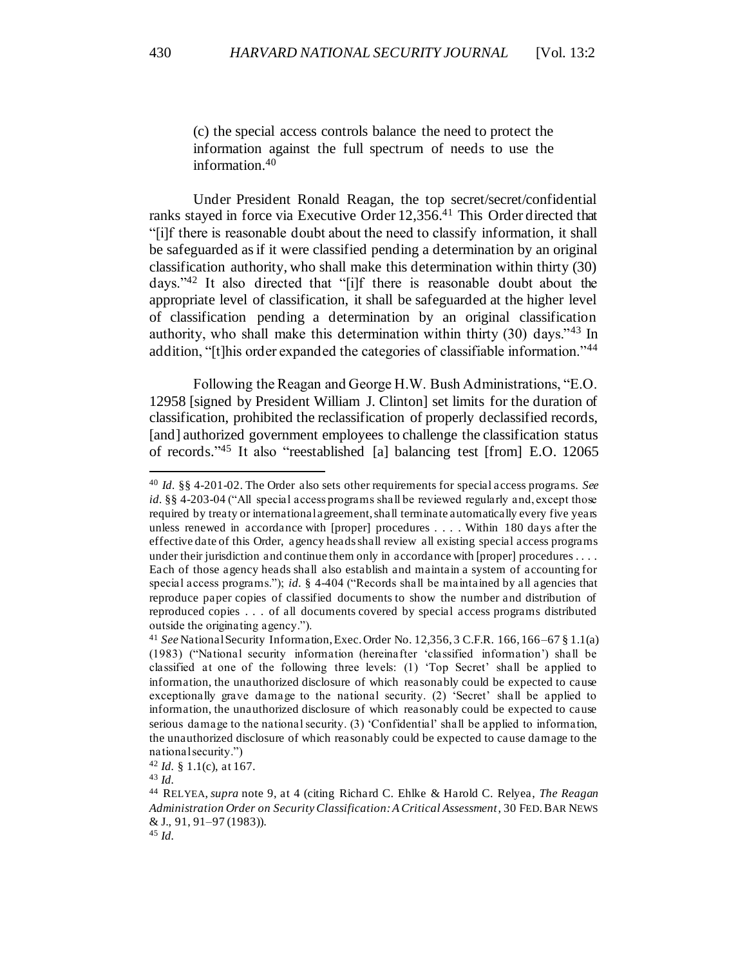(c) the special access controls balance the need to protect the information against the full spectrum of needs to use the information.<sup>40</sup>

Under President Ronald Reagan, the top secret/secret/confidential ranks stayed in force via Executive Order 12,356. <sup>41</sup> This Order directed that "[i]f there is reasonable doubt about the need to classify information, it shall be safeguarded as if it were classified pending a determination by an original classification authority, who shall make this determination within thirty (30) days."<sup>42</sup> It also directed that "[i]f there is reasonable doubt about the appropriate level of classification, it shall be safeguarded at the higher level of classification pending a determination by an original classification authority, who shall make this determination within thirty (30) days."<sup>43</sup> In addition, "[t]his order expanded the categories of classifiable information."<sup>44</sup>

Following the Reagan and George H.W. Bush Administrations, "E.O. 12958 [signed by President William J. Clinton] set limits for the duration of classification, prohibited the reclassification of properly declassified records, [and] authorized government employees to challenge the classification status of records." <sup>45</sup> It also "reestablished [a] balancing test [from] E.O. 12065

<sup>43</sup> *Id.*

<sup>40</sup> *Id.* §§ 4-201-02. The Order also sets other requirements for special access programs. *See id.* §§ 4-203-04 ("All special access programs shall be reviewed regularly and, except those required by treaty or international agreement, shall terminate automatically every five years unless renewed in accordance with [proper] procedures . . . . Within 180 days after the effective date of this Order, agency heads shall review all existing special access programs under their jurisdiction and continue them only in accordance with [proper] procedures . . . . Each of those agency heads shall also establish and maintain a system of accounting for special access programs."); *id.* § 4-404 ("Records shall be maintained by all agencies that reproduce paper copies of classified documents to show the number and distribution of reproduced copies . . . of all documents covered by special access programs distributed outside the originating agency.").

<sup>41</sup> *See* National Security Information, Exec. Order No. 12,356, 3 C.F.R. 166, 166–67 § 1.1(a) (1983) ("National security information (hereinafter 'classified information') shall be classified at one of the following three levels: (1) 'Top Secret' shall be applied to information, the unauthorized disclosure of which reasonably could be expected to cause exceptionally grave damage to the national security. (2) 'Secret' shall be applied to information, the unauthorized disclosure of which reasonably could be expected to cause serious damage to the national security. (3) 'Confidential' shall be applied to information, the unauthorized disclosure of which reasonably could be expected to cause damage to the national security.")

 $42$  *Id.* § 1.1(c), at 167.

<sup>44</sup> RELYEA, *supra* note 9, at 4 (citing Richard C. Ehlke & Harold C. Relyea, *The Reagan Administration Order on Security Classification: A Critical Assessment*, 30 FED.BAR NEWS & J., 91, 91–97 (1983)). <sup>45</sup> *Id.*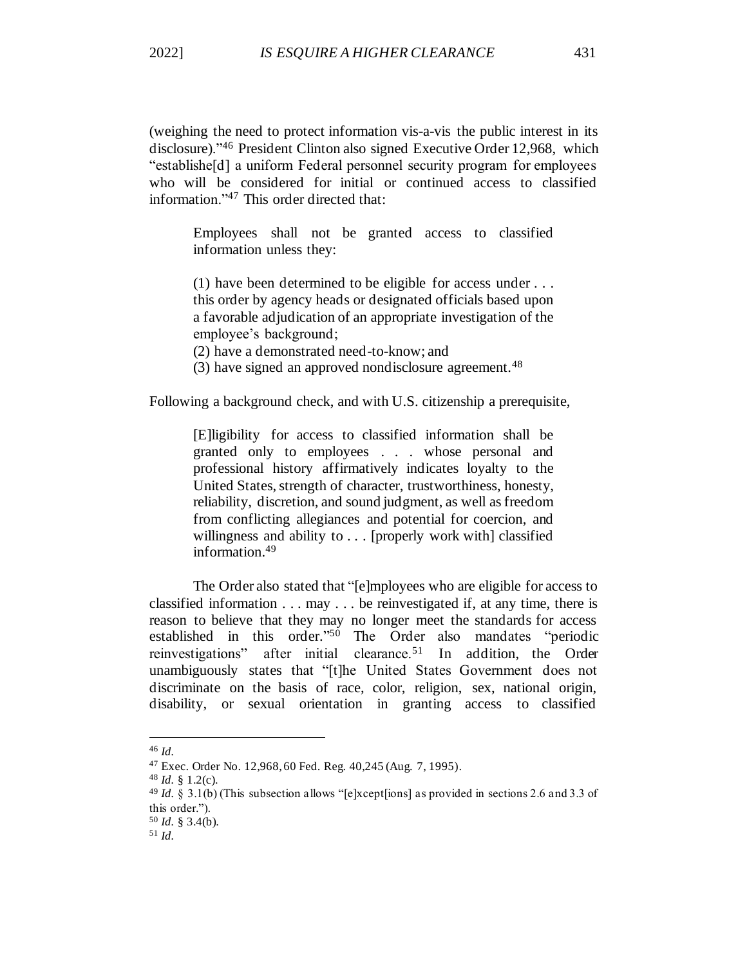(weighing the need to protect information vis-a-vis the public interest in its disclosure)."<sup>46</sup> President Clinton also signed Executive Order 12,968, which "establishe[d] a uniform Federal personnel security program for employees who will be considered for initial or continued access to classified information."<sup>47</sup> This order directed that:

Employees shall not be granted access to classified information unless they:

(1) have been determined to be eligible for access under . . . this order by agency heads or designated officials based upon a favorable adjudication of an appropriate investigation of the employee's background;

(2) have a demonstrated need-to-know; and

(3) have signed an approved nondisclosure agreement.<sup>48</sup>

Following a background check, and with U.S. citizenship a prerequisite,

[E]ligibility for access to classified information shall be granted only to employees . . . whose personal and professional history affirmatively indicates loyalty to the United States, strength of character, trustworthiness, honesty, reliability, discretion, and sound judgment, as well as freedom from conflicting allegiances and potential for coercion, and willingness and ability to . . . [properly work with] classified information.<sup>49</sup>

The Order also stated that "[e]mployees who are eligible for access to classified information  $\dots$  may  $\dots$  be reinvestigated if, at any time, there is reason to believe that they may no longer meet the standards for access established in this order." <sup>50</sup> The Order also mandates "periodic reinvestigations" after initial clearance.<sup>51</sup> In addition, the Order unambiguously states that "[t]he United States Government does not discriminate on the basis of race, color, religion, sex, national origin, disability, or sexual orientation in granting access to classified

<sup>46</sup> *Id.*

<sup>47</sup> Exec. Order No. 12,968, 60 Fed. Reg. 40,245 (Aug. 7, 1995).

<sup>48</sup> *Id.* § 1.2(c).

<sup>49</sup> *Id.* § 3.1(b) (This subsection allows "[e]xcept[ions] as provided in sections 2.6 and 3.3 of this order.").

<sup>50</sup> *Id.* § 3.4(b).

<sup>51</sup> *Id.*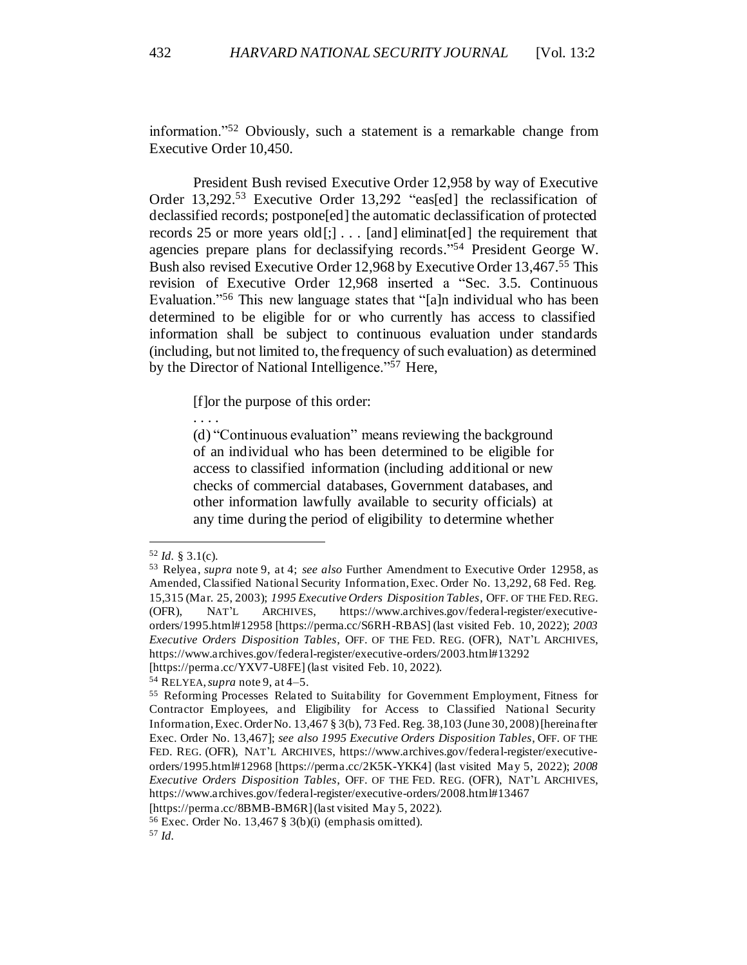information."<sup>52</sup> Obviously, such a statement is a remarkable change from Executive Order 10,450.

President Bush revised Executive Order 12,958 by way of Executive Order 13,292.<sup>53</sup> Executive Order 13,292 "eas[ed] the reclassification of declassified records; postpone[ed] the automatic declassification of protected records 25 or more years old $[]$ ... [and] eliminat[ed] the requirement that agencies prepare plans for declassifying records." <sup>54</sup> President George W. Bush also revised Executive Order 12,968 by Executive Order 13,467.<sup>55</sup> This revision of Executive Order 12,968 inserted a "Sec. 3.5. Continuous Evaluation."<sup>56</sup> This new language states that "[a]n individual who has been determined to be eligible for or who currently has access to classified information shall be subject to continuous evaluation under standards (including, but not limited to, the frequency of such evaluation) as determined by the Director of National Intelligence."<sup>57</sup> Here,

[f]or the purpose of this order:

(d) "Continuous evaluation" means reviewing the background of an individual who has been determined to be eligible for access to classified information (including additional or new checks of commercial databases, Government databases, and other information lawfully available to security officials) at any time during the period of eligibility to determine whether

. . . .

<sup>52</sup> *Id.* § 3.1(c).

<sup>53</sup> Relyea, *supra* note 9, at 4; *see also* Further Amendment to Executive Order 12958, as Amended, Classified National Security Information, Exec. Order No. 13,292, 68 Fed. Reg. 15,315 (Mar. 25, 2003); *1995 Executive Orders Disposition Tables*, OFF. OF THE FED.REG. (OFR), NAT'L ARCHIVES, https://www.archives.gov/federal-register/executiveorders/1995.html#12958 [https://perma.cc/S6RH-RBAS] (last visited Feb. 10, 2022); *2003 Executive Orders Disposition Tables*, OFF. OF THE FED. REG. (OFR), NAT'L ARCHIVES, https://www.archives.gov/federal-register/executive-orders/2003.html#13292

<sup>[</sup>https://perma.cc/YXV7-U8FE] (last visited Feb. 10, 2022).

<sup>54</sup> RELYEA, *supra* note 9, at 4–5.

<sup>55</sup> Reforming Processes Related to Suitability for Government Employment, Fitness for Contractor Employees, and Eligibility for Access to Classified National Security Information, Exec. Order No. 13,467 § 3(b), 73 Fed. Reg. 38,103 (June 30, 2008) [hereinafter Exec. Order No. 13,467]; *see also 1995 Executive Orders Disposition Tables*, OFF. OF THE FED. REG. (OFR), NAT'L ARCHIVES, https://www.archives.gov/federal-register/executiveorders/1995.html#12968 [https://perma.cc/2K5K-YKK4] (last visited May 5, 2022); *2008 Executive Orders Disposition Tables*, OFF. OF THE FED. REG. (OFR), NAT'L ARCHIVES, https://www.archives.gov/federal-register/executive-orders/2008.html#13467

<sup>[</sup>https://perma.cc/8BMB-BM6R] (last visited May 5, 2022).

<sup>&</sup>lt;sup>56</sup> Exec. Order No. 13,467  $\S$  3(b)(i) (emphasis omitted).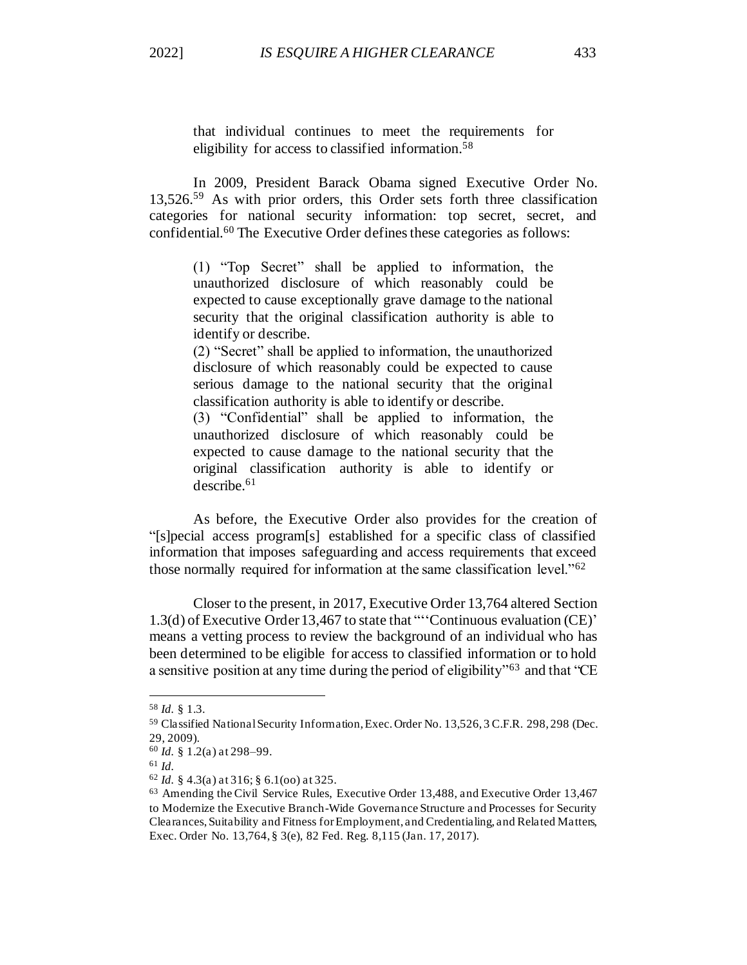that individual continues to meet the requirements for eligibility for access to classified information.<sup>58</sup>

In 2009, President Barack Obama signed Executive Order No. 13,526. <sup>59</sup> As with prior orders, this Order sets forth three classification categories for national security information: top secret, secret, and confidential.<sup>60</sup> The Executive Order defines these categories as follows:

(1) "Top Secret" shall be applied to information, the unauthorized disclosure of which reasonably could be expected to cause exceptionally grave damage to the national security that the original classification authority is able to identify or describe.

(2) "Secret" shall be applied to information, the unauthorized disclosure of which reasonably could be expected to cause serious damage to the national security that the original classification authority is able to identify or describe.

(3) "Confidential" shall be applied to information, the unauthorized disclosure of which reasonably could be expected to cause damage to the national security that the original classification authority is able to identify or describe.<sup>61</sup>

As before, the Executive Order also provides for the creation of "[s]pecial access program[s] established for a specific class of classified information that imposes safeguarding and access requirements that exceed those normally required for information at the same classification level."<sup>62</sup>

Closer to the present, in 2017, Executive Order 13,764 altered Section 1.3(d) of Executive Order 13,467 to state that "''Continuous evaluation (CE)' means a vetting process to review the background of an individual who has been determined to be eligible for access to classified information or to hold a sensitive position at any time during the period of eligibility"<sup>63</sup> and that "CE

<sup>58</sup> *Id.* § 1.3.

<sup>59</sup> Classified National Security Information, Exec. Order No. 13,526, 3 C.F.R. 298, 298 (Dec. 29, 2009).

<sup>60</sup> *Id.* § 1.2(a) at 298–99.

<sup>61</sup> *Id.*

<sup>62</sup> *Id.* § 4.3(a) at 316; § 6.1(oo) at 325.

<sup>63</sup> Amending the Civil Service Rules, Executive Order 13,488, and Executive Order 13,467 to Modernize the Executive Branch-Wide Governance Structure and Processes for Security Clearances, Suitability and Fitness for Employment, and Credentialing, and Related Matters, Exec. Order No. 13,764, § 3(e), 82 Fed. Reg. 8,115 (Jan. 17, 2017).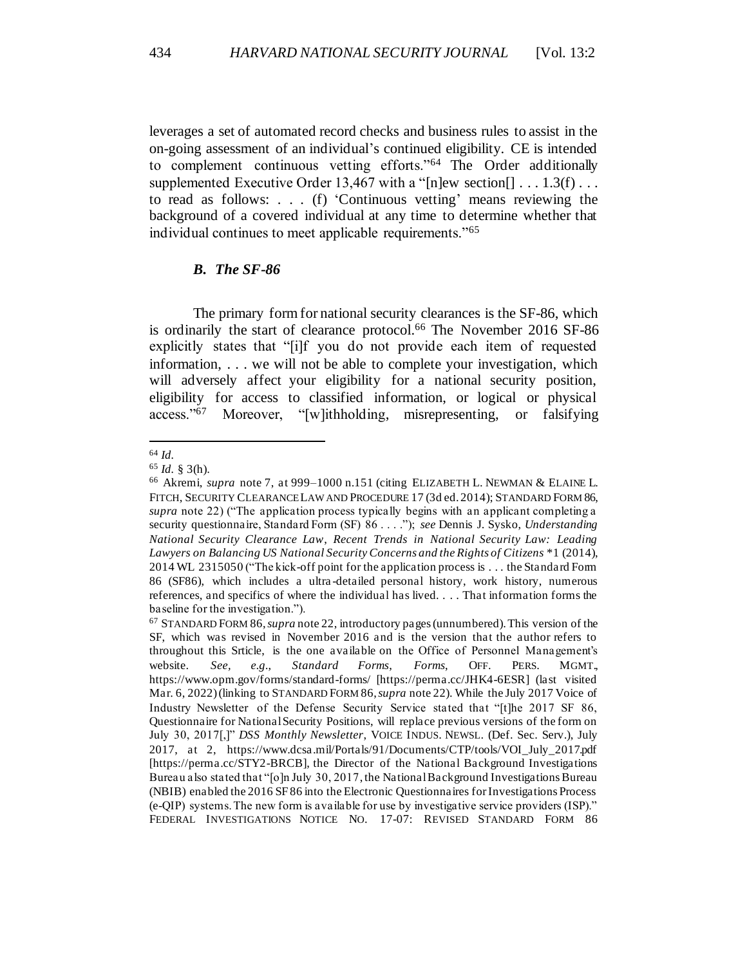leverages a set of automated record checks and business rules to assist in the on-going assessment of an individual's continued eligibility. CE is intended to complement continuous vetting efforts."<sup>64</sup> The Order additionally supplemented Executive Order 13.467 with a "[n]ew section[]  $\dots$  1.3(f)  $\dots$ to read as follows: . . . (f) 'Continuous vetting' means reviewing the background of a covered individual at any time to determine whether that individual continues to meet applicable requirements."<sup>65</sup>

### *B. The SF-86*

The primary form for national security clearances is the SF-86, which is ordinarily the start of clearance protocol. <sup>66</sup> The November 2016 SF-86 explicitly states that "[i]f you do not provide each item of requested information, . . . we will not be able to complete your investigation, which will adversely affect your eligibility for a national security position, eligibility for access to classified information, or logical or physical access."<sup>67</sup> Moreover, "[w]ithholding, misrepresenting, or falsifying Moreover, "[w]ithholding, misrepresenting, or falsifying

<sup>64</sup> *Id.*

<sup>65</sup> *Id.* § 3(h).

<sup>66</sup> Akremi, *supra* note 7, at 999–1000 n.151 (citing ELIZABETH L. NEWMAN & ELAINE L. FITCH, SECURITY CLEARANCE LAW AND PROCEDURE 17 (3d ed. 2014); STANDARD FORM 86, *supra* note 22) ("The application process typically begins with an applicant completing a security questionnaire, Standard Form (SF) 86 . . . ."); *see* Dennis J. Sysko, *Understanding National Security Clearance Law*, *Recent Trends in National Security Law: Leading Lawyers on Balancing US National Security Concerns and the Rights of Citizens* \*1 (2014), 2014 WL 2315050 ("The kick-off point for the application process is . . . the Standard Form 86 (SF86), which includes a ultra -detailed personal history, work history, numerous references, and specifics of where the individual has lived. . . . That information forms the baseline for the investigation.").

<sup>67</sup> STANDARD FORM 86, *supra* note 22, introductory pages (unnumbered). This version of the SF, which was revised in November 2016 and is the version that the author refers to throughout this Srticle, is the one available on the Office of Personnel Management's website. *See, e.g.*, *Standard Forms*, *Forms*, OFF. PERS. MGMT., https://www.opm.gov/forms/standard-forms/ [https://perma.cc/JHK4-6ESR] (last visited Mar. 6, 2022) (linking to STANDARD FORM 86, *supra* note 22). While the July 2017 Voice of Industry Newsletter of the Defense Security Service stated that "[t]he 2017 SF 86, Questionnaire for National Security Positions, will replace previous versions of the form on July 30, 2017[,]" *DSS Monthly Newsletter*, VOICE INDUS. NEWSL. (Def. Sec. Serv.), July 2017, at 2, https://www.dcsa.mil/Portals/91/Documents/CTP/tools/VOI\_July\_2017.pdf [https://perma.cc/STY2-BRCB], the Director of the National Background Investigations Bureau also stated that "[o]n July 30, 2017, the National Background Investigations Bureau (NBIB) enabled the 2016 SF 86 into the Electronic Questionnaires for Investigations Process (e-QIP) systems. The new form is available for use by investigative service providers (ISP)." FEDERAL INVESTIGATIONS NOTICE NO. 17-07: REVISED STANDARD FORM 86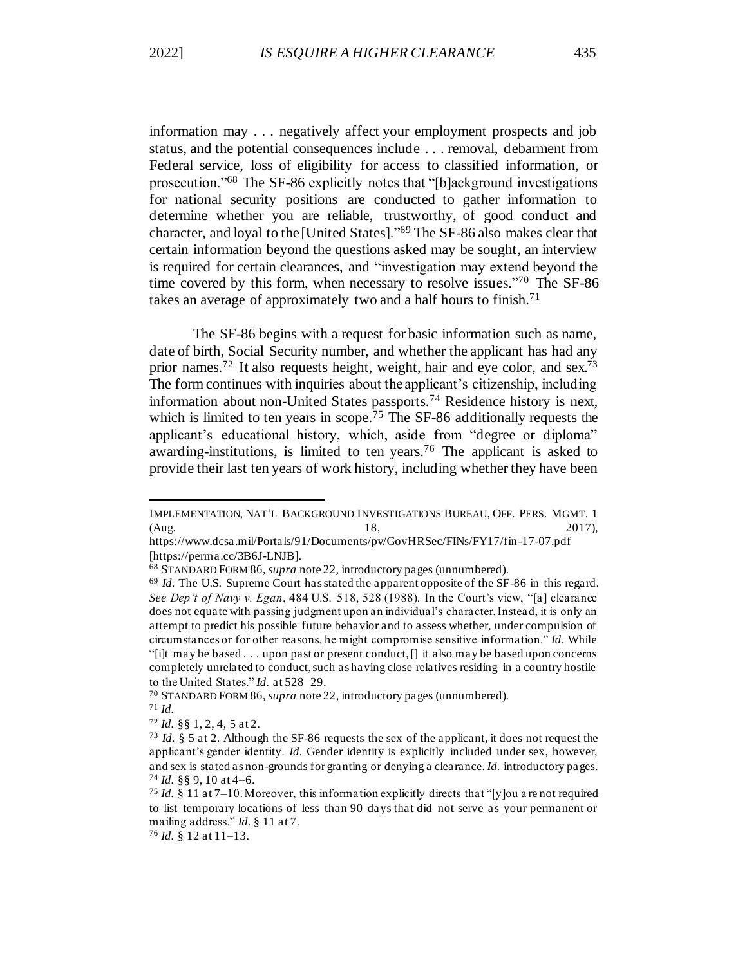information may . . . negatively affect your employment prospects and job status, and the potential consequences include . . . removal, debarment from Federal service, loss of eligibility for access to classified information, or prosecution."<sup>68</sup> The SF-86 explicitly notes that "[b]ackground investigations for national security positions are conducted to gather information to determine whether you are reliable, trustworthy, of good conduct and character, and loyal to the [United States]."<sup>69</sup> The SF-86 also makes clear that certain information beyond the questions asked may be sought, an interview is required for certain clearances, and "investigation may extend beyond the time covered by this form, when necessary to resolve issues."<sup>70</sup> The SF-86 takes an average of approximately two and a half hours to finish.<sup>71</sup>

The SF-86 begins with a request for basic information such as name, date of birth, Social Security number, and whether the applicant has had any prior names.<sup>72</sup> It also requests height, weight, hair and eye color, and sex.<sup>73</sup> The form continues with inquiries about the applicant's citizenship, including information about non-United States passports.<sup>74</sup> Residence history is next, which is limited to ten years in scope.<sup>75</sup> The SF-86 additionally requests the applicant's educational history, which, aside from "degree or diploma" awarding-institutions, is limited to ten years.<sup>76</sup> The applicant is asked to provide their last ten years of work history, including whether they have been

IMPLEMENTATION, NAT'L BACKGROUND INVESTIGATIONS BUREAU, OFF. PERS. MGMT. 1 (Aug. 2017), 18, 2017),

https://www.dcsa.mil/Portals/91/Documents/pv/GovHRSec/FINs/FY17/fin-17-07.pdf [https://perma.cc/3B6J-LNJB].

<sup>68</sup> STANDARD FORM 86, *supra* note 22, introductory pages (unnumbered).

<sup>&</sup>lt;sup>69</sup> *Id.* The U.S. Supreme Court has stated the apparent opposite of the SF-86 in this regard. *See Dep't of Navy v. Egan*, 484 U.S. 518, 528 (1988). In the Court's view, "[a] clearance does not equate with passing judgment upon an individual's character. Instead, it is only an attempt to predict his possible future behavior and to assess whether, under compulsion of circumstances or for other reasons, he might compromise sensitive information." *Id.* While "[i]t may be based . . . upon past or present conduct, [] it also may be based upon concerns completely unrelated to conduct, such as having close relatives residing in a country hostile to the United States." *Id.* at 528–29.

<sup>70</sup> STANDARD FORM 86, *supra* note 22, introductory pages (unnumbered).

<sup>71</sup> *Id.*

<sup>72</sup> *Id.* §§ 1, 2, 4, 5 at 2.

<sup>73</sup> *Id.* § 5 at 2. Although the SF-86 requests the sex of the applicant, it does not request the applicant's gender identity. *Id.* Gender identity is explicitly included under sex, however, and sex is stated as non-grounds for granting or denying a clearance. *Id.* introductory pages.  $74$  *Id.* §§ 9, 10 at 4–6.

<sup>&</sup>lt;sup>75</sup> *Id.* § 11 at  $7-10$ . Moreover, this information explicitly directs that "[y]ou a re not required to list temporary locations of less than 90 days that did not serve as your permanent or mailing address." *Id.* § 11 at 7.

<sup>76</sup> *Id.* § 12 at 11–13.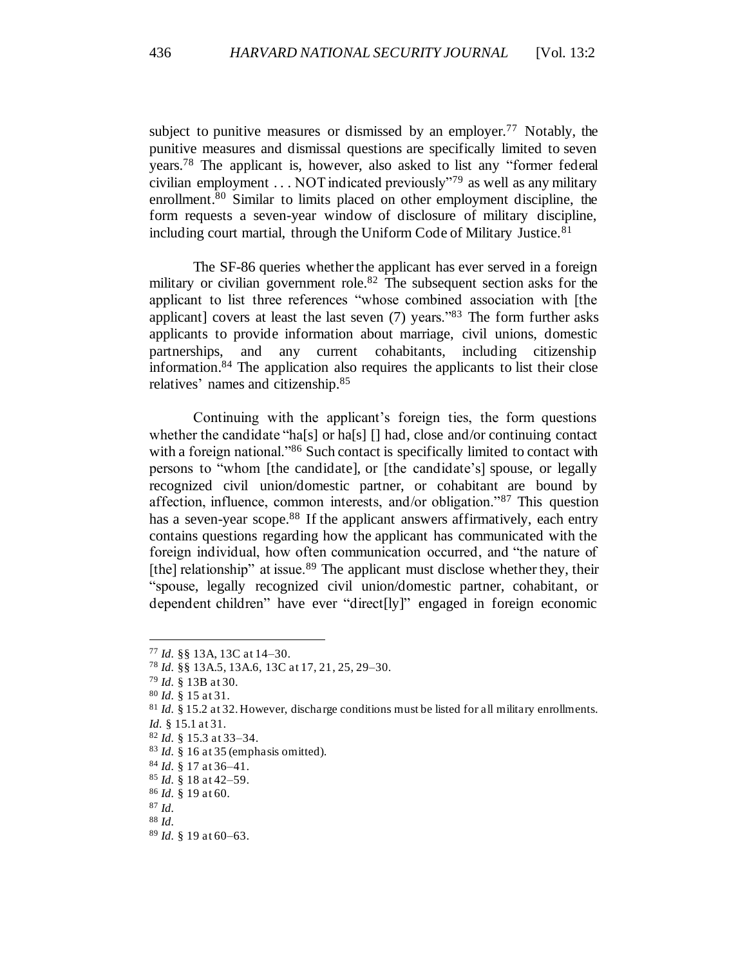subject to punitive measures or dismissed by an employer.<sup>77</sup> Notably, the punitive measures and dismissal questions are specifically limited to seven years.<sup>78</sup> The applicant is, however, also asked to list any "former federal civilian employment  $\ldots$  NOT indicated previously<sup> $\cdot$ 79</sup> as well as any military enrollment. <sup>80</sup> Similar to limits placed on other employment discipline, the form requests a seven-year window of disclosure of military discipline, including court martial, through the Uniform Code of Military Justice.<sup>81</sup>

The SF-86 queries whether the applicant has ever served in a foreign military or civilian government role.<sup>82</sup> The subsequent section asks for the applicant to list three references "whose combined association with [the applicant] covers at least the last seven  $(7)$  years."<sup>83</sup> The form further asks applicants to provide information about marriage, civil unions, domestic partnerships, and any current cohabitants, including citizenship information. <sup>84</sup> The application also requires the applicants to list their close relatives' names and citizenship.<sup>85</sup>

Continuing with the applicant's foreign ties, the form questions whether the candidate "ha[s] or ha[s]  $\lceil \cdot \rceil$  had, close and/or continuing contact with a foreign national."<sup>86</sup> Such contact is specifically limited to contact with persons to "whom [the candidate], or [the candidate's] spouse, or legally recognized civil union/domestic partner, or cohabitant are bound by affection, influence, common interests, and/or obligation."<sup>87</sup> This question has a seven-year scope.<sup>88</sup> If the applicant answers affirmatively, each entry contains questions regarding how the applicant has communicated with the foreign individual, how often communication occurred, and "the nature of [the] relationship" at issue.<sup>89</sup> The applicant must disclose whether they, their "spouse, legally recognized civil union/domestic partner, cohabitant, or dependent children" have ever "direct[ly]" engaged in foreign economic

<sup>77</sup> *Id.* §§ 13A, 13C at 14–30.

<sup>78</sup> *Id.* §§ 13A.5, 13A.6, 13C at 17, 21, 25, 29–30.

<sup>79</sup> *Id.* § 13B at 30.

<sup>80</sup> *Id.* § 15 at 31.

<sup>&</sup>lt;sup>81</sup> *Id.* § 15.2 at 32. However, discharge conditions must be listed for all military enrollments.

*Id.* § 15.1 at 31.

<sup>82</sup> *Id.* § 15.3 at 33–34.

<sup>83</sup> *Id.* § 16 at 35 (emphasis omitted).

<sup>84</sup> *Id.* § 17 at 36–41.

<sup>85</sup> *Id.* § 18 at 42–59.

<sup>86</sup> *Id.* § 19 at 60.

<sup>87</sup> *Id.*

<sup>88</sup> *Id.*

<sup>89</sup> *Id.* § 19 at 60–63.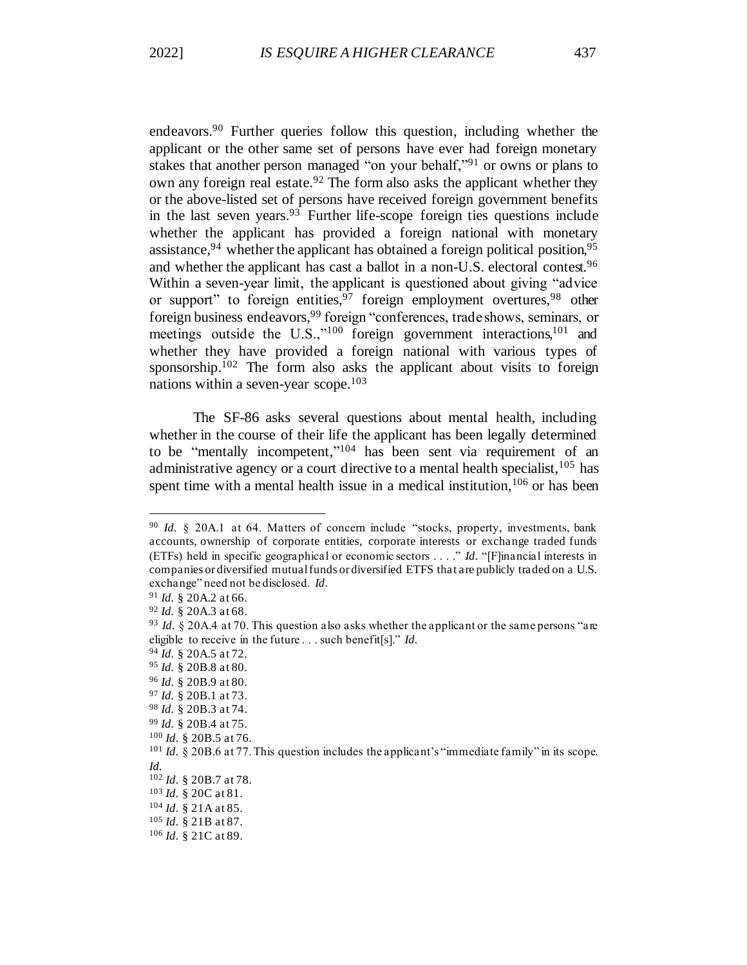endeavors. <sup>90</sup> Further queries follow this question, including whether the applicant or the other same set of persons have ever had foreign monetary stakes that another person managed "on your behalf,"<sup>91</sup> or owns or plans to own any foreign real estate.<sup>92</sup> The form also asks the applicant whether they or the above-listed set of persons have received foreign government benefits in the last seven years. <sup>93</sup> Further life-scope foreign ties questions include whether the applicant has provided a foreign national with monetary assistance, <sup>94</sup> whether the applicant has obtained a foreign political position, <sup>95</sup> and whether the applicant has cast a ballot in a non-U.S. electoral contest.<sup>96</sup> Within a seven-year limit, the applicant is questioned about giving "advice or support" to foreign entities,  $97$  foreign employment overtures,  $98$  other foreign business endeavors, <sup>99</sup> foreign "conferences, trade shows, seminars, or meetings outside the U.S.,"<sup>100</sup> foreign government interactions,<sup>101</sup> and whether they have provided a foreign national with various types of sponsorship.<sup>102</sup> The form also asks the applicant about visits to foreign nations within a seven-year scope. 103

The SF-86 asks several questions about mental health, including whether in the course of their life the applicant has been legally determined to be "mentally incompetent," <sup>104</sup> has been sent via requirement of an administrative agency or a court directive to a mental health specialist,  $105$  has spent time with a mental health issue in a medical institution,  $106$  or has been

<sup>&</sup>lt;sup>90</sup> *Id.* § 20A.1 at 64. Matters of concern include "stocks, property, investments, bank accounts, ownership of corporate entities, corporate interests or exchange traded funds (ETFs) held in specific geographical or economic sectors . . . ." *Id.* "[F]inancial interests in companies or diversified mutual funds or diversified ETFS that are publicly traded on a U.S. exchange" need not be disclosed. *Id.*

<sup>91</sup> *Id.* § 20A.2 at 66.

<sup>92</sup> *Id.* § 20A.3 at 68.

<sup>93</sup> *Id.* § 20A.4 at 70. This question also asks whether the applicant or the same persons "are eligible to receive in the future . . . such benefit[s]." *Id.*

<sup>94</sup> *Id.* § 20A.5 at 72.

<sup>95</sup> *Id.* § 20B.8 at 80.

<sup>96</sup> *Id.* § 20B.9 at 80.

<sup>97</sup> *Id.* § 20B.1 at 73.

<sup>98</sup> *Id.* § 20B.3 at 74.

<sup>99</sup> *Id.* § 20B.4 at 75.

<sup>100</sup> *Id.* § 20B.5 at 76.

<sup>&</sup>lt;sup>101</sup> *Id.* § 20B.6 at 77. This question includes the applicant's "immediate family" in its scope. *Id.*

<sup>102</sup> *Id.* § 20B.7 at 78.

<sup>103</sup> *Id.* § 20C at 81.

<sup>104</sup> *Id.* § 21A at 85.

<sup>105</sup> *Id.* § 21B at 87.

<sup>106</sup> *Id.* § 21C at 89.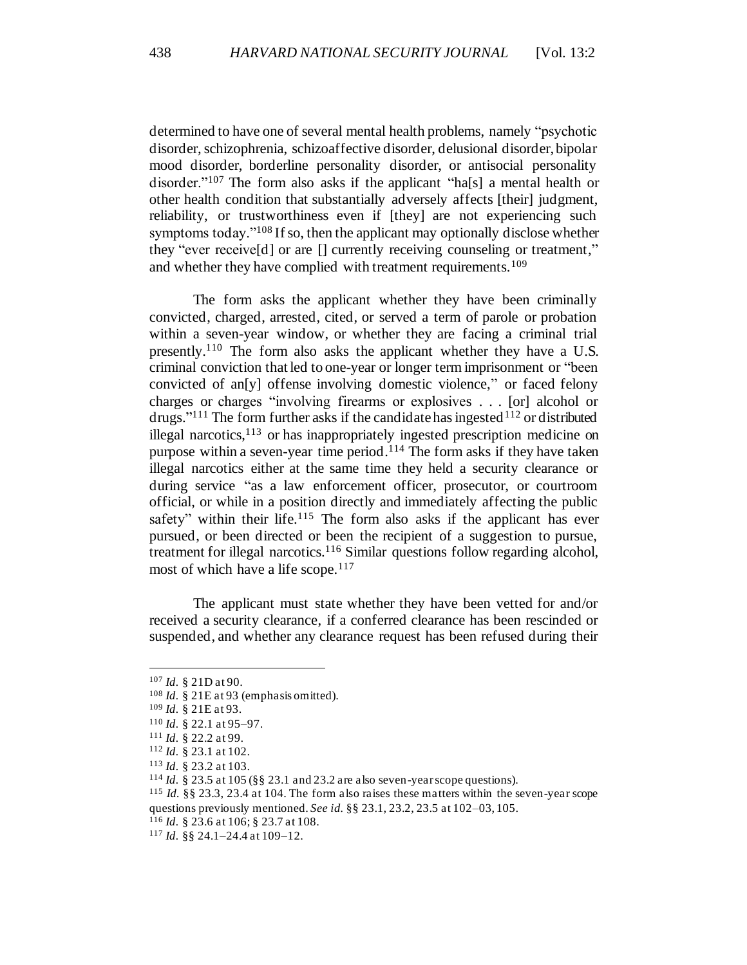determined to have one of several mental health problems, namely "psychotic disorder, schizophrenia, schizoaffective disorder, delusional disorder, bipolar mood disorder, borderline personality disorder, or antisocial personality disorder."<sup>107</sup> The form also asks if the applicant "hals a mental health or other health condition that substantially adversely affects [their] judgment, reliability, or trustworthiness even if [they] are not experiencing such symptoms today."<sup>108</sup> If so, then the applicant may optionally disclose whether they "ever receive[d] or are [] currently receiving counseling or treatment," and whether they have complied with treatment requirements.<sup>109</sup>

The form asks the applicant whether they have been criminally convicted, charged, arrested, cited, or served a term of parole or probation within a seven-year window, or whether they are facing a criminal trial presently.<sup>110</sup> The form also asks the applicant whether they have a U.S. criminal conviction that led to one-year or longer term imprisonment or "been convicted of an[y] offense involving domestic violence," or faced felony charges or charges "involving firearms or explosives . . . [or] alcohol or drugs."<sup>111</sup> The form further asks if the candidate has ingested<sup>112</sup> or distributed illegal narcotics, <sup>113</sup> or has inappropriately ingested prescription medicine on purpose within a seven-year time period. <sup>114</sup> The form asks if they have taken illegal narcotics either at the same time they held a security clearance or during service "as a law enforcement officer, prosecutor, or courtroom official, or while in a position directly and immediately affecting the public safety" within their life.<sup>115</sup> The form also asks if the applicant has ever pursued, or been directed or been the recipient of a suggestion to pursue, treatment for illegal narcotics.<sup>116</sup> Similar questions follow regarding alcohol, most of which have a life scope. $117$ 

The applicant must state whether they have been vetted for and/or received a security clearance, if a conferred clearance has been rescinded or suspended, and whether any clearance request has been refused during their

<sup>107</sup> *Id.* § 21D at 90.

<sup>&</sup>lt;sup>108</sup> *Id.* § 21E at 93 (emphasis omitted).

<sup>109</sup> *Id.* § 21E at 93.

<sup>110</sup> *Id.* § 22.1 at 95–97.

<sup>111</sup> *Id.* § 22.2 at 99.

<sup>112</sup> *Id.* § 23.1 at 102.

<sup>113</sup> *Id.* § 23.2 at 103.

<sup>114</sup> *Id.* § 23.5 at 105 (§§ 23.1 and 23.2 are also seven-year scope questions).

<sup>115</sup> *Id.* §§ 23.3, 23.4 at 104. The form also raises these matters within the seven-year scope questions previously mentioned. *See id.* §§ 23.1, 23.2, 23.5 at 102–03, 105.

<sup>116</sup> *Id.* § 23.6 at 106; § 23.7 at 108.

<sup>117</sup> *Id.* §§ 24.1–24.4 at 109–12.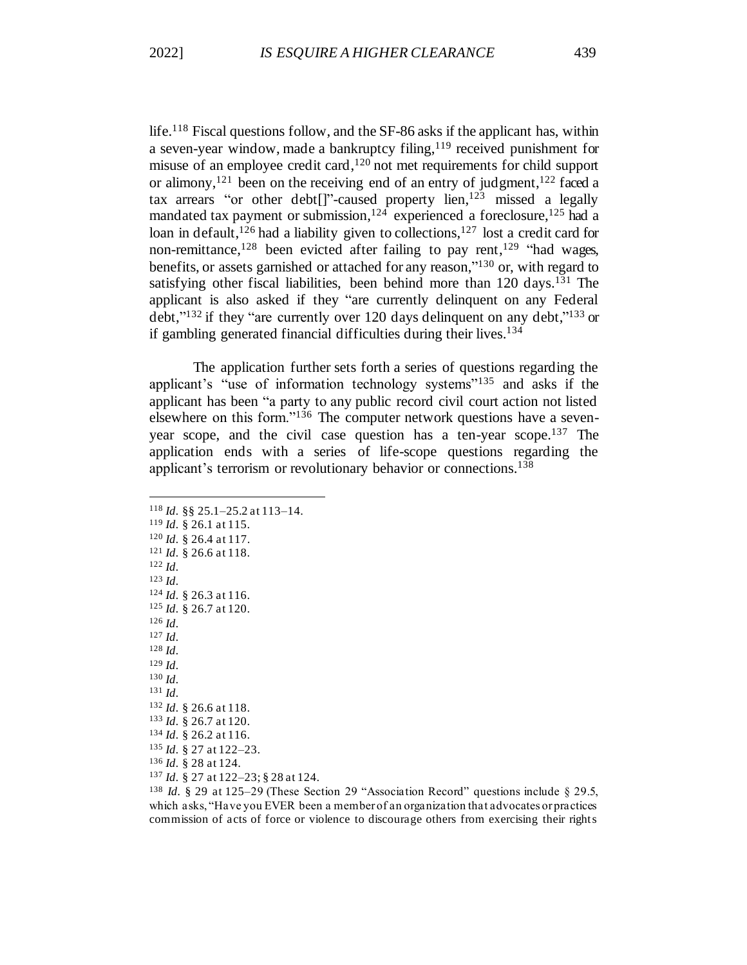life.<sup>118</sup> Fiscal questions follow, and the SF-86 asks if the applicant has, within a seven-year window, made a bankruptcy filing, <sup>119</sup> received punishment for misuse of an employee credit card, <sup>120</sup> not met requirements for child support or alimony,<sup>121</sup> been on the receiving end of an entry of judgment,<sup>122</sup> faced a tax arrears "or other debt[]"-caused property lien, <sup>123</sup> missed a legally mandated tax payment or submission,<sup>124</sup> experienced a foreclosure,<sup>125</sup> had a loan in default,<sup>126</sup> had a liability given to collections,<sup>127</sup> lost a credit card for non-remittance,<sup>128</sup> been evicted after failing to pay rent,<sup>129</sup> "had wages, benefits, or assets garnished or attached for any reason,"<sup>130</sup> or, with regard to satisfying other fiscal liabilities, been behind more than 120 days.<sup>131</sup> The applicant is also asked if they "are currently delinquent on any Federal debt," $^{132}$  if they "are currently over 120 days delinquent on any debt," $^{133}$  or if gambling generated financial difficulties during their lives. 134

The application further sets forth a series of questions regarding the applicant's "use of information technology systems"<sup>135</sup> and asks if the applicant has been "a party to any public record civil court action not listed elsewhere on this form."<sup>136</sup> The computer network questions have a sevenyear scope, and the civil case question has a ten-year scope.<sup>137</sup> The application ends with a series of life-scope questions regarding the applicant's terrorism or revolutionary behavior or connections.<sup>138</sup>

<sup>118</sup> *Id.* §§ 25.1–25.2 at 113–14. <sup>119</sup> *Id.* § 26.1 at 115. <sup>120</sup> *Id.* § 26.4 at 117. <sup>121</sup> *Id.* § 26.6 at 118. <sup>122</sup> *Id.* <sup>123</sup> *Id.* <sup>124</sup> *Id.* § 26.3 at 116. <sup>125</sup> *Id.* § 26.7 at 120. <sup>126</sup> *Id.* <sup>127</sup> *Id.* <sup>128</sup> *Id.* <sup>129</sup> *Id.* <sup>130</sup> *Id.* <sup>131</sup> *Id.* <sup>132</sup> *Id.* § 26.6 at 118. <sup>133</sup> *Id.* § 26.7 at 120. <sup>134</sup> *Id.* § 26.2 at 116. <sup>135</sup> *Id.* § 27 at 122–23. <sup>136</sup> *Id.* § 28 at 124. <sup>137</sup> *Id.* § 27 at 122–23; § 28 at 124.

<sup>138</sup> *Id.* § 29 at 125–29 (These Section 29 "Association Record" questions include § 29.5, which asks, "Have you EVER been a member of an organization that advocates or practices commission of acts of force or violence to discourage others from exercising their rights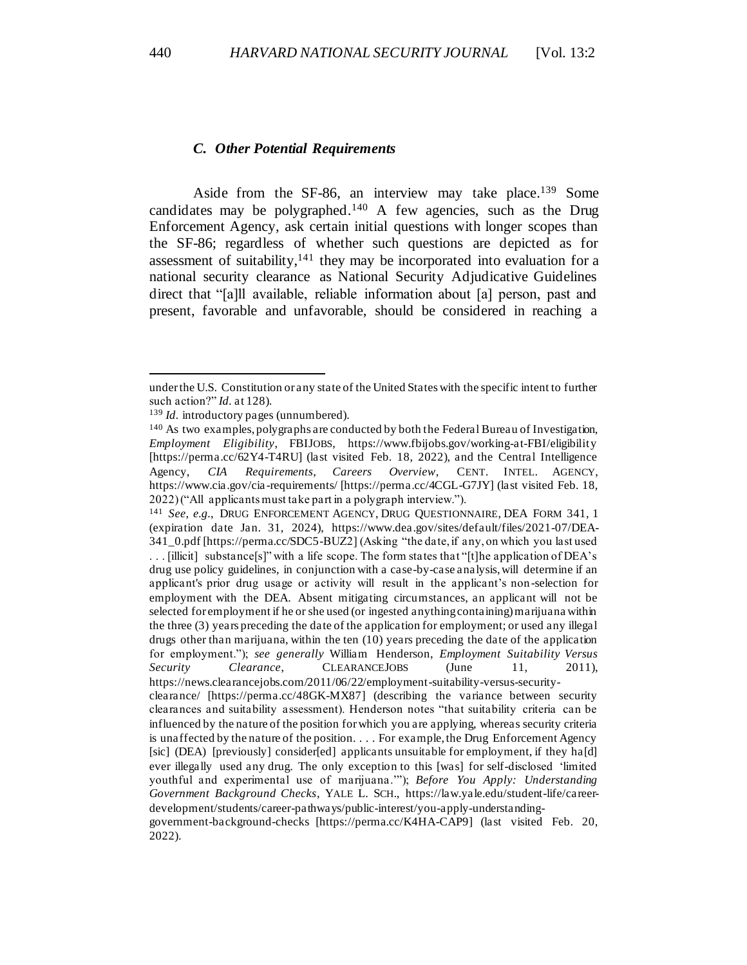#### *C. Other Potential Requirements*

Aside from the SF-86, an interview may take place.<sup>139</sup> Some candidates may be polygraphed.<sup>140</sup> A few agencies, such as the Drug Enforcement Agency, ask certain initial questions with longer scopes than the SF-86; regardless of whether such questions are depicted as for assessment of suitability, $141$  they may be incorporated into evaluation for a national security clearance as National Security Adjudicative Guidelines direct that "[a]ll available, reliable information about [a] person, past and present, favorable and unfavorable, should be considered in reaching a

under the U.S. Constitution or any state of the United States with the specific intent to further such action?" *Id.* at 128).

<sup>139</sup> *Id.* introductory pages (unnumbered).

<sup>140</sup> As two examples, polygraphs are conducted by both the Federal Bureau of Investigation, *Employment Eligibility*, FBIJOBS, https://www.fbijobs.gov/working-at-FBI/eligibility [https://perma.cc/62Y4-T4RU] (last visited Feb. 18, 2022), and the Central Intelligence Agency, *CIA Requirements*, *Careers Overview*, CENT. INTEL. AGENCY, https://www.cia.gov/cia -requirements/ [https://perma.cc/4CGL-G7JY] (last visited Feb. 18, 2022) ("All applicants must take part in a polygraph interview.").

<sup>141</sup> *See, e.g.*, DRUG ENFORCEMENT AGENCY, DRUG QUESTIONNAIRE, DEA FORM 341, 1 (expiration date Jan. 31, 2024), https://www.dea.gov/sites/default/files/2021-07/DEA-341\_0.pdf [https://perma.cc/SDC5-BUZ2] (Asking "the date, if any, on which you last used . . . [illicit] substance[s]" with a life scope. The form states that "[t]he application of DEA's drug use policy guidelines, in conjunction with a case-by-case analysis, will determine if an applicant's prior drug usage or activity will result in the applicant's non -selection for employment with the DEA. Absent mitigating circumstances, an applicant will not be selected for employment if he or she used (or ingested anything containing) marijuana within the three (3) years preceding the date of the application for employment; or used any illegal drugs other than marijuana, within the ten (10) years preceding the date of the application for employment."); *see generally* William Henderson, *Employment Suitability Versus Security Clearance*, CLEARANCEJOBS (June 11, 2011), https://news.clearancejobs.com/2011/06/22/employment-suitability-versus-securityclearance/ [https://perma.cc/48GK-MX87] (describing the variance between security clearances and suitability assessment). Henderson notes "that suitability criteria can be influenced by the nature of the position for which you are applying, whereas security criteria is unaffected by the nature of the position. . . . For example, the Drug Enforcement Agency [sic] (DEA) [previously] consider[ed] applicants unsuitable for employment, if they ha[d] ever illegally used any drug. The only exception to this [was] for self-disclosed 'limited youthful and experimental use of marijuana.'"); *Before You Apply: Understanding Government Background Checks*, YALE L. SCH., https://law.yale.edu/student-life/careerdevelopment/students/career-pathways/public-interest/you-apply-understanding-

government-background-checks [https://perma.cc/K4HA-CAP9] (last visited Feb. 20, 2022).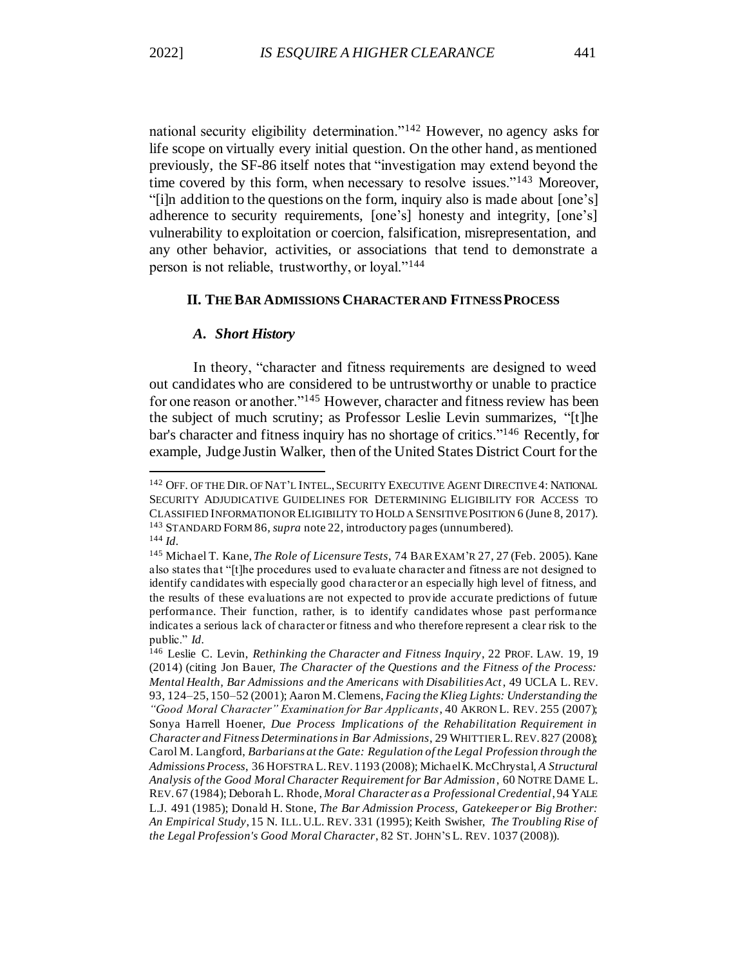national security eligibility determination."<sup>142</sup> However, no agency asks for life scope on virtually every initial question. On the other hand, as mentioned previously, the SF-86 itself notes that "investigation may extend beyond the time covered by this form, when necessary to resolve issues."<sup>143</sup> Moreover, "[i]n addition to the questions on the form, inquiry also is made about [one's] adherence to security requirements, [one's] honesty and integrity, [one's] vulnerability to exploitation or coercion, falsification, misrepresentation, and any other behavior, activities, or associations that tend to demonstrate a person is not reliable, trustworthy, or loyal."<sup>144</sup>

### **II. THE BAR ADMISSIONS CHARACTER AND FITNESS PROCESS**

#### *A. Short History*

In theory, "character and fitness requirements are designed to weed out candidates who are considered to be untrustworthy or unable to practice for one reason or another."<sup>145</sup> However, character and fitness review has been the subject of much scrutiny; as Professor Leslie Levin summarizes, "[t]he bar's character and fitness inquiry has no shortage of critics."<sup>146</sup> Recently, for example, Judge Justin Walker, then of the United States District Court for the

<sup>142</sup> OFF. OF THE DIR. OF NAT'L INTEL.,SECURITY EXECUTIVE AGENT DIRECTIVE 4: NATIONAL SECURITY ADJUDICATIVE GUIDELINES FOR DETERMINING ELIGIBILITY FOR ACCESS TO CLASSIFIED INFORMATION OR ELIGIBILITY TO HOLD A SENSITIVE POSITION 6 (June 8, 2017). <sup>143</sup> STANDARD FORM 86*, supra* note 22, introductory pages (unnumbered). <sup>144</sup> *Id.*

<sup>145</sup> Michael T. Kane, *The Role of Licensure Tests*, 74 BAR EXAM'R 27, 27 (Feb. 2005). Kane also states that "[t]he procedures used to evaluate character and fitness are not designed to identify candidates with especially good character or an especially high level of fitness, and the results of these evaluations are not expected to provide accurate predictions of future performance. Their function, rather, is to identify candidates whose past performance indicates a serious lack of character or fitness and who therefore represent a clear risk to the public." *Id.*

<sup>146</sup> Leslie C. Levin, *Rethinking the Character and Fitness Inquiry*, 22 PROF. LAW. 19, 19 (2014) (citing Jon Bauer, *The Character of the Questions and the Fitness of the Process: Mental Health, Bar Admissions and the Americans with Disabilities Act*, 49 UCLA L. REV. 93, 124–25, 150–52 (2001); Aaron M. Clemens, *Facing the Klieg Lights: Understanding the "Good Moral Character" Examination for Bar Applicants*, 40 AKRON L. REV. 255 (2007); Sonya Harrell Hoener, *Due Process Implications of the Rehabilitation Requirement in Character and Fitness Determinations in Bar Admissions*, 29 WHITTIER L.REV. 827 (2008); Carol M. Langford, *Barbarians at the Gate: Regulation of the Legal Profession through the Admissions Process*, 36 HOFSTRA L.REV. 1193 (2008); Michael K. McChrystal, *A Structural Analysis of the Good Moral Character Requirement for Bar Admission*, 60 NOTRE DAME L. REV. 67 (1984); Deborah L. Rhode, *Moral Character as a Professional Credential*, 94 YALE L.J. 491 (1985); Donald H. Stone, *The Bar Admission Process, Gatekeeper or Big Brother: An Empirical Study*, 15 N. ILL.U.L. REV. 331 (1995); Keith Swisher, *The Troubling Rise of the Legal Profession's Good Moral Character*, 82 ST. JOHN'S L. REV. 1037 (2008)).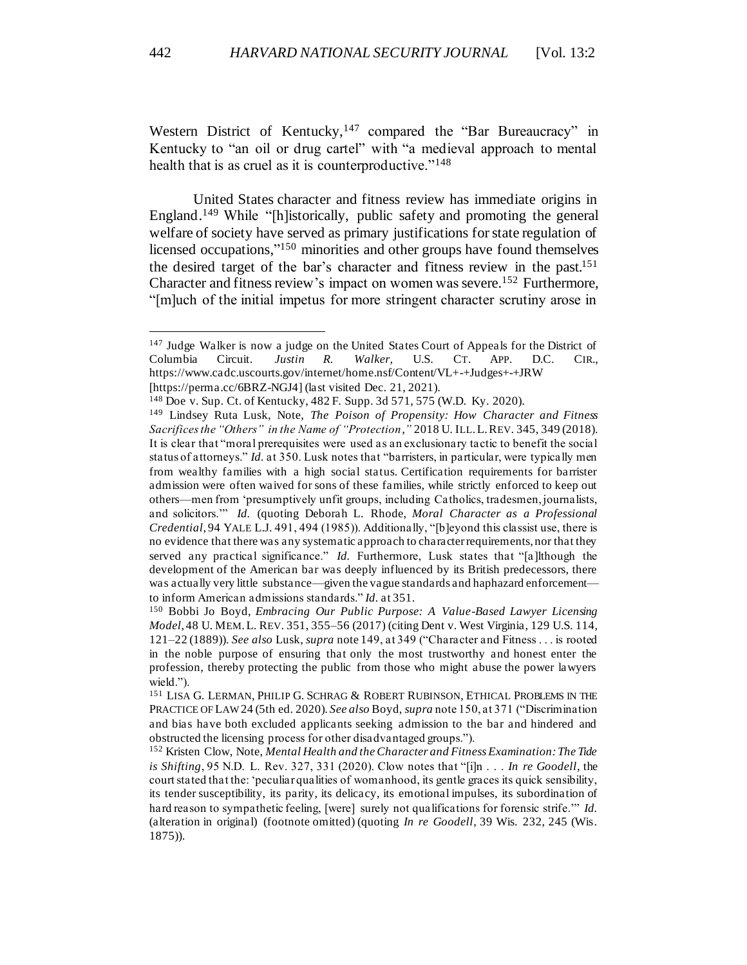Western District of Kentucky,<sup>147</sup> compared the "Bar Bureaucracy" in Kentucky to "an oil or drug cartel" with "a medieval approach to mental health that is as cruel as it is counterproductive."<sup>148</sup>

United States character and fitness review has immediate origins in England. <sup>149</sup> While "[h]istorically, public safety and promoting the general welfare of society have served as primary justifications for state regulation of licensed occupations,"<sup>150</sup> minorities and other groups have found themselves the desired target of the bar's character and fitness review in the past. 151 Character and fitness review's impact on women was severe. <sup>152</sup> Furthermore, "[m]uch of the initial impetus for more stringent character scrutiny arose in

<sup>&</sup>lt;sup>147</sup> Judge Walker is now a judge on the United States Court of Appeals for the District of Columbia Circuit. *Justin R. Walker,* U.S. CT. APP. D.C. CIR., https://www.cadc.uscourts.gov/internet/home.nsf/Content/VL+-+Judges+-+JRW [https://perma.cc/6BRZ-NGJ4] (last visited Dec. 21, 2021).

<sup>148</sup> Doe v. Sup. Ct. of Kentucky, 482 F. Supp. 3d 571, 575 (W.D. Ky. 2020).

<sup>149</sup> Lindsey Ruta Lusk, Note, *The Poison of Propensity: How Character and Fitness Sacrifices the "Others" in the Name of "Protection*,*"* 2018 U. ILL.L.REV. 345, 349 (2018). It is clear that "moral prerequisites were used as an exclusionary tactic to benefit the social status of attorneys." *Id.* at 350. Lusk notes that "barristers, in particular, were typically men from wealthy families with a high social status. Certification requirements for barrister admission were often waived for sons of these families, while strictly enforced to keep out others—men from 'presumptively unfit groups, including Catholics, tradesmen, journalists, and solicitors.'" *Id.* (quoting Deborah L. Rhode, *Moral Character as a Professional Credential*, 94 YALE L.J. 491, 494 (1985)). Additionally, "[b]eyond this classist use, there is no evidence that there was any systematic approach to character requirements, nor that they served any practical significance." *Id.* Furthermore, Lusk states that "[a]lthough the development of the American bar was deeply influenced by its British predecessors, there was actually very little substance—given the vague standards and haphazard enforcement to inform American admissions standards." *Id.* at 351.

<sup>150</sup> Bobbi Jo Boyd, *Embracing Our Public Purpose: A Value-Based Lawyer Licensing Model*, 48 U. MEM.L. REV. 351, 355–56 (2017) (citing Dent v. West Virginia, 129 U.S. 114, 121–22 (1889)). *See also* Lusk, *supra* note 149, at 349 ("Character and Fitness . . . is rooted in the noble purpose of ensuring that only the most trustworthy and honest enter the profession, thereby protecting the public from those who might abuse the power lawyers wield.").

<sup>151</sup> LISA G. LERMAN, PHILIP G. SCHRAG & ROBERT RUBINSON, ETHICAL PROBLEMS IN THE PRACTICE OF LAW24 (5th ed. 2020). *See also* Boyd, *supra* note 150, at 371 ("Discrimination and bias have both excluded applicants seeking admission to the bar and hindered and obstructed the licensing process for other disadvantaged groups.").

<sup>152</sup> Kristen Clow, Note, *Mental Health and the Character and Fitness Examination: The Tide is Shifting*, 95 N.D. L. Rev. 327, 331 (2020). Clow notes that "[i]n . . . *In re Goodell*, the court stated that the: 'peculiar qualities of womanhood, its gentle graces its quick sensibility, its tender susceptibility, its parity, its delicacy, its emotional impulses, its subordination of hard reason to sympathetic feeling, [were] surely not qualifications for forensic strife.'" *Id.* (alteration in original) (footnote omitted) (quoting *In re Goodell*, 39 Wis. 232, 245 (Wis. 1875)).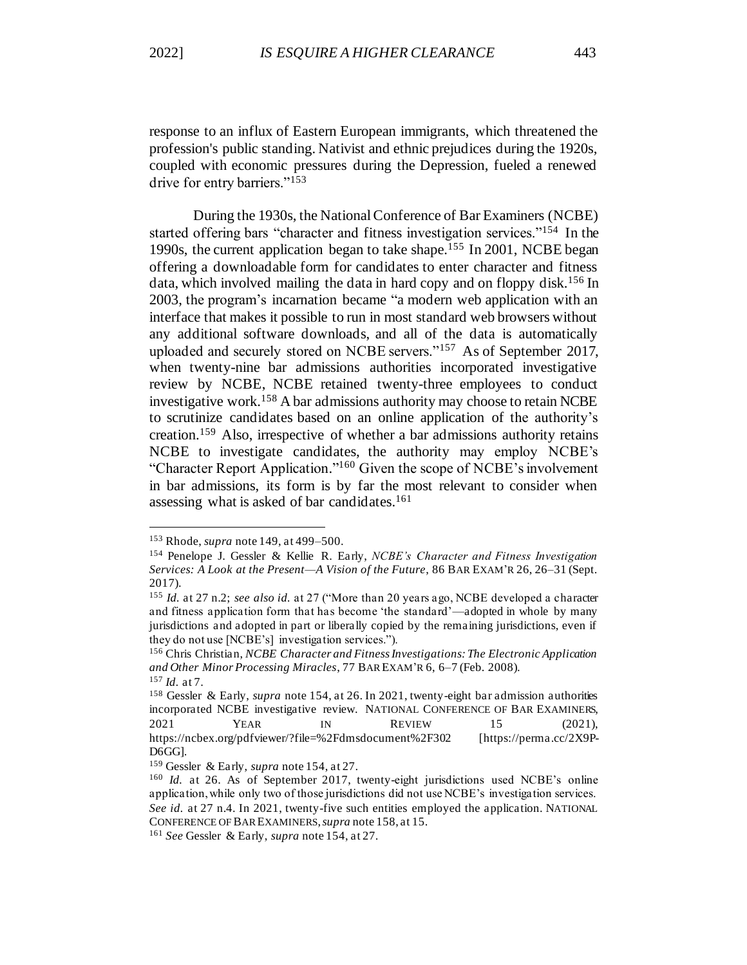response to an influx of Eastern European immigrants, which threatened the profession's public standing. Nativist and ethnic prejudices during the 1920s, coupled with economic pressures during the Depression, fueled a renewed drive for entry barriers."<sup>153</sup>

During the 1930s, the National Conference of Bar Examiners (NCBE) started offering bars "character and fitness investigation services."<sup>154</sup> In the 1990s, the current application began to take shape.<sup>155</sup> In 2001, NCBE began offering a downloadable form for candidates to enter character and fitness data, which involved mailing the data in hard copy and on floppy disk.<sup>156</sup> In 2003, the program's incarnation became "a modern web application with an interface that makes it possible to run in most standard web browsers without any additional software downloads, and all of the data is automatically uploaded and securely stored on NCBE servers."<sup>157</sup> As of September 2017, when twenty-nine bar admissions authorities incorporated investigative review by NCBE, NCBE retained twenty-three employees to conduct investigative work.<sup>158</sup> A bar admissions authority may choose to retain NCBE to scrutinize candidates based on an online application of the authority's creation.<sup>159</sup> Also, irrespective of whether a bar admissions authority retains NCBE to investigate candidates, the authority may employ NCBE's "Character Report Application." <sup>160</sup> Given the scope of NCBE's involvement in bar admissions, its form is by far the most relevant to consider when assessing what is asked of bar candidates. 161

<sup>153</sup> Rhode, *supra* note 149, at 499–500.

<sup>154</sup> Penelope J. Gessler & Kellie R. Early, *NCBE's Character and Fitness Investigation Services: A Look at the Present—A Vision of the Future*, 86 BAR EXAM'R 26, 26–31 (Sept. 2017).

<sup>155</sup> *Id.* at 27 n.2; *see also id.* at 27 ("More than 20 years ago, NCBE developed a character and fitness application form that has become 'the standard'—adopted in whole by many jurisdictions and adopted in part or liberally copied by the remaining jurisdictions, even if they do not use [NCBE's] investigation services.").

<sup>156</sup> Chris Christian, *NCBE Character and Fitness Investigations: The Electronic Application and Other Minor Processing Miracles*, 77 BAR EXAM'R 6, 6–7 (Feb. 2008). <sup>157</sup> *Id.* at 7.

<sup>&</sup>lt;sup>158</sup> Gessler & Early, *supra* note 154, at 26. In 2021, twenty-eight bar admission authorities incorporated NCBE investigative review. NATIONAL CONFERENCE OF BAR EXAMINERS, 2021 **YEAR** IN REVIEW 15 (2021), https://ncbex.org/pdfviewer/?file=%2Fdmsdocument%2F302 [https://perma.cc/2X9P-D6GG].

<sup>159</sup> Gessler & Early, *supra* note 154, at 27.

<sup>160</sup> *Id.* at 26. As of September 2017, twenty-eight jurisdictions used NCBE's online application, while only two of those jurisdictions did not use NCBE's investigation services. *See id.* at 27 n.4. In 2021, twenty-five such entities employed the application. NATIONAL CONFERENCE OF BAR EXAMINERS, *supra* note 158, at 15.

<sup>161</sup> *See* Gessler & Early, *supra* note 154, at 27.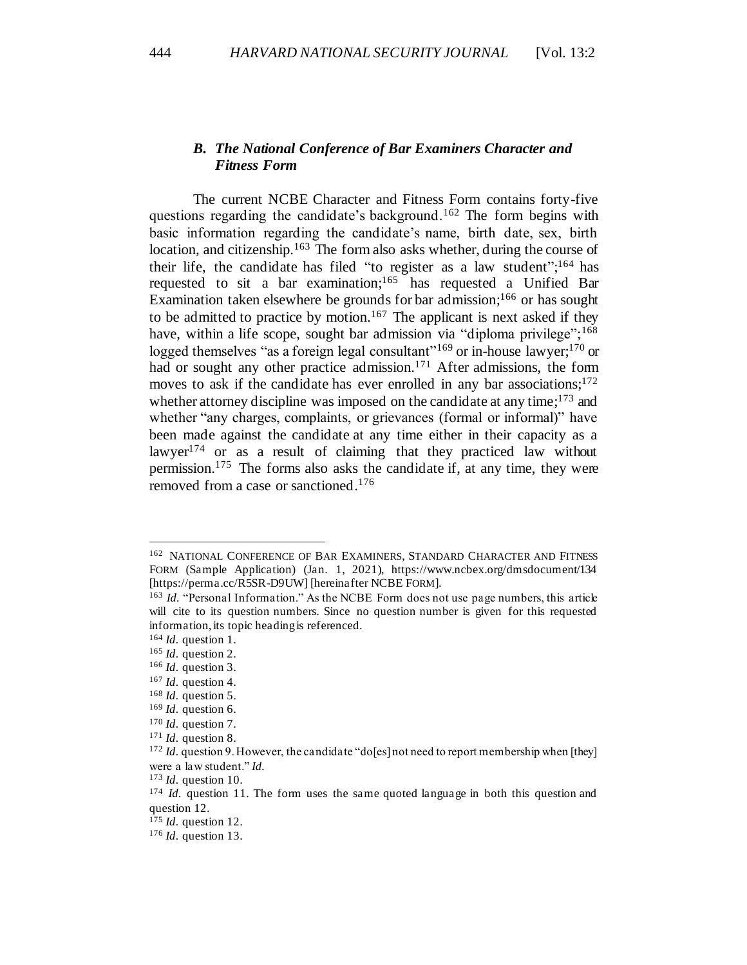# *B. The National Conference of Bar Examiners Character and Fitness Form*

The current NCBE Character and Fitness Form contains forty-five questions regarding the candidate's background.<sup>162</sup> The form begins with basic information regarding the candidate's name, birth date, sex, birth location, and citizenship.<sup>163</sup> The form also asks whether, during the course of their life, the candidate has filed "to register as a law student"; $^{164}$  has requested to sit a bar examination; <sup>165</sup> has requested a Unified Bar Examination taken elsewhere be grounds for bar admission;<sup>166</sup> or has sought to be admitted to practice by motion.<sup>167</sup> The applicant is next asked if they have, within a life scope, sought bar admission via "diploma privilege";<sup>168</sup> logged themselves "as a foreign legal consultant"<sup>169</sup> or in-house lawyer;<sup>170</sup> or had or sought any other practice admission.<sup>171</sup> After admissions, the form moves to ask if the candidate has ever enrolled in any bar associations;<sup>172</sup> whether attorney discipline was imposed on the candidate at any time;<sup>173</sup> and whether "any charges, complaints, or grievances (formal or informal)" have been made against the candidate at any time either in their capacity as a lawyer<sup>174</sup> or as a result of claiming that they practiced law without permission.<sup>175</sup> The forms also asks the candidate if, at any time, they were removed from a case or sanctioned. 176

<sup>&</sup>lt;sup>162</sup> NATIONAL CONFERENCE OF BAR EXAMINERS, STANDARD CHARACTER AND FITNESS FORM (Sample Application) (Jan. 1, 2021), https://www.ncbex.org/dmsdocument/134 [https://perma.cc/R5SR-D9UW] [hereinafter NCBE FORM].

<sup>&</sup>lt;sup>163</sup> *Id.* "Personal Information." As the NCBE Form does not use page numbers, this article will cite to its question numbers. Since no question number is given for this requested information, its topic heading is referenced.

<sup>164</sup> *Id.* question 1.

<sup>165</sup> *Id.* question 2.

<sup>166</sup> *Id.* question 3.

<sup>167</sup> *Id.* question 4.

<sup>168</sup> *Id.* question 5.

<sup>169</sup> *Id.* question 6.

<sup>170</sup> *Id.* question 7.

<sup>171</sup> *Id.* question 8.

<sup>&</sup>lt;sup>172</sup> *Id.* question 9. However, the candidate "do[es] not need to report membership when [they] were a law student." *Id.*

<sup>173</sup> *Id.* question 10.

<sup>&</sup>lt;sup>174</sup> *Id.* question 11. The form uses the same quoted language in both this question and question 12.

<sup>175</sup> *Id.* question 12.

<sup>176</sup> *Id.* question 13.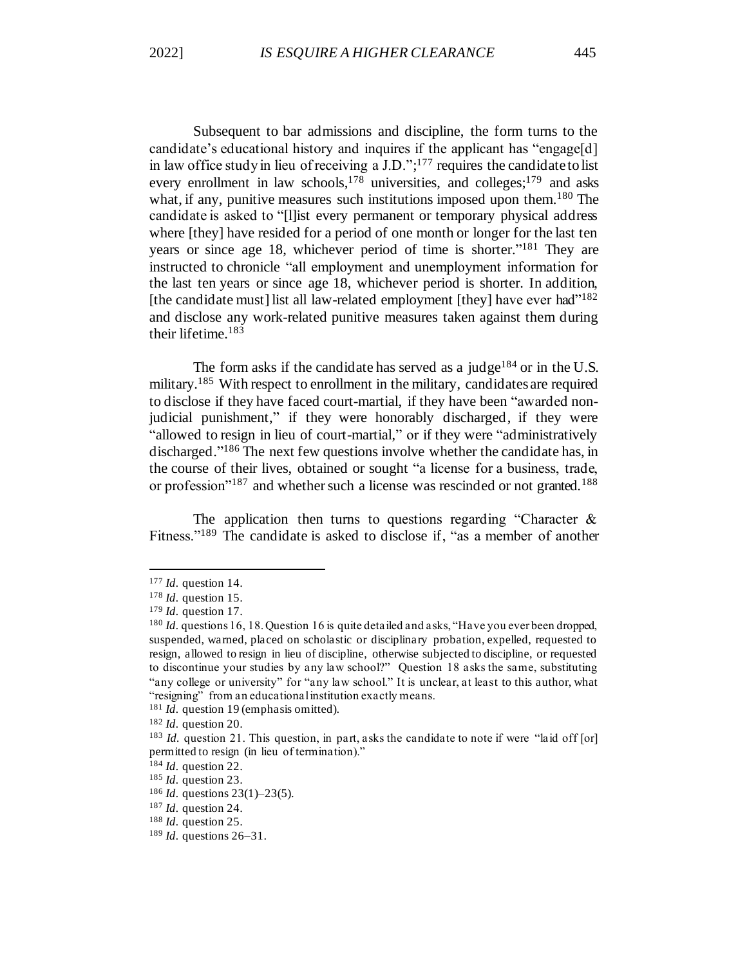Subsequent to bar admissions and discipline, the form turns to the candidate's educational history and inquires if the applicant has "engage[d] in law office study in lieu of receiving a J.D.";<sup>177</sup> requires the candidate to list every enrollment in law schools,<sup>178</sup> universities, and colleges;<sup>179</sup> and asks what, if any, punitive measures such institutions imposed upon them.<sup>180</sup> The candidate is asked to "[l]ist every permanent or temporary physical address where [they] have resided for a period of one month or longer for the last ten years or since age 18, whichever period of time is shorter."<sup>181</sup> They are instructed to chronicle "all employment and unemployment information for the last ten years or since age 18, whichever period is shorter. In addition, [the candidate must] list all law-related employment [they] have ever had"<sup>182</sup> and disclose any work-related punitive measures taken against them during their lifetime. 183

The form asks if the candidate has served as a judge<sup>184</sup> or in the U.S. military.<sup>185</sup> With respect to enrollment in the military, candidates are required to disclose if they have faced court-martial, if they have been "awarded nonjudicial punishment," if they were honorably discharged, if they were "allowed to resign in lieu of court-martial," or if they were "administratively discharged." <sup>186</sup> The next few questions involve whether the candidate has, in the course of their lives, obtained or sought "a license for a business, trade, or profession"<sup>187</sup> and whether such a license was rescinded or not granted.<sup>188</sup>

The application then turns to questions regarding "Character  $\&$ Fitness."<sup>189</sup> The candidate is asked to disclose if, "as a member of another

<sup>177</sup> *Id.* question 14.

<sup>178</sup> *Id.* question 15.

<sup>179</sup> *Id.* question 17.

<sup>180</sup> *Id.* questions 16, 18. Question 16 is quite detailed and asks, "Have you ever been dropped, suspended, warned, placed on scholastic or disciplinary probation, expelled, requested to resign, allowed to resign in lieu of discipline, otherwise subjected to discipline, or requested to discontinue your studies by any law school?" Question 18 asks the same, substituting "any college or university" for "any law school." It is unclear, at least to this author, what "resigning" from an educational institution exactly means.

<sup>&</sup>lt;sup>181</sup> *Id.* question 19 (emphasis omitted).

<sup>182</sup> *Id.* question 20.

<sup>&</sup>lt;sup>183</sup> *Id.* question 21. This question, in part, asks the candidate to note if were "laid off [or] permitted to resign (in lieu of termination)."

<sup>&</sup>lt;sup>184</sup> *Id.* question 22.

<sup>185</sup> *Id.* question 23.

<sup>186</sup> *Id.* questions 23(1)–23(5).

<sup>&</sup>lt;sup>187</sup> *Id.* question 24.

<sup>188</sup> *Id.* question 25.

<sup>189</sup> *Id.* questions 26–31.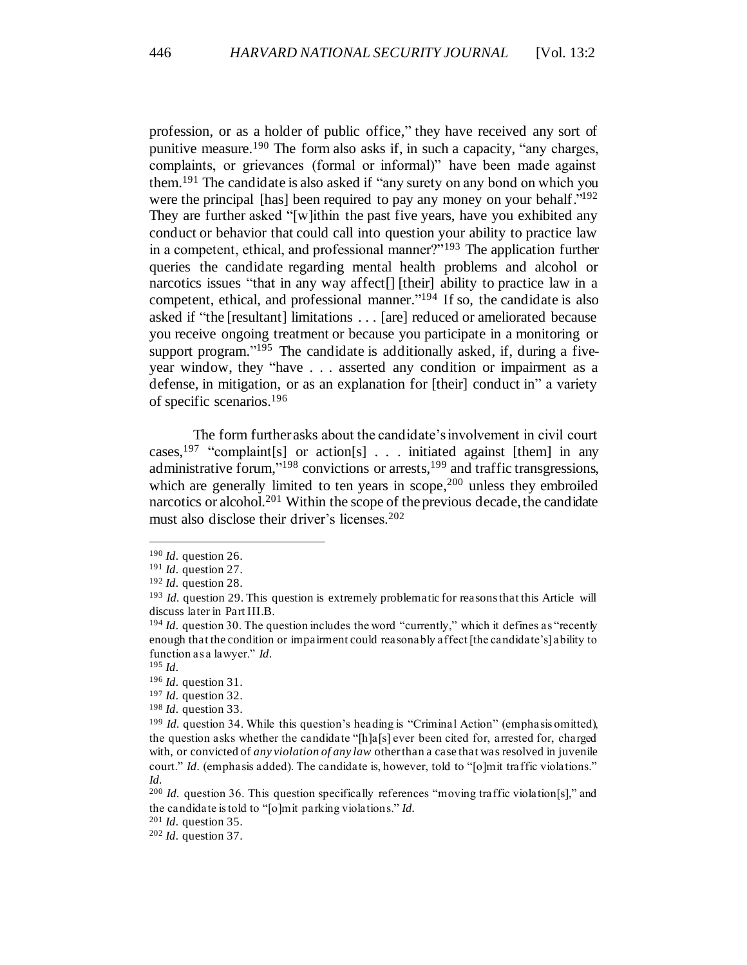profession, or as a holder of public office," they have received any sort of punitive measure.<sup>190</sup> The form also asks if, in such a capacity, "any charges, complaints, or grievances (formal or informal)" have been made against them.<sup>191</sup> The candidate is also asked if "any surety on any bond on which you were the principal [has] been required to pay any money on your behalf."<sup>192</sup> They are further asked "[w]ithin the past five years, have you exhibited any conduct or behavior that could call into question your ability to practice law in a competent, ethical, and professional manner?"<sup>193</sup> The application further queries the candidate regarding mental health problems and alcohol or narcotics issues "that in any way affect[] [their] ability to practice law in a competent, ethical, and professional manner." <sup>194</sup> If so, the candidate is also asked if "the [resultant] limitations . . . [are] reduced or ameliorated because you receive ongoing treatment or because you participate in a monitoring or support program."<sup>195</sup> The candidate is additionally asked, if, during a fiveyear window, they "have . . . asserted any condition or impairment as a defense, in mitigation, or as an explanation for [their] conduct in" a variety of specific scenarios. 196

The form further asks about the candidate's involvement in civil court cases,<sup>197</sup> "complaint[s] or action[s]  $\ldots$  initiated against [them] in any administrative forum,"<sup>198</sup> convictions or arrests,<sup>199</sup> and traffic transgressions, which are generally limited to ten years in scope,<sup>200</sup> unless they embroiled narcotics or alcohol.<sup>201</sup> Within the scope of the previous decade, the candidate must also disclose their driver's licenses.<sup>202</sup>

<sup>201</sup> *Id.* question 35.

<sup>190</sup> *Id.* question 26.

<sup>191</sup> *Id.* question 27.

<sup>192</sup> *Id.* question 28.

<sup>193</sup> *Id.* question 29. This question is extremely problematic for reasons that this Article will discuss later in Part III.B.

<sup>&</sup>lt;sup>194</sup> *Id.* question 30. The question includes the word "currently," which it defines as "recently enough that the condition or impairment could reasonably affect [the candidate's] ability to function as a lawyer." *Id.*

<sup>195</sup> *Id.*

<sup>196</sup> *Id.* question 31.

<sup>197</sup> *Id.* question 32.

<sup>198</sup> *Id.* question 33.

<sup>&</sup>lt;sup>199</sup> *Id.* question 34. While this question's heading is "Criminal Action" (emphasis omitted), the question asks whether the candidate "[h]a[s] ever been cited for, arrested for, charged with, or convicted of *any violation of any law* other than a case that was resolved in juvenile court." *Id.* (emphasis added). The candidate is, however, told to "[o]mit traffic violations." *Id.*

<sup>&</sup>lt;sup>200</sup> *Id.* question 36. This question specifically references "moving traffic violation[s]," and the candidate is told to "[o]mit parking violations." *Id.*

<sup>202</sup> *Id.* question 37.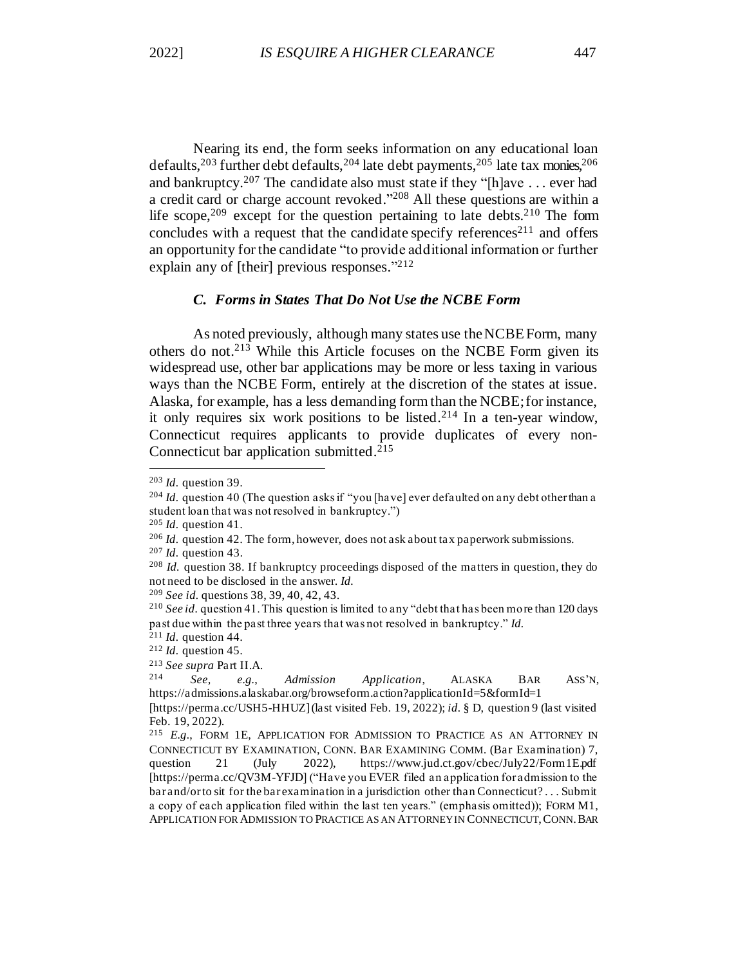Nearing its end, the form seeks information on any educational loan defaults,  $2^{03}$  further debt defaults,  $2^{04}$  late debt payments,  $2^{05}$  late tax monies,  $2^{06}$ and bankruptcy.<sup>207</sup> The candidate also must state if they "[h]ave . . . ever had a credit card or charge account revoked."<sup>208</sup> All these questions are within a life scope,  $209$  except for the question pertaining to late debts.  $210$  The form concludes with a request that the candidate specify references<sup>211</sup> and offers an opportunity for the candidate "to provide additional information or further explain any of [their] previous responses."<sup>212</sup>

# *C. Forms in States That Do Not Use the NCBE Form*

As noted previously, although many states use the NCBE Form, many others do not.<sup>213</sup> While this Article focuses on the NCBE Form given its widespread use, other bar applications may be more or less taxing in various ways than the NCBE Form, entirely at the discretion of the states at issue. Alaska, for example, has a less demanding form than the NCBE; for instance, it only requires six work positions to be listed.<sup>214</sup> In a ten-year window, Connecticut requires applicants to provide duplicates of every non-Connecticut bar application submitted.<sup>215</sup>

<sup>203</sup> *Id.* question 39.

<sup>&</sup>lt;sup>204</sup> *Id.* question 40 (The question asks if "you [have] ever defaulted on any debt other than a student loan that was not resolved in bankruptcy.")

<sup>205</sup> *Id.* question 41.

<sup>206</sup> *Id.* question 42. The form, however, does not ask about tax paperwork submissions.

<sup>207</sup> *Id.* question 43.

<sup>208</sup> *Id.* question 38. If bankruptcy proceedings disposed of the matters in question, they do not need to be disclosed in the answer. *Id.*

<sup>209</sup> *See id.* questions 38, 39, 40, 42, 43.

<sup>210</sup> *See id.* question 41. This question is limited to any "debt that has been more than 120 days past due within the past three years that was not resolved in bankruptcy." *Id.*

<sup>211</sup> *Id.* question 44.

<sup>212</sup> *Id.* question 45.

<sup>213</sup> *See supra* Part II.A.

<sup>214</sup> *See, e.g.*, *Admission Application*, ALASKA BAR ASS'N, https://admissions.alaskabar.org/browseform.action?applicationId=5&formId=1

<sup>[</sup>https://perma.cc/USH5-HHUZ] (last visited Feb. 19, 2022); *id.* § D, question 9 (last visited Feb. 19, 2022).

<sup>215</sup> *E.g.*, FORM 1E, APPLICATION FOR ADMISSION TO PRACTICE AS AN ATTORNEY IN CONNECTICUT BY EXAMINATION, CONN. BAR EXAMINING COMM. (Bar Examination) 7, question 21 (July 2022), https://www.jud.ct.gov/cbec/July22/Form1E.pdf [https://perma.cc/QV3M-YFJD] ("Have you EVER filed an application for admission to the bar and/or to sit for the bar examination in a jurisdiction other than Connecticut? . . . Submit a copy of each application filed within the last ten years." (emphasis omitted)); FORM M1, APPLICATION FOR ADMISSION TO PRACTICE AS AN ATTORNEY IN CONNECTICUT, CONN. BAR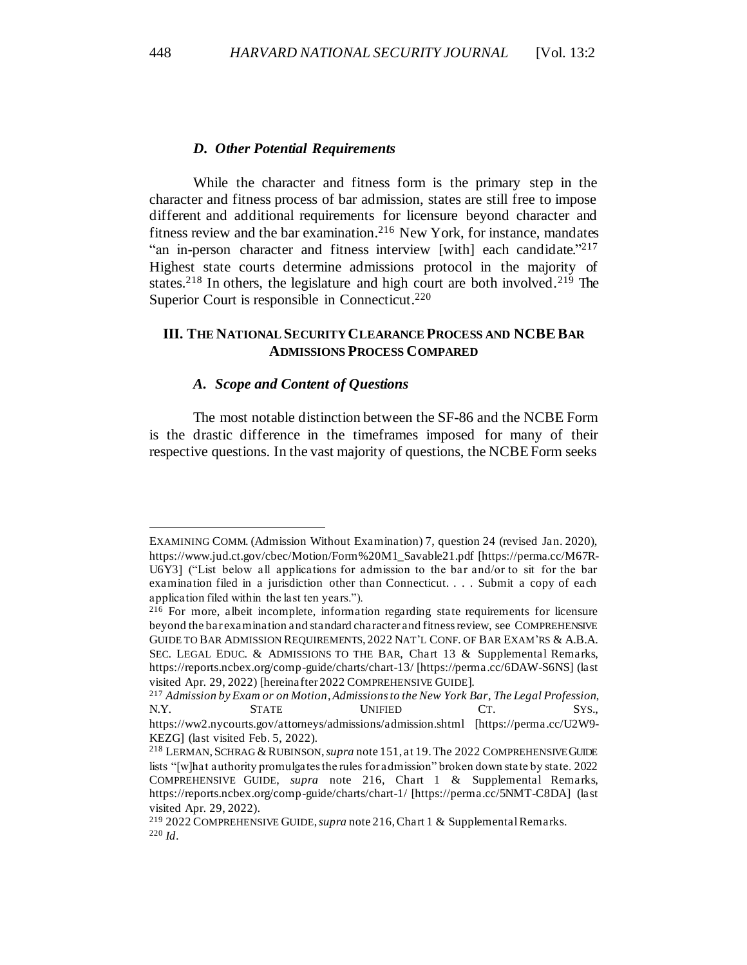### *D. Other Potential Requirements*

While the character and fitness form is the primary step in the character and fitness process of bar admission, states are still free to impose different and additional requirements for licensure beyond character and fitness review and the bar examination. <sup>216</sup> New York, for instance, mandates "an in-person character and fitness interview [with] each candidate."<sup>217</sup> Highest state courts determine admissions protocol in the majority of states.<sup>218</sup> In others, the legislature and high court are both involved.<sup>219</sup> The Superior Court is responsible in Connecticut.<sup>220</sup>

# **III. THE NATIONAL SECURITY CLEARANCE PROCESS AND NCBEBAR ADMISSIONS PROCESS COMPARED**

### *A. Scope and Content of Questions*

The most notable distinction between the SF-86 and the NCBE Form is the drastic difference in the timeframes imposed for many of their respective questions. In the vast majority of questions, the NCBE Form seeks

EXAMINING COMM. (Admission Without Examination) 7, question 24 (revised Jan. 2020), https://www.jud.ct.gov/cbec/Motion/Form%20M1\_Savable21.pdf [https://perma.cc/M67R-U6Y3] ("List below all applications for admission to the bar and/or to sit for the bar examination filed in a jurisdiction other than Connecticut. . . . Submit a copy of each application filed within the last ten years.").

<sup>216</sup> For more, albeit incomplete, information regarding state requirements for licensure beyond the bar examination and standard character and fitness review, see COMPREHENSIVE GUIDE TO BAR ADMISSION REQUIREMENTS, 2022 NAT'L CONF. OF BAR EXAM'RS & A.B.A. SEC. LEGAL EDUC. & ADMISSIONS TO THE BAR, Chart 13 & Supplemental Remarks, https://reports.ncbex.org/comp-guide/charts/chart-13/ [https://perma.cc/6DAW-S6NS] (last visited Apr. 29, 2022) [hereinafter 2022 COMPREHENSIVE GUIDE].

<sup>217</sup> *Admission by Exam or on Motion*, *Admissions to the New York Bar*, *The Legal Profession*, N.Y. STATE UNIFIED CT. SYS., https://ww2.nycourts.gov/attorneys/admissions/admission.shtml [https://perma.cc/U2W9- KEZG] (last visited Feb. 5, 2022).

<sup>218</sup> LERMAN,SCHRAG &RUBINSON, *supra* note 151, at 19. The 2022 COMPREHENSIVE GUIDE lists "[w]hat authority promulgates the rules for admission" broken down state by state. 2022 COMPREHENSIVE GUIDE, *supra* note 216, Chart 1 & Supplemental Remarks, https://reports.ncbex.org/comp-guide/charts/chart-1/ [https://perma.cc/5NMT-C8DA] (last visited Apr. 29, 2022).

<sup>219</sup> 2022 COMPREHENSIVE GUIDE, *supra* note 216, Chart 1 & Supplemental Remarks. <sup>220</sup> *Id*.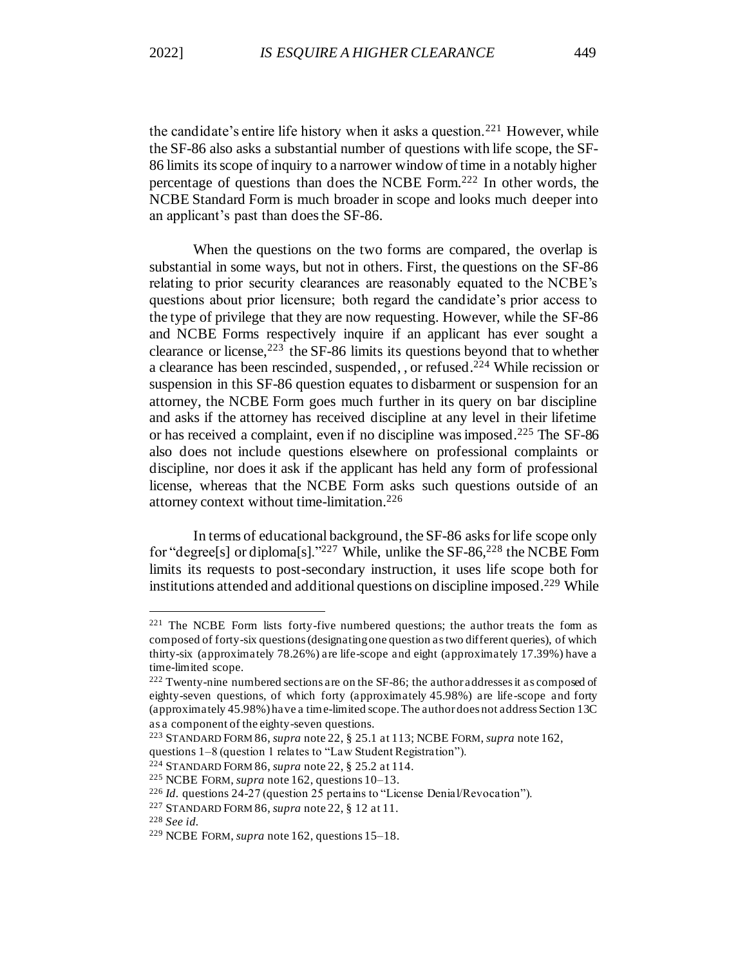the candidate's entire life history when it asks a question.<sup>221</sup> However, while the SF-86 also asks a substantial number of questions with life scope, the SF-86 limits its scope of inquiry to a narrower window of time in a notably higher percentage of questions than does the NCBE Form.<sup>222</sup> In other words, the NCBE Standard Form is much broader in scope and looks much deeper into an applicant's past than does the SF-86.

When the questions on the two forms are compared, the overlap is substantial in some ways, but not in others. First, the questions on the SF-86 relating to prior security clearances are reasonably equated to the NCBE's questions about prior licensure; both regard the candidate's prior access to the type of privilege that they are now requesting. However, while the SF-86 and NCBE Forms respectively inquire if an applicant has ever sought a clearance or license,  $2^{23}$  the SF-86 limits its questions beyond that to whether a clearance has been rescinded, suspended, , or refused. <sup>224</sup> While recission or suspension in this SF-86 question equates to disbarment or suspension for an attorney, the NCBE Form goes much further in its query on bar discipline and asks if the attorney has received discipline at any level in their lifetime or has received a complaint, even if no discipline was imposed.<sup>225</sup> The SF-86 also does not include questions elsewhere on professional complaints or discipline, nor does it ask if the applicant has held any form of professional license, whereas that the NCBE Form asks such questions outside of an attorney context without time-limitation.<sup>226</sup>

In terms of educational background, the SF-86 asks for life scope only for "degree<sup>[s]</sup> or diploma<sup>[s]</sup>."<sup>227</sup> While, unlike the SF-86,<sup>228</sup> the NCBE Form limits its requests to post-secondary instruction, it uses life scope both for institutions attended and additional questions on discipline imposed.<sup>229</sup> While

<sup>221</sup> The NCBE Form lists forty-five numbered questions; the author treats the form as composed of forty-six questions (designating one question as two different queries), of which thirty-six (approximately 78.26%) are life-scope and eight (approximately 17.39%) have a time-limited scope.

<sup>222</sup> Twenty-nine numbered sections are on the SF-86; the author addresses it as composed of eighty-seven questions, of which forty (approximately 45.98%) are life-scope and forty (approximately 45.98%) have a time-limited scope. The author does not address Section 13C as a component of the eighty-seven questions.

<sup>223</sup> STANDARD FORM 86, *supra* note 22, § 25.1 at 113; NCBE FORM, *supra* note 162,

questions 1–8 (question 1 relates to "Law Student Registration").

<sup>224</sup> STANDARD FORM 86, *supra* note 22, § 25.2 at 114.

<sup>225</sup> NCBE FORM, *supra* note 162, questions 10–13.

<sup>226</sup> *Id.* questions 24-27 (question 25 pertains to "License Denial/Revocation").

<sup>227</sup> STANDARD FORM 86, *supra* note 22, § 12 at 11.

<sup>228</sup> *See id.*

<sup>229</sup> NCBE FORM, *supra* note 162, questions 15–18.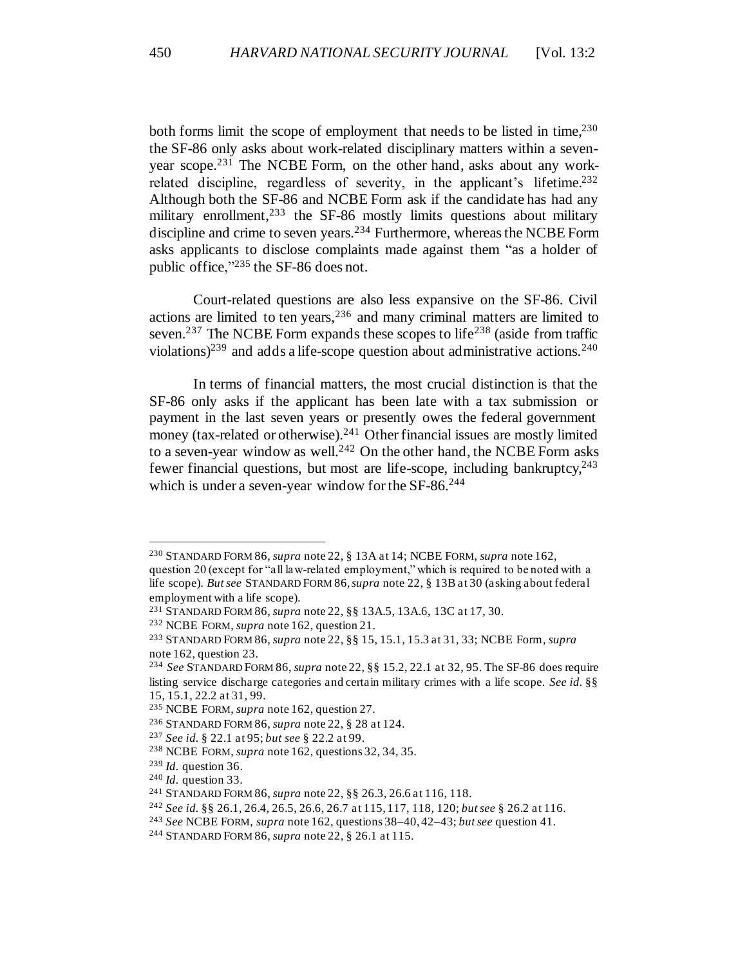both forms limit the scope of employment that needs to be listed in time.<sup>230</sup> the SF-86 only asks about work-related disciplinary matters within a sevenyear scope.<sup>231</sup> The NCBE Form, on the other hand, asks about any workrelated discipline, regardless of severity, in the applicant's lifetime.<sup>232</sup> Although both the SF-86 and NCBE Form ask if the candidate has had any military enrollment,<sup>233</sup> the SF-86 mostly limits questions about military discipline and crime to seven years.<sup>234</sup> Furthermore, whereas the NCBE Form asks applicants to disclose complaints made against them "as a holder of public office,"<sup>235</sup> the SF-86 does not.

Court-related questions are also less expansive on the SF-86. Civil actions are limited to ten years,  $236$  and many criminal matters are limited to seven.<sup>237</sup> The NCBE Form expands these scopes to life<sup>238</sup> (aside from traffic violations)<sup>239</sup> and adds a life-scope question about administrative actions.<sup>240</sup>

In terms of financial matters, the most crucial distinction is that the SF-86 only asks if the applicant has been late with a tax submission or payment in the last seven years or presently owes the federal government money (tax-related or otherwise).<sup>241</sup> Other financial issues are mostly limited to a seven-year window as well.<sup>242</sup> On the other hand, the NCBE Form asks fewer financial questions, but most are life-scope, including bankruptcy,  $243$ which is under a seven-year window for the SF-86.<sup>244</sup>

<sup>230</sup> STANDARD FORM 86, *supra* note 22, § 13A at 14; NCBE FORM, *supra* note 162,

question 20 (except for "all law-related employment," which is required to be noted with a life scope). *But see* STANDARD FORM 86, *supra* note 22, § 13B at 30 (asking about federal employment with a life scope).

<sup>231</sup> STANDARD FORM 86, *supra* note 22, §§ 13A.5, 13A.6, 13C at 17, 30.

<sup>232</sup> NCBE FORM, *supra* note 162, question 21.

<sup>233</sup> STANDARD FORM 86, *supra* note 22, §§ 15, 15.1, 15.3 at 31, 33; NCBE Form, *supra* note 162, question 23.

<sup>234</sup> *See* STANDARD FORM 86, *supra* note 22, §§ 15.2, 22.1 at 32, 95. The SF-86 does require listing service discharge categories and certain military crimes with a life scope. *See id.* §§ 15, 15.1, 22.2 at 31, 99.

<sup>235</sup> NCBE FORM, *supra* note 162, question 27.

<sup>236</sup> STANDARD FORM 86, *supra* note 22, § 28 at 124.

<sup>237</sup> *See id.* § 22.1 at 95; *but see* § 22.2 at 99.

<sup>238</sup> NCBE FORM, *supra* note 162, questions 32, 34, 35.

<sup>239</sup> *Id.* question 36.

<sup>240</sup> *Id.* question 33.

<sup>241</sup> STANDARD FORM 86, *supra* note 22, §§ 26.3, 26.6 at 116, 118.

<sup>242</sup> *See id.* §§ 26.1, 26.4, 26.5, 26.6, 26.7 at 115, 117, 118, 120; *but see* § 26.2 at 116.

<sup>243</sup> *See* NCBE FORM, *supra* note 162, questions 38–40, 42–43; *but see* question 41.

<sup>244</sup> STANDARD FORM 86, *supra* note 22, § 26.1 at 115.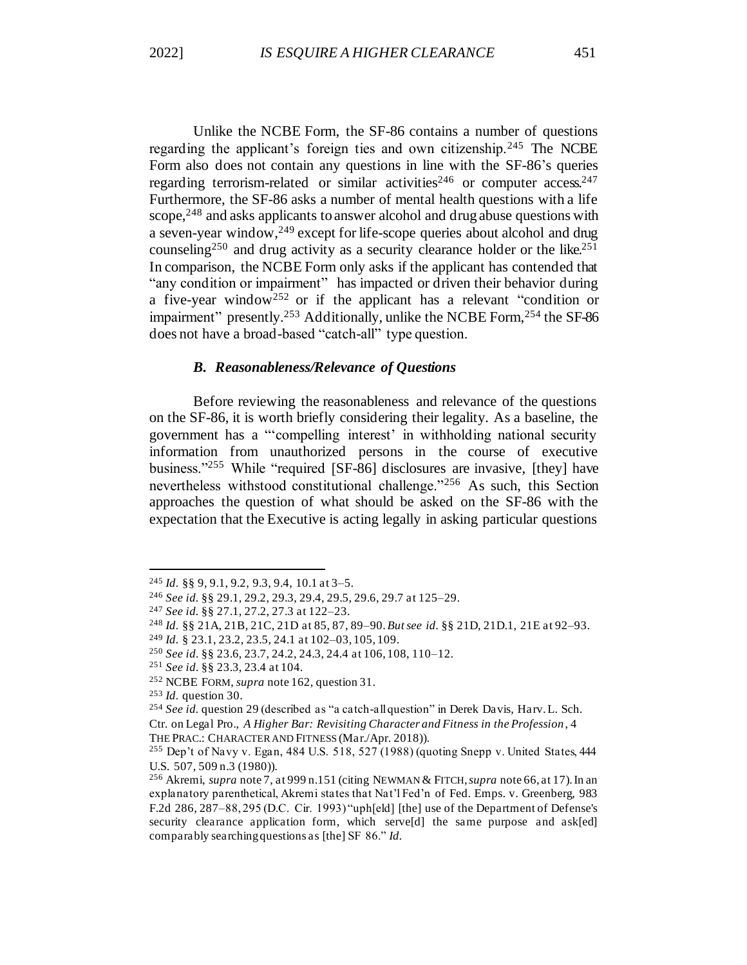Unlike the NCBE Form, the SF-86 contains a number of questions regarding the applicant's foreign ties and own citizenship.<sup>245</sup> The NCBE Form also does not contain any questions in line with the SF-86's queries regarding terrorism-related or similar activities<sup>246</sup> or computer access.<sup>247</sup> Furthermore, the SF-86 asks a number of mental health questions with a life scope,  $248$  and asks applicants to answer alcohol and drug abuse questions with a seven-year window,<sup>249</sup> except for life-scope queries about alcohol and drug counseling<sup>250</sup> and drug activity as a security clearance holder or the like.<sup>251</sup> In comparison, the NCBE Form only asks if the applicant has contended that "any condition or impairment" has impacted or driven their behavior during a five-year window<sup>252</sup> or if the applicant has a relevant "condition or impairment" presently.<sup>253</sup> Additionally, unlike the NCBE Form,<sup>254</sup> the SF-86 does not have a broad-based "catch-all" type question.

### *B. Reasonableness/Relevance of Questions*

Before reviewing the reasonableness and relevance of the questions on the SF-86, it is worth briefly considering their legality. As a baseline, the government has a "'compelling interest' in withholding national security information from unauthorized persons in the course of executive business."<sup>255</sup> While "required [SF-86] disclosures are invasive, [they] have nevertheless withstood constitutional challenge."<sup>256</sup> As such, this Section approaches the question of what should be asked on the SF-86 with the expectation that the Executive is acting legally in asking particular questions

<sup>245</sup> *Id.* §§ 9, 9.1, 9.2, 9.3, 9.4, 10.1 at 3–5.

<sup>246</sup> *See id.* §§ 29.1, 29.2, 29.3, 29.4, 29.5, 29.6, 29.7 at 125–29.

<sup>247</sup> *See id.* §§ 27.1, 27.2, 27.3 at 122–23.

<sup>248</sup> *Id.* §§ 21A, 21B, 21C, 21D at 85, 87, 89–90. *But see id.* §§ 21D, 21D.1, 21E at 92–93.

<sup>249</sup> *Id.* § 23.1, 23.2, 23.5, 24.1 at 102–03, 105, 109.

<sup>250</sup> *See id.* §§ 23.6, 23.7, 24.2, 24.3, 24.4 at 106, 108, 110–12.

<sup>251</sup> *See id.* §§ 23.3, 23.4 at 104.

<sup>252</sup> NCBE FORM, *supra* note 162, question 31.

<sup>253</sup> *Id.* question 30.

<sup>254</sup> *See id.* question 29 (described as "a catch-all question" in Derek Davis, Harv. L. Sch. Ctr. on Legal Pro., *A Higher Bar: Revisiting Character and Fitness in the Profession*, 4

THE PRAC.: CHARACTER AND FITNESS (Mar./Apr. 2018)).

<sup>&</sup>lt;sup>255</sup> Dep't of Navy v. Egan, 484 U.S. 518, 527 (1988) (quoting Snepp v. United States,  $444$ U.S. 507, 509 n.3 (1980)).

<sup>256</sup> Akremi, *supra* note 7, at 999 n.151 (citing NEWMAN & FITCH, *supra* note 66, at 17). In an explanatory parenthetical, Akremi states that Nat'l Fed'n of Fed. Emps. v. Greenberg, 983 F.2d 286, 287–88, 295 (D.C. Cir. 1993) "uph[eld] [the] use of the Department of Defense's security clearance application form, which serve[d] the same purpose and ask[ed] comparably searching questions as [the] SF 86." *Id.*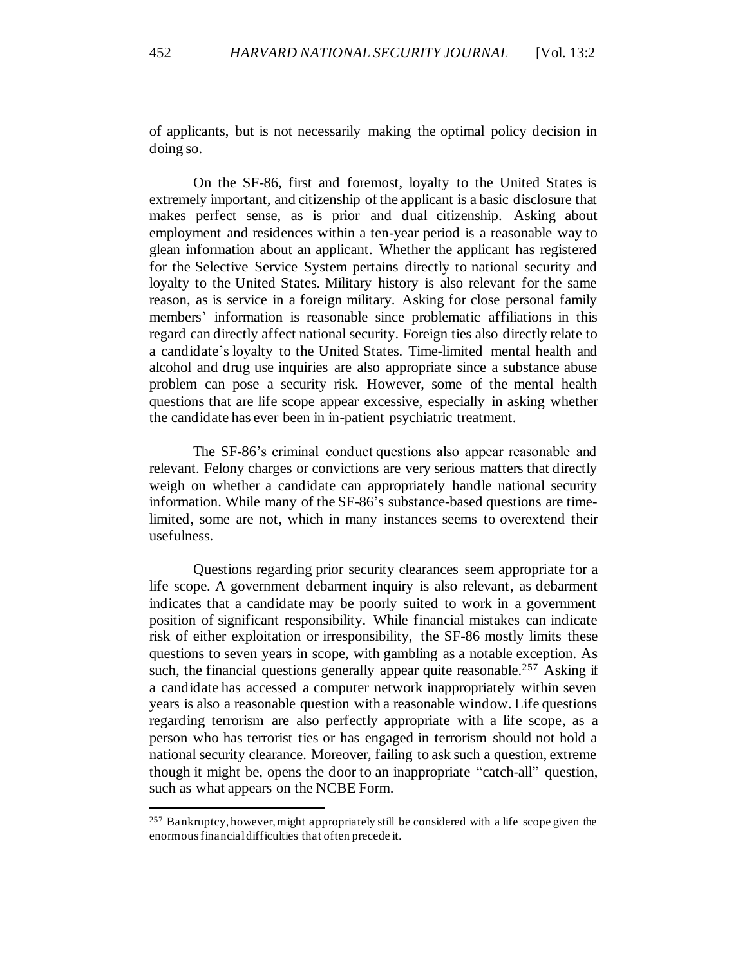of applicants, but is not necessarily making the optimal policy decision in doing so.

On the SF-86, first and foremost, loyalty to the United States is extremely important, and citizenship of the applicant is a basic disclosure that makes perfect sense, as is prior and dual citizenship. Asking about employment and residences within a ten-year period is a reasonable way to glean information about an applicant. Whether the applicant has registered for the Selective Service System pertains directly to national security and loyalty to the United States. Military history is also relevant for the same reason, as is service in a foreign military. Asking for close personal family members' information is reasonable since problematic affiliations in this regard can directly affect national security. Foreign ties also directly relate to a candidate's loyalty to the United States. Time-limited mental health and alcohol and drug use inquiries are also appropriate since a substance abuse problem can pose a security risk. However, some of the mental health questions that are life scope appear excessive, especially in asking whether the candidate has ever been in in-patient psychiatric treatment.

The SF-86's criminal conduct questions also appear reasonable and relevant. Felony charges or convictions are very serious matters that directly weigh on whether a candidate can appropriately handle national security information. While many of the SF-86's substance-based questions are timelimited, some are not, which in many instances seems to overextend their usefulness.

Questions regarding prior security clearances seem appropriate for a life scope. A government debarment inquiry is also relevant, as debarment indicates that a candidate may be poorly suited to work in a government position of significant responsibility. While financial mistakes can indicate risk of either exploitation or irresponsibility, the SF-86 mostly limits these questions to seven years in scope, with gambling as a notable exception. As such, the financial questions generally appear quite reasonable.<sup>257</sup> Asking if a candidate has accessed a computer network inappropriately within seven years is also a reasonable question with a reasonable window. Life questions regarding terrorism are also perfectly appropriate with a life scope, as a person who has terrorist ties or has engaged in terrorism should not hold a national security clearance. Moreover, failing to ask such a question, extreme though it might be, opens the door to an inappropriate "catch-all" question, such as what appears on the NCBE Form.

<sup>&</sup>lt;sup>257</sup> Bankruptcy, however, might appropriately still be considered with a life scope given the enormous financial difficulties that often precede it.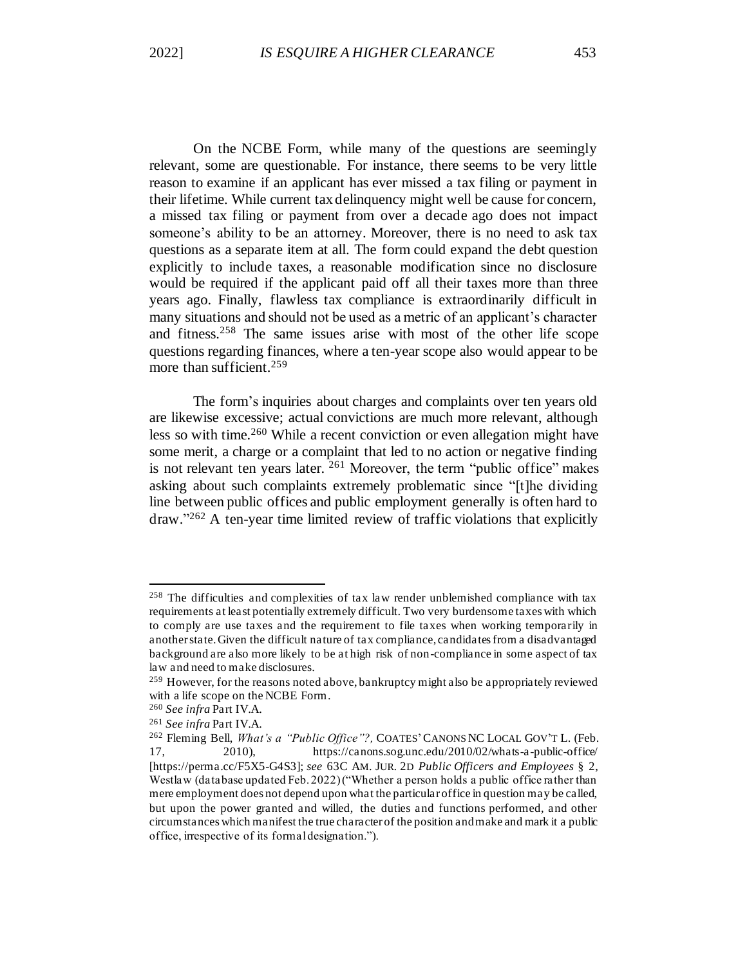On the NCBE Form, while many of the questions are seemingly relevant, some are questionable. For instance, there seems to be very little reason to examine if an applicant has ever missed a tax filing or payment in their lifetime. While current tax delinquency might well be cause for concern, a missed tax filing or payment from over a decade ago does not impact someone's ability to be an attorney. Moreover, there is no need to ask tax questions as a separate item at all. The form could expand the debt question explicitly to include taxes, a reasonable modification since no disclosure would be required if the applicant paid off all their taxes more than three years ago. Finally, flawless tax compliance is extraordinarily difficult in many situations and should not be used as a metric of an applicant's character and fitness.<sup>258</sup> The same issues arise with most of the other life scope questions regarding finances, where a ten-year scope also would appear to be more than sufficient.<sup>259</sup>

The form's inquiries about charges and complaints over ten years old are likewise excessive; actual convictions are much more relevant, although less so with time.<sup>260</sup> While a recent conviction or even allegation might have some merit, a charge or a complaint that led to no action or negative finding is not relevant ten years later. <sup>261</sup> Moreover, the term "public office" makes asking about such complaints extremely problematic since "[t]he dividing line between public offices and public employment generally is often hard to draw." <sup>262</sup> A ten-year time limited review of traffic violations that explicitly

<sup>258</sup> The difficulties and complexities of tax law render unblemished compliance with tax requirements at least potentially extremely difficult. Two very burdensome taxes with which to comply are use taxes and the requirement to file taxes when working temporarily in another state. Given the difficult nature of tax compliance, candidates from a disadvantaged background are also more likely to be at high risk of non-compliance in some aspect of tax law and need to make disclosures.

<sup>&</sup>lt;sup>259</sup> However, for the reasons noted above, bankruptcy might also be appropriately reviewed with a life scope on the NCBE Form.

<sup>260</sup> *See infra* Part IV.A.

<sup>261</sup> *See infra* Part IV.A.

<sup>262</sup> Fleming Bell, *What's a "Public Office"?,* COATES'CANONS NC LOCAL GOV'T L. (Feb. 17, 2010), https://canons.sog.unc.edu/2010/02/whats-a-public-office/ [https://perma.cc/F5X5-G4S3]; *see* 63C AM. JUR. 2D *Public Officers and Employees* § 2, Westlaw (database updated Feb. 2022) ("Whether a person holds a public office rather than mere employment does not depend upon what the particular office in question may be called, but upon the power granted and willed, the duties and functions performed, and other circumstances which manifest the true character of the position and make and mark it a public office, irrespective of its formal designation.").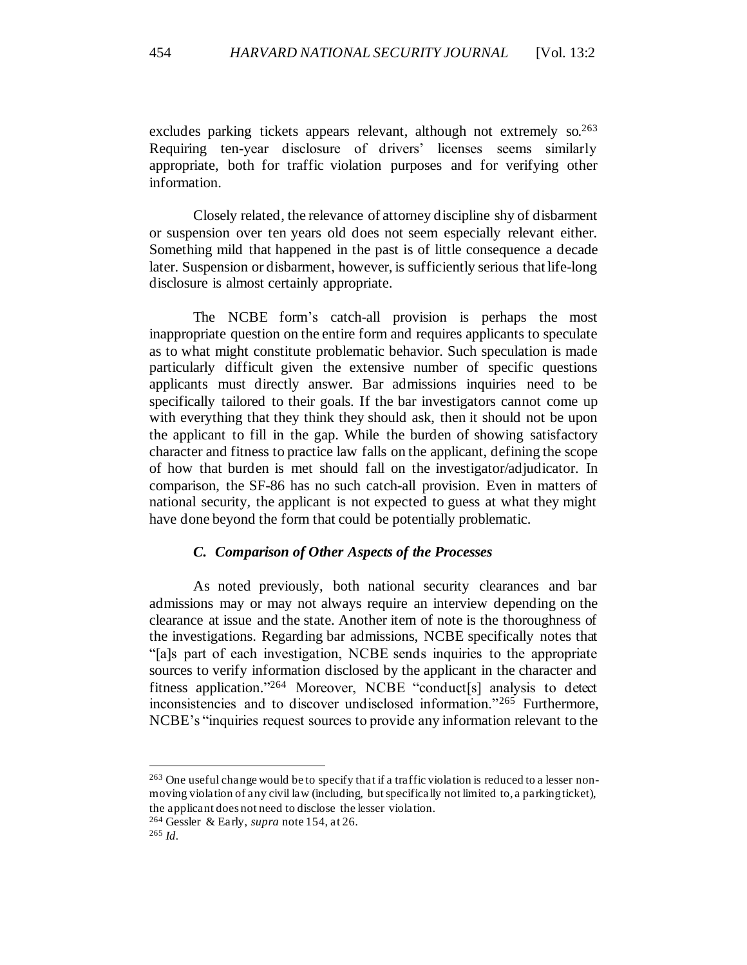excludes parking tickets appears relevant, although not extremely  $\delta$  so. 263 Requiring ten-year disclosure of drivers' licenses seems similarly appropriate, both for traffic violation purposes and for verifying other information.

Closely related, the relevance of attorney discipline shy of disbarment or suspension over ten years old does not seem especially relevant either. Something mild that happened in the past is of little consequence a decade later. Suspension or disbarment, however, is sufficiently serious that life-long disclosure is almost certainly appropriate.

The NCBE form's catch-all provision is perhaps the most inappropriate question on the entire form and requires applicants to speculate as to what might constitute problematic behavior. Such speculation is made particularly difficult given the extensive number of specific questions applicants must directly answer. Bar admissions inquiries need to be specifically tailored to their goals. If the bar investigators cannot come up with everything that they think they should ask, then it should not be upon the applicant to fill in the gap. While the burden of showing satisfactory character and fitness to practice law falls on the applicant, defining the scope of how that burden is met should fall on the investigator/adjudicator. In comparison, the SF-86 has no such catch-all provision. Even in matters of national security, the applicant is not expected to guess at what they might have done beyond the form that could be potentially problematic.

### *C. Comparison of Other Aspects of the Processes*

As noted previously, both national security clearances and bar admissions may or may not always require an interview depending on the clearance at issue and the state. Another item of note is the thoroughness of the investigations. Regarding bar admissions, NCBE specifically notes that "[a]s part of each investigation, NCBE sends inquiries to the appropriate sources to verify information disclosed by the applicant in the character and fitness application." <sup>264</sup> Moreover, NCBE "conduct[s] analysis to detect inconsistencies and to discover undisclosed information."<sup>265</sup> Furthermore, NCBE's "inquiries request sources to provide any information relevant to the

<sup>263</sup> One useful change would be to specify that if a traffic violation is reduced to a lesser nonmoving violation of any civil law (including, but specifically not limited to, a parking ticket), the applicant does not need to disclose the lesser violation.

<sup>264</sup> Gessler & Early, *supra* note 154, at 26.

<sup>265</sup> *Id.*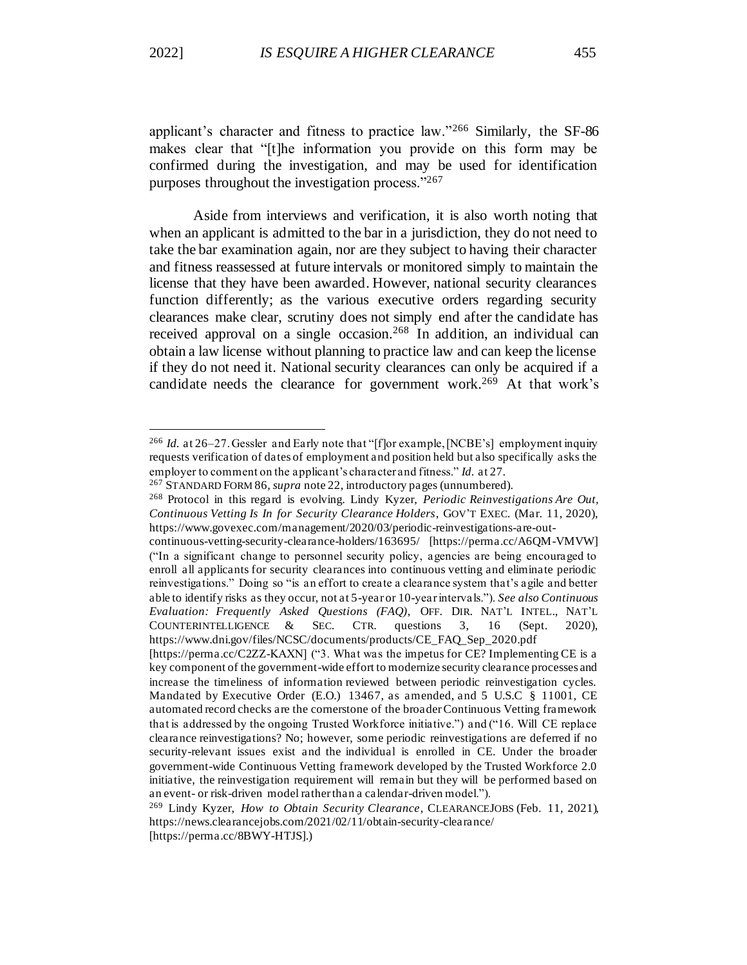applicant's character and fitness to practice law."<sup>266</sup> Similarly, the SF-86 makes clear that "[t]he information you provide on this form may be confirmed during the investigation, and may be used for identification purposes throughout the investigation process."<sup>267</sup>

Aside from interviews and verification, it is also worth noting that when an applicant is admitted to the bar in a jurisdiction, they do not need to take the bar examination again, nor are they subject to having their character and fitness reassessed at future intervals or monitored simply to maintain the license that they have been awarded. However, national security clearances function differently; as the various executive orders regarding security clearances make clear, scrutiny does not simply end after the candidate has received approval on a single occasion.<sup>268</sup> In addition, an individual can obtain a law license without planning to practice law and can keep the license if they do not need it. National security clearances can only be acquired if a candidate needs the clearance for government work.<sup>269</sup> At that work's

<sup>&</sup>lt;sup>266</sup> *Id.* at 26–27. Gessler and Early note that "[f]or example, [NCBE's] employment inquiry requests verification of dates of employment and position held but also specifically asks the employer to comment on the applicant's character and fitness." *Id.* at 27.

<sup>267</sup> STANDARD FORM 86, *supra* note 22, introductory pages (unnumbered).

<sup>268</sup> Protocol in this regard is evolving. Lindy Kyzer, *Periodic Reinvestigations Are Out, Continuous Vetting Is In for Security Clearance Holders*, GOV'T EXEC. (Mar. 11, 2020), https://www.govexec.com/management/2020/03/periodic-reinvestigations-are-out-

continuous-vetting-security-clearance-holders/163695/ [https://perma.cc/A6QM-VMVW] ("In a significant change to personnel security policy, agencies are being encouraged to enroll all applicants for security clearances into continuous vetting and eliminate periodic reinvestigations." Doing so "is an effort to create a clearance system that's agile and better able to identify risks as they occur, not at 5-year or 10-year intervals."). *See also Continuous Evaluation: Frequently Asked Questions (FAQ)*, OFF. DIR. NAT'L INTEL., NAT'L COUNTERINTELLIGENCE & SEC. CTR. questions 3, 16 (Sept. 2020), https://www.dni.gov/files/NCSC/documents/products/CE\_FAQ\_Sep\_2020.pdf

<sup>[</sup>https://perma.cc/C2ZZ-KAXN] ("3. What was the impetus for CE? Implementing CE is a key component of the government-wide effort to modernize security clearance processes and increase the timeliness of information reviewed between periodic reinvestigation cycles. Mandated by Executive Order (E.O.) 13467, as amended, and 5 U.S.C § 11001, CE automated record checks are the cornerstone of the broader Continuous Vetting framework that is addressed by the ongoing Trusted Workforce initiative.") and ("16. Will CE replace clearance reinvestigations? No; however, some periodic reinvestigations are deferred if no security-relevant issues exist and the individual is enrolled in CE. Under the broader government-wide Continuous Vetting framework developed by the Trusted Workforce 2.0 initiative, the reinvestigation requirement will remain but they will be performed based on an event- or risk-driven model rather than a calendar-driven model.").

<sup>269</sup> Lindy Kyzer, *How to Obtain Security Clearance*, CLEARANCEJOBS (Feb. 11, 2021), https://news.clearancejobs.com/2021/02/11/obtain-security-clearance/

<sup>[</sup>https://perma.cc/8BWY-HTJS].)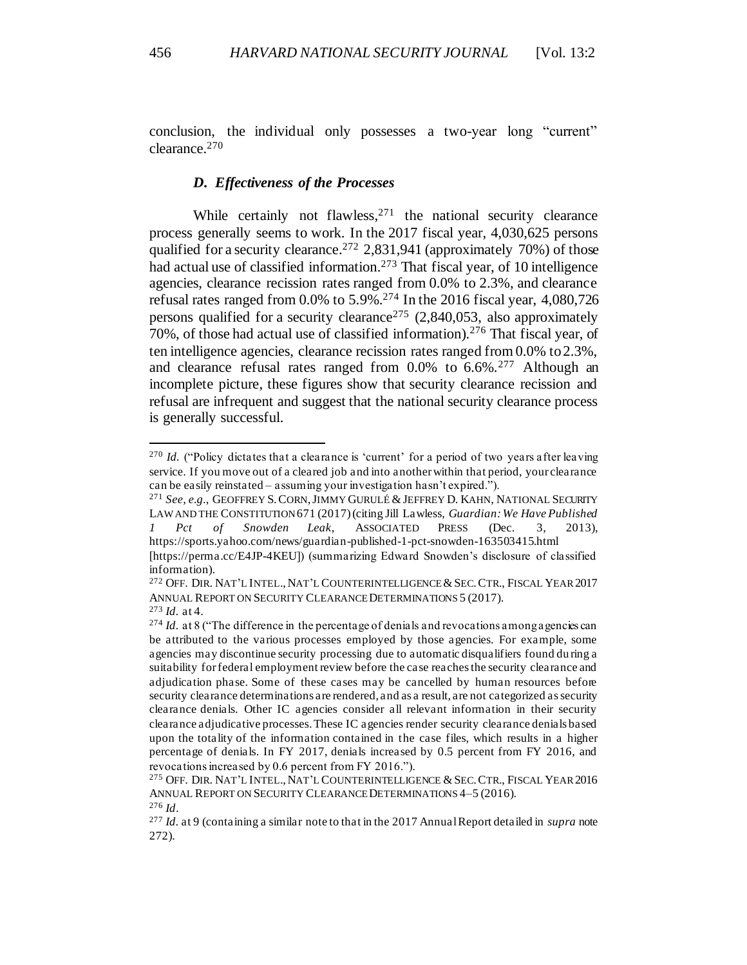conclusion, the individual only possesses a two-year long "current" clearance.<sup>270</sup>

### *D. Effectiveness of the Processes*

While certainly not flawless,<sup>271</sup> the national security clearance process generally seems to work. In the 2017 fiscal year, 4,030,625 persons qualified for a security clearance.<sup>272</sup> 2,831,941 (approximately 70%) of those had actual use of classified information.<sup>273</sup> That fiscal year, of 10 intelligence agencies, clearance recission rates ranged from 0.0% to 2.3%, and clearance refusal rates ranged from  $0.0\%$  to  $5.9\%$ .<sup>274</sup> In the 2016 fiscal year, 4,080,726 persons qualified for a security clearance<sup>275</sup> (2,840,053, also approximately 70%, of those had actual use of classified information).<sup>276</sup> That fiscal year, of ten intelligence agencies, clearance recission rates ranged from 0.0% to 2.3%, and clearance refusal rates ranged from 0.0% to 6.6%.<sup>277</sup> Although an incomplete picture, these figures show that security clearance recission and refusal are infrequent and suggest that the national security clearance process is generally successful.

<sup>&</sup>lt;sup>270</sup> *Id.* ("Policy dictates that a clearance is 'current' for a period of two years after leaving service. If you move out of a cleared job and into another within that period, your clearance can be easily reinstated – assuming your investigation hasn't expired.").

<sup>271</sup> *See, e.g.*, GEOFFREY S.CORN,JIMMY GURULÉ &JEFFREY D. KAHN, NATIONAL SECURITY LAW AND THE CONSTITUTION671 (2017) (citing Jill Lawless, *Guardian: We Have Published 1 Pct of Snowden Leak*, ASSOCIATED PRESS (Dec. 3, 2013), https://sports.yahoo.com/news/guardian-published-1-pct-snowden-163503415.html

<sup>[</sup>https://perma.cc/E4JP-4KEU]) (summarizing Edward Snowden's disclosure of classified information).

<sup>&</sup>lt;sup>272</sup> OFF. DIR. NAT'L INTEL., NAT'L COUNTERINTELLIGENCE & SEC. CTR., FISCAL YEAR 2017 ANNUAL REPORT ON SECURITY CLEARANCE DETERMINATIONS 5 (2017).

<sup>273</sup> *Id.* at 4.

 $274$  *Id.* at 8 ("The difference in the percentage of denials and revocations among agencies can be attributed to the various processes employed by those agencies. For example, some agencies may discontinue security processing due to automatic disqualifiers found du ring a suitability for federal employment review before the case reaches the security clearance and adjudication phase. Some of these cases may be cancelled by human resources before security clearance determinations are rendered, and as a result, are not categorized as security clearance denials. Other IC agencies consider all relevant information in their security clearance adjudicative processes. These IC agencies render security clearance denials based upon the totality of the information contained in the case files, which results in a higher percentage of denials. In FY 2017, denials increased by 0.5 percent from FY 2016, and revocations increased by 0.6 percent from FY 2016.").

<sup>&</sup>lt;sup>275</sup> OFF. DIR. NAT'L INTEL., NAT'L COUNTERINTELLIGENCE & SEC. CTR., FISCAL YEAR 2016 ANNUAL REPORT ON SECURITY CLEARANCE DETERMINATIONS 4–5 (2016).

<sup>276</sup> *Id*.

<sup>277</sup> *Id.* at 9 (containing a similar note to that in the 2017 Annual Report detailed in *supra* note 272).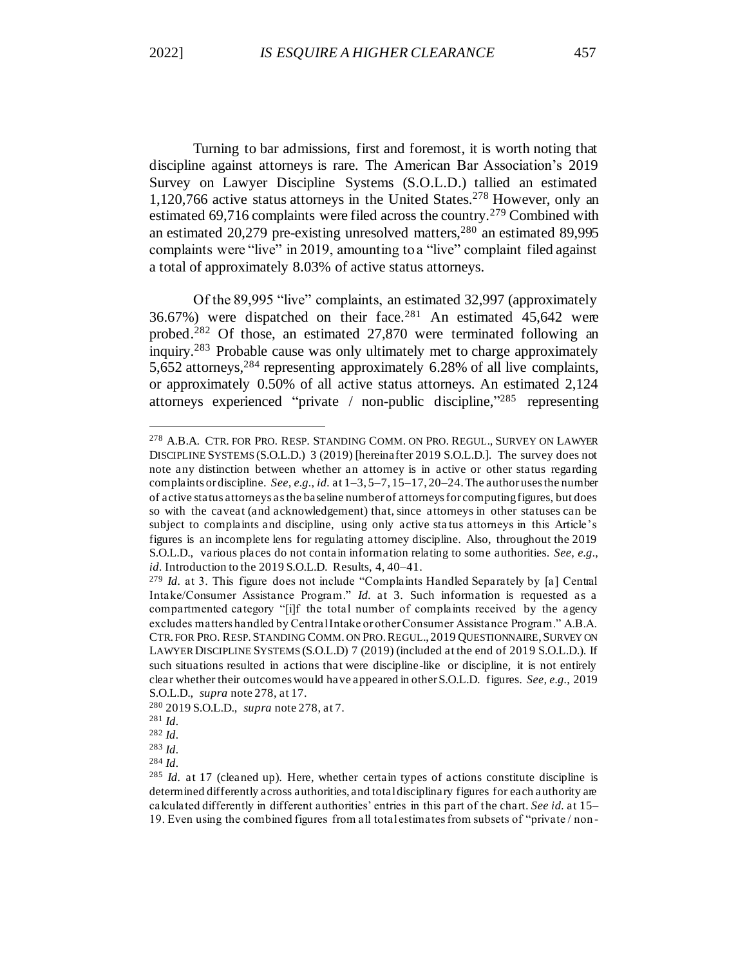Turning to bar admissions, first and foremost, it is worth noting that discipline against attorneys is rare. The American Bar Association's 2019 Survey on Lawyer Discipline Systems (S.O.L.D.) tallied an estimated 1,120,766 active status attorneys in the United States.<sup>278</sup> However, only an estimated 69,716 complaints were filed across the country.<sup>279</sup> Combined with an estimated 20,279 pre-existing unresolved matters,<sup>280</sup> an estimated 89,995 complaints were "live" in 2019, amounting to a "live" complaint filed against a total of approximately 8.03% of active status attorneys.

Of the 89,995 "live" complaints, an estimated 32,997 (approximately 36.67%) were dispatched on their face.<sup>281</sup> An estimated 45,642 were probed.<sup>282</sup> Of those, an estimated 27,870 were terminated following an inquiry.<sup>283</sup> Probable cause was only ultimately met to charge approximately 5,652 attorneys, <sup>284</sup> representing approximately 6.28% of all live complaints, or approximately 0.50% of all active status attorneys. An estimated 2,124 attorneys experienced "private / non-public discipline," <sup>285</sup> representing

<sup>278</sup> A.B.A. CTR. FOR PRO. RESP. STANDING COMM. ON PRO. REGUL., SURVEY ON LAWYER DISCIPLINE SYSTEMS (S.O.L.D.) 3 (2019) [hereinafter 2019 S.O.L.D.]. The survey does not note any distinction between whether an attorney is in active or other status regarding complaints or discipline. *See, e.g.*, *id.* at 1–3, 5–7, 15–17, 20–24. The author uses the number of active status attorneys as the baseline number of attorneys for computing figures, but does so with the caveat (and acknowledgement) that, since attorneys in other statuses can be subject to complaints and discipline, using only active sta tus attorneys in this Article's figures is an incomplete lens for regulating attorney discipline. Also, throughout the 2019 S.O.L.D., various places do not contain information relating to some authorities. *See, e.g.*, *id.* Introduction to the 2019 S.O.L.D. Results, 4, 40–41.

<sup>279</sup> *Id.* at 3. This figure does not include "Complaints Handled Separately by [a] Central Intake/Consumer Assistance Program." *Id.* at 3. Such information is requested as a compartmented category "[i]f the total number of complaints received by the agency excludes matters handled by Central Intake or other Consumer Assistance Program." A.B.A. CTR. FOR PRO. RESP. STANDING COMM. ON PRO. REGUL., 2019 QUESTIONNAIRE, SURVEY ON LAWYER DISCIPLINE SYSTEMS (S.O.L.D) 7 (2019) (included at the end of 2019 S.O.L.D.). If such situations resulted in actions that were discipline-like or discipline, it is not entirely clear whether their outcomes would have appeared in other S.O.L.D. figures. *See, e.g.*, 2019 S.O.L.D., *supra* note 278, at 17.

<sup>280</sup> 2019 S.O.L.D., *supra* note 278, at 7.

<sup>281</sup> *Id.*

<sup>282</sup> *Id.*

<sup>283</sup> *Id.*

<sup>284</sup> *Id.*

<sup>285</sup> *Id.* at 17 (cleaned up). Here, whether certain types of actions constitute discipline is determined differently across authorities, and total disciplinary figures for each authority are calculated differently in different authorities' entries in this part of the chart. *See id.* at 15– 19. Even using the combined figures from all total estimates from subsets of "private / non -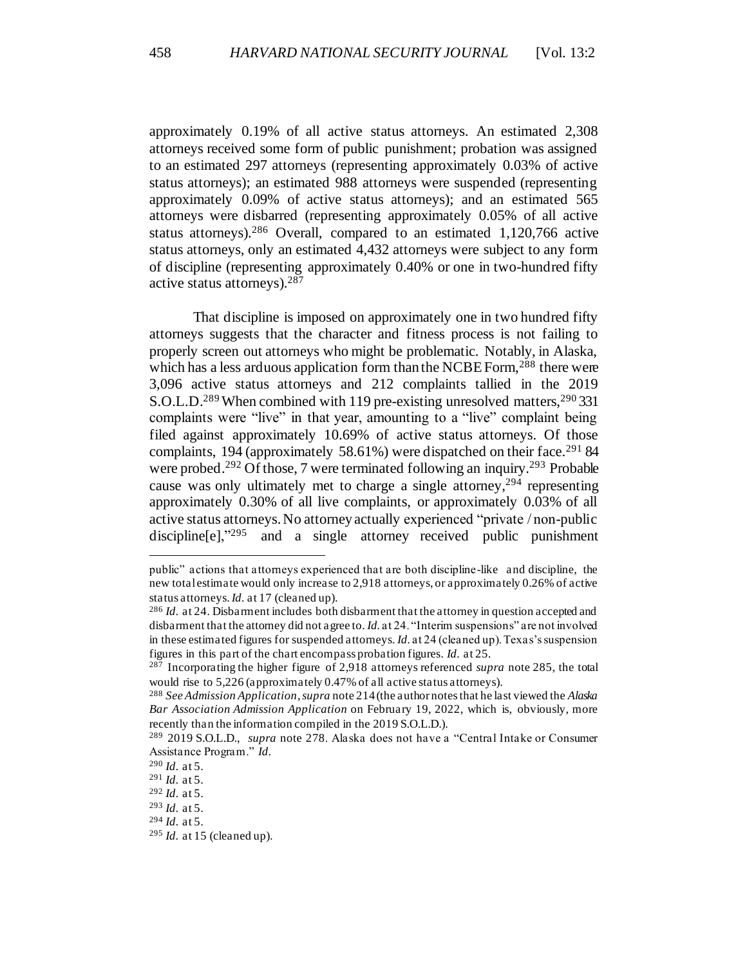approximately 0.19% of all active status attorneys. An estimated 2,308 attorneys received some form of public punishment; probation was assigned to an estimated 297 attorneys (representing approximately 0.03% of active status attorneys); an estimated 988 attorneys were suspended (representing approximately 0.09% of active status attorneys); and an estimated 565 attorneys were disbarred (representing approximately 0.05% of all active status attorneys).<sup>286</sup> Overall, compared to an estimated  $1,120,766$  active status attorneys, only an estimated 4,432 attorneys were subject to any form of discipline (representing approximately 0.40% or one in two-hundred fifty active status attorneys).<sup>287</sup>

That discipline is imposed on approximately one in two hundred fifty attorneys suggests that the character and fitness process is not failing to properly screen out attorneys who might be problematic. Notably, in Alaska, which has a less arduous application form than the NCBE Form,<sup>288</sup> there were 3,096 active status attorneys and 212 complaints tallied in the 2019 S.O.L.D.<sup>289</sup> When combined with 119 pre-existing unresolved matters,<sup>290</sup> 331 complaints were "live" in that year, amounting to a "live" complaint being filed against approximately 10.69% of active status attorneys. Of those complaints, 194 (approximately 58.61%) were dispatched on their face.<sup>291</sup> 84 were probed.<sup>292</sup> Of those, 7 were terminated following an inquiry.<sup>293</sup> Probable cause was only ultimately met to charge a single attorney,<sup>294</sup> representing approximately 0.30% of all live complaints, or approximately 0.03% of all active status attorneys. No attorney actually experienced "private / non-public discipline[e],"<sup>295</sup> and a single attorney received public punishment

public" actions that attorneys experienced that are both discipline-like and discipline, the new total estimate would only increase to 2,918 attorneys, or approximately 0.26% of active status attorneys. *Id.* at 17 (cleaned up).

<sup>286</sup> *Id.* at 24. Disbarment includes both disbarment that the attorney in question accepted and disbarment that the attorney did not agree to. *Id.* at 24. "Interim suspensions" are not involved in these estimated figures for suspended attorneys. *Id.* at 24 (cleaned up). Texas's suspension figures in this part of the chart encompass probation figures. *Id.* at 25.

<sup>287</sup> Incorporating the higher figure of 2,918 attorneys referenced *supra* note 285, the total would rise to 5,226 (approximately 0.47% of all active status attorneys).

<sup>288</sup> *See Admission Application*, *supra* note 214(the author notes that he last viewed the *Alaska Bar Association Admission Application* on February 19, 2022, which is, obviously, more recently than the information compiled in the 2019 S.O.L.D.).

<sup>289</sup> 2019 S.O.L.D., *supra* note 278. Alaska does not have a "Central Intake or Consumer Assistance Program." *Id*.

<sup>290</sup> *Id.* at 5.

<sup>291</sup> *Id.* at 5.

<sup>292</sup> *Id.* at 5.

<sup>293</sup> *Id.* at 5.

<sup>294</sup> *Id.* at 5.

<sup>295</sup> *Id.* at 15 (cleaned up).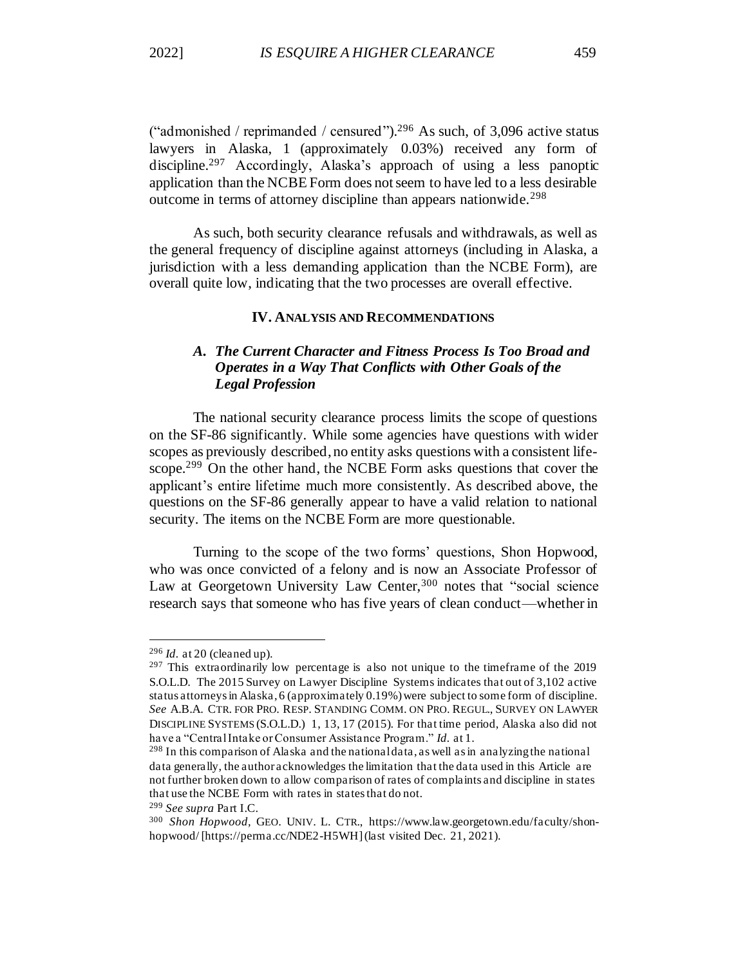("admonished / reprimanded / censured").<sup>296</sup> As such, of 3,096 active status lawyers in Alaska, 1 (approximately 0.03%) received any form of discipline. <sup>297</sup> Accordingly, Alaska's approach of using a less panoptic application than the NCBE Form does not seem to have led to a less desirable outcome in terms of attorney discipline than appears nationwide.<sup>298</sup>

As such, both security clearance refusals and withdrawals, as well as the general frequency of discipline against attorneys (including in Alaska, a jurisdiction with a less demanding application than the NCBE Form), are overall quite low, indicating that the two processes are overall effective.

### **IV. ANALYSIS AND RECOMMENDATIONS**

# *A. The Current Character and Fitness Process Is Too Broad and Operates in a Way That Conflicts with Other Goals of the Legal Profession*

The national security clearance process limits the scope of questions on the SF-86 significantly. While some agencies have questions with wider scopes as previously described, no entity asks questions with a consistent lifescope.<sup>299</sup> On the other hand, the NCBE Form asks questions that cover the applicant's entire lifetime much more consistently. As described above, the questions on the SF-86 generally appear to have a valid relation to national security. The items on the NCBE Form are more questionable.

Turning to the scope of the two forms' questions, Shon Hopwood, who was once convicted of a felony and is now an Associate Professor of Law at Georgetown University Law Center,<sup>300</sup> notes that "social science research says that someone who has five years of clean conduct—whether in

<sup>299</sup> *See supra* Part I.C.

<sup>296</sup> *Id.* at 20 (cleaned up).

<sup>&</sup>lt;sup>297</sup> This extraordinarily low percentage is also not unique to the timeframe of the 2019 S.O.L.D. The 2015 Survey on Lawyer Discipline Systems indicates that out of 3,102 active status attorneys in Alaska, 6 (approximately 0.19%) were subject to some form of discipline. *See* A.B.A. CTR. FOR PRO. RESP. STANDING COMM. ON PRO. REGUL., SURVEY ON LAWYER DISCIPLINE SYSTEMS (S.O.L.D.) 1, 13, 17 (2015). For that time period, Alaska also did not have a "Central Intake orConsumer Assistance Program." *Id.* at 1.

<sup>298</sup> In this comparison of Alaska and the national data, as well as in analyzing the national data generally, the author acknowledges the limitation that the data used in this Article are not further broken down to allow comparison of rates of complaints and discipline in states that use the NCBE Form with rates in states that do not.

<sup>300</sup> *Shon Hopwood,* GEO. UNIV. L. CTR., https://www.law.georgetown.edu/faculty/shonhopwood/ [https://perma.cc/NDE2-H5WH] (last visited Dec. 21, 2021).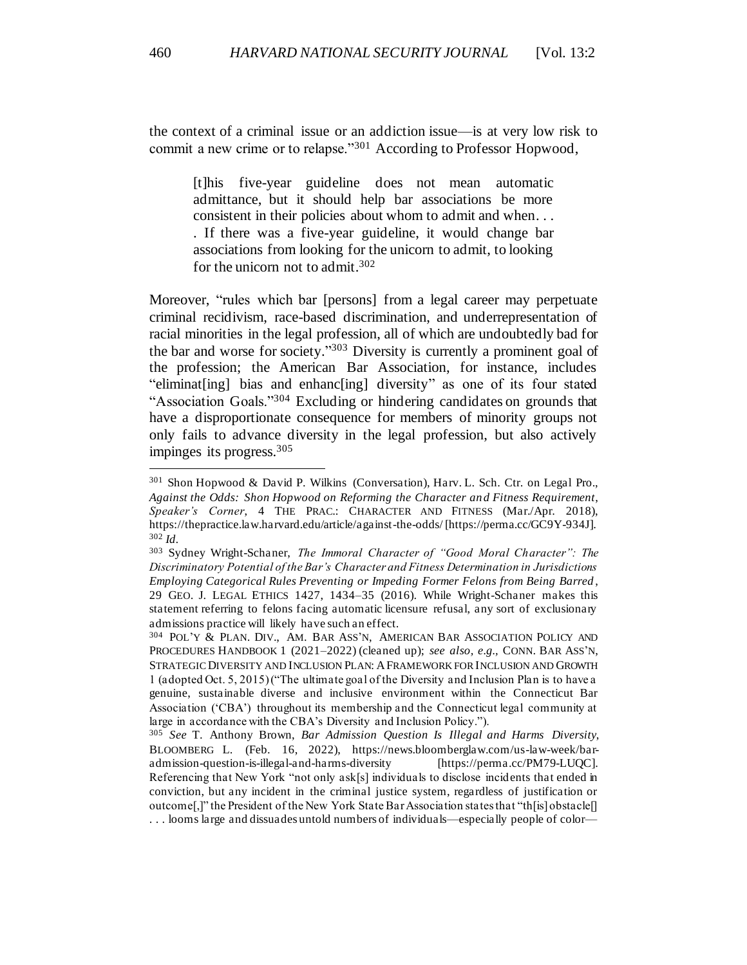the context of a criminal issue or an addiction issue—is at very low risk to commit a new crime or to relapse."<sup>301</sup> According to Professor Hopwood,

[t]his five-year guideline does not mean automatic admittance, but it should help bar associations be more consistent in their policies about whom to admit and when. . . . If there was a five-year guideline, it would change bar associations from looking for the unicorn to admit, to looking for the unicorn not to admit. 302

Moreover, "rules which bar [persons] from a legal career may perpetuate criminal recidivism, race-based discrimination, and underrepresentation of racial minorities in the legal profession, all of which are undoubtedly bad for the bar and worse for society." <sup>303</sup> Diversity is currently a prominent goal of the profession; the American Bar Association, for instance, includes "eliminat[ing] bias and enhanc[ing] diversity" as one of its four stated "Association Goals."<sup>304</sup> Excluding or hindering candidates on grounds that have a disproportionate consequence for members of minority groups not only fails to advance diversity in the legal profession, but also actively impinges its progress.<sup>305</sup>

<sup>301</sup> Shon Hopwood & David P. Wilkins (Conversation), Harv. L. Sch. Ctr. on Legal Pro., *Against the Odds: Shon Hopwood on Reforming the Character an d Fitness Requirement*, *Speaker's Corner*, 4 THE PRAC.: CHARACTER AND FITNESS (Mar./Apr. 2018), https://thepractice.law.harvard.edu/article/against-the-odds/ [https://perma.cc/GC9Y-934J]. <sup>302</sup> *Id.*

<sup>303</sup> Sydney Wright-Schaner, *The Immoral Character of "Good Moral Character": The Discriminatory Potential of the Bar's Character and Fitness Determination in Jurisdictions Employing Categorical Rules Preventing or Impeding Former Felons from Being Barred* , 29 GEO. J. LEGAL ETHICS 1427, 1434–35 (2016). While Wright-Schaner makes this statement referring to felons facing automatic licensure refusal, any sort of exclusionary admissions practice will likely have such an effect.

<sup>304</sup> POL'Y & PLAN. DIV., AM. BAR ASS'N, AMERICAN BAR ASSOCIATION POLICY AND PROCEDURES HANDBOOK 1 (2021–2022) (cleaned up); *see also, e.g.,* CONN. BAR ASS'N, STRATEGIC DIVERSITY AND INCLUSION PLAN: AFRAMEWORK FOR INCLUSION AND GROWTH 1 (adopted Oct. 5, 2015) ("The ultimate goal of the Diversity and Inclusion Plan is to have a genuine, sustainable diverse and inclusive environment within the Connecticut Bar Association ('CBA') throughout its membership and the Connecticut legal community at large in accordance with the CBA's Diversity and Inclusion Policy.").

<sup>305</sup> *See* T. Anthony Brown, *Bar Admission Question Is Illegal and Harms Diversity*, BLOOMBERG L. (Feb. 16, 2022), https://news.bloomberglaw.com/us-law-week/baradmission-question-is-illegal-and-harms-diversity [https://perma.cc/PM79-LUQC]. Referencing that New York "not only ask[s] individuals to disclose incidents that ended in conviction, but any incident in the criminal justice system, regardless of justification or outcome[,]" the President of the New York State Bar Association states that "th[is] obstacle[] . . . looms large and dissuades untold numbers of individuals—especially people of color—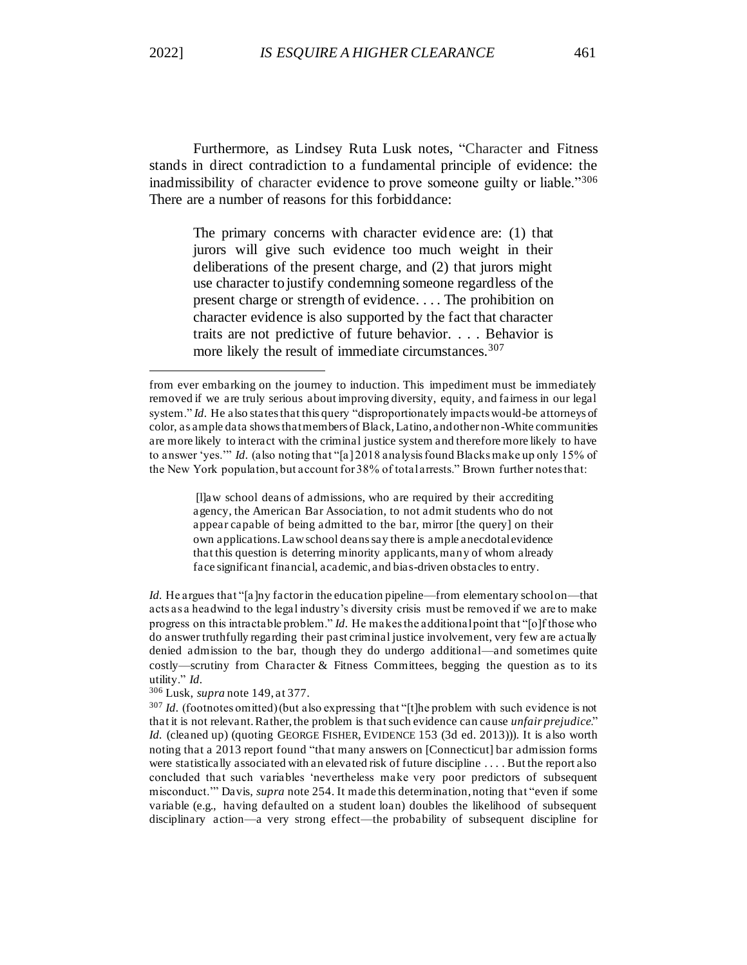Furthermore, as Lindsey Ruta Lusk notes, "Character and Fitness stands in direct contradiction to a fundamental principle of evidence: the inadmissibility of character evidence to prove someone guilty or liable."<sup>306</sup> There are a number of reasons for this forbiddance:

The primary concerns with character evidence are: (1) that jurors will give such evidence too much weight in their deliberations of the present charge, and (2) that jurors might use character to justify condemning someone regardless of the present charge or strength of evidence. . . . The prohibition on character evidence is also supported by the fact that character traits are not predictive of future behavior. . . . Behavior is more likely the result of immediate circumstances.<sup>307</sup>

[l]aw school deans of admissions, who are required by their accrediting agency, the American Bar Association, to not admit students who do not appear capable of being admitted to the bar, mirror [the query] on their own applications. Law school deans say there is ample anecdotal evidence that this question is deterring minority applicants, many of whom already face significant financial, academic, and bias-driven obstacles to entry.

*Id.* He argues that "[a]ny factor in the education pipeline—from elementary school on—that acts as a headwind to the legal industry's diversity crisis must be removed if we are to make progress on this intractable problem." *Id.* He makes the additional point that "[o]f those who do answer truthfully regarding their past criminal justice involvement, very few are actually denied admission to the bar, though they do undergo additional—and sometimes quite costly—scrutiny from Character & Fitness Committees, begging the question as to its utility." *Id.*

<sup>306</sup> Lusk, *supra* note 149, at 377.

from ever embarking on the journey to induction. This impediment must be immediately removed if we are truly serious about improving diversity, equity, and fairness in our legal system." *Id.* He also states that this query "disproportionately impacts would-be attorneys of color, as ample data shows that members of Black, Latino, and other non-White communities are more likely to interact with the criminal justice system and therefore more likely to have to answer 'yes.'" *Id.* (also noting that "[a] 2018 analysis found Blacks make up only 15% of the New York population, but account for 38% of total arrests." Brown further notes that:

<sup>307</sup> *Id.* (footnotes omitted) (but also expressing that "[t]he problem with such evidence is not that it is not relevant. Rather, the problem is that such evidence can cause *unfair prejudice*." *Id.* (cleaned up) (quoting GEORGE FISHER, EVIDENCE 153 (3d ed. 2013))). It is also worth noting that a 2013 report found "that many answers on [Connecticut] bar admission forms were statistically associated with an elevated risk of future discipline . . . . But the report also concluded that such variables 'nevertheless make very poor predictors of subsequent misconduct.'" Davis, *supra* note 254. It made this determination, noting that "even if some variable (e.g., having defaulted on a student loan) doubles the likelihood of subsequent disciplinary action—a very strong effect—the probability of subsequent discipline for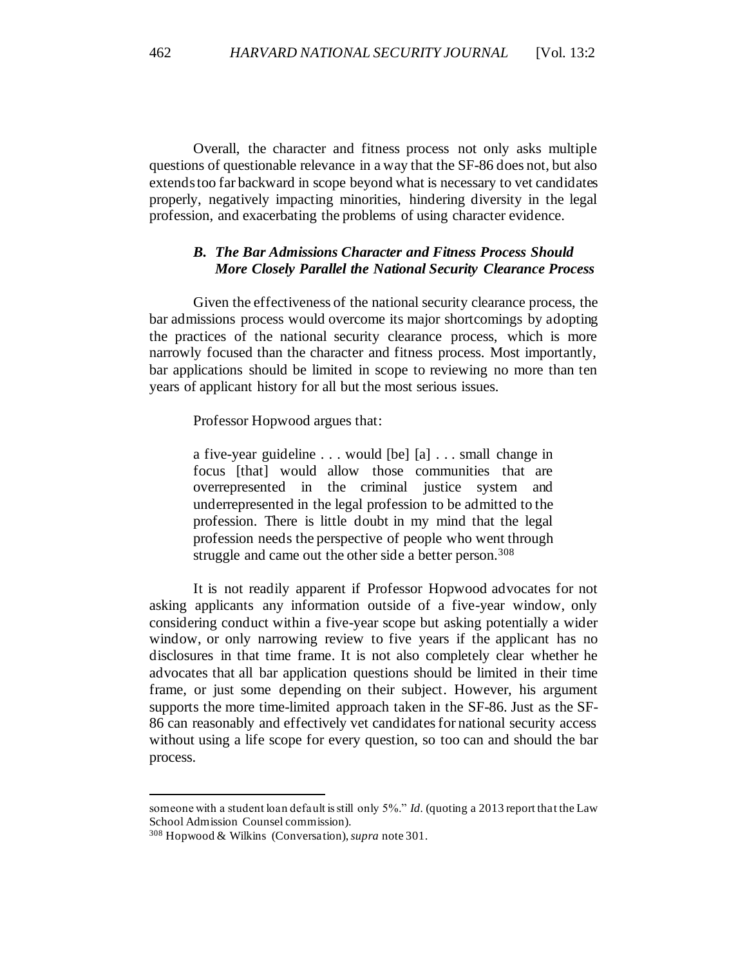Overall, the character and fitness process not only asks multiple questions of questionable relevance in a way that the SF-86 does not, but also extendstoo far backward in scope beyond what is necessary to vet candidates properly, negatively impacting minorities, hindering diversity in the legal profession, and exacerbating the problems of using character evidence.

# *B. The Bar Admissions Character and Fitness Process Should More Closely Parallel the National Security Clearance Process*

Given the effectiveness of the national security clearance process, the bar admissions process would overcome its major shortcomings by adopting the practices of the national security clearance process, which is more narrowly focused than the character and fitness process. Most importantly, bar applications should be limited in scope to reviewing no more than ten years of applicant history for all but the most serious issues.

Professor Hopwood argues that:

a five-year guideline . . . would [be] [a] . . . small change in focus [that] would allow those communities that are overrepresented in the criminal justice system and underrepresented in the legal profession to be admitted to the profession. There is little doubt in my mind that the legal profession needs the perspective of people who went through struggle and came out the other side a better person.<sup>308</sup>

It is not readily apparent if Professor Hopwood advocates for not asking applicants any information outside of a five-year window, only considering conduct within a five-year scope but asking potentially a wider window, or only narrowing review to five years if the applicant has no disclosures in that time frame. It is not also completely clear whether he advocates that all bar application questions should be limited in their time frame, or just some depending on their subject. However, his argument supports the more time-limited approach taken in the SF-86. Just as the SF-86 can reasonably and effectively vet candidates for national security access without using a life scope for every question, so too can and should the bar process.

someone with a student loan default is still only 5%." *Id.* (quoting a 2013 report that the Law School Admission Counsel commission).

<sup>308</sup> Hopwood & Wilkins (Conversation), *supra* note 301.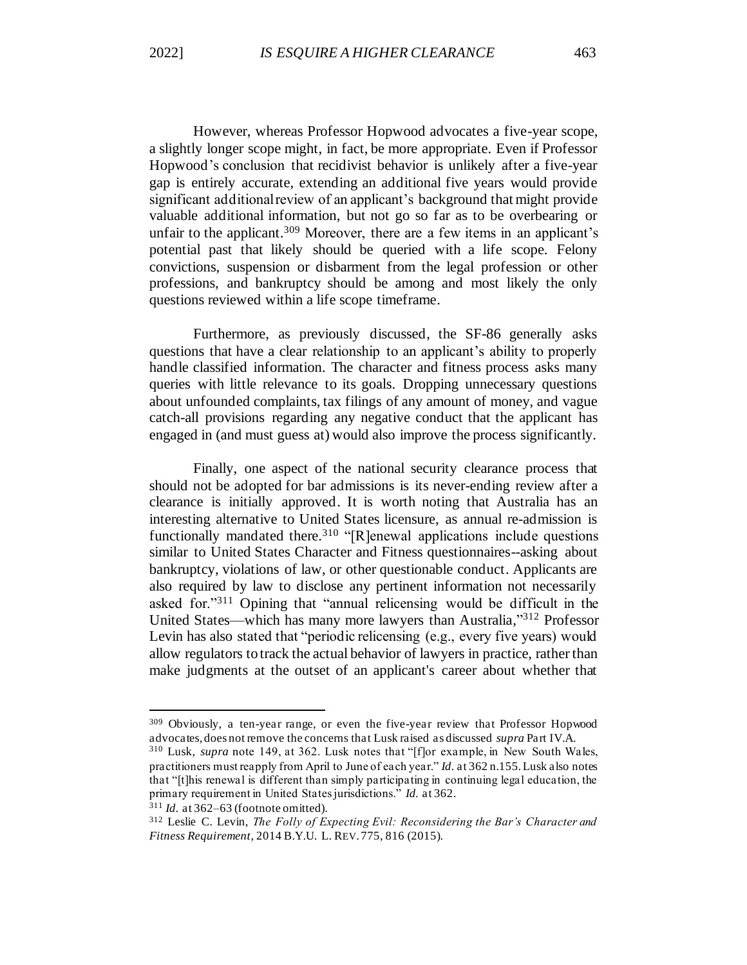However, whereas Professor Hopwood advocates a five-year scope, a slightly longer scope might, in fact, be more appropriate. Even if Professor Hopwood's conclusion that recidivist behavior is unlikely after a five-year gap is entirely accurate, extending an additional five years would provide significant additional review of an applicant's background that might provide valuable additional information, but not go so far as to be overbearing or unfair to the applicant.<sup>309</sup> Moreover, there are a few items in an applicant's potential past that likely should be queried with a life scope. Felony convictions, suspension or disbarment from the legal profession or other professions, and bankruptcy should be among and most likely the only questions reviewed within a life scope timeframe.

Furthermore, as previously discussed, the SF-86 generally asks questions that have a clear relationship to an applicant's ability to properly handle classified information. The character and fitness process asks many queries with little relevance to its goals. Dropping unnecessary questions about unfounded complaints, tax filings of any amount of money, and vague catch-all provisions regarding any negative conduct that the applicant has engaged in (and must guess at) would also improve the process significantly.

Finally, one aspect of the national security clearance process that should not be adopted for bar admissions is its never-ending review after a clearance is initially approved. It is worth noting that Australia has an interesting alternative to United States licensure, as annual re-admission is functionally mandated there.<sup>310</sup> "[R]enewal applications include questions similar to United States Character and Fitness questionnaires--asking about bankruptcy, violations of law, or other questionable conduct. Applicants are also required by law to disclose any pertinent information not necessarily asked for."<sup>311</sup> Opining that "annual relicensing would be difficult in the United States—which has many more lawyers than Australia," <sup>312</sup> Professor Levin has also stated that "periodic relicensing (e.g., every five years) would allow regulators to track the actual behavior of lawyers in practice, rather than make judgments at the outset of an applicant's career about whether that

<sup>309</sup> Obviously, a ten-year range, or even the five-year review that Professor Hopwood advocates, does not remove the concerns that Lusk raised as discussed *supra* Part IV.A.

<sup>310</sup> Lusk, *supra* note 149, at 362. Lusk notes that "[f]or example, in New South Wales, practitioners must reapply from April to June of each year." *Id.* at 362 n.155. Lusk also notes that "[t]his renewal is different than simply participating in continuing legal education, the primary requirement in United States jurisdictions." *Id.* at 362.

<sup>311</sup> *Id.* at 362–63 (footnote omitted).

<sup>312</sup> Leslie C. Levin, *The Folly of Expecting Evil: Reconsidering the Bar's Character and Fitness Requirement*, 2014 B.Y.U. L. REV. 775, 816 (2015).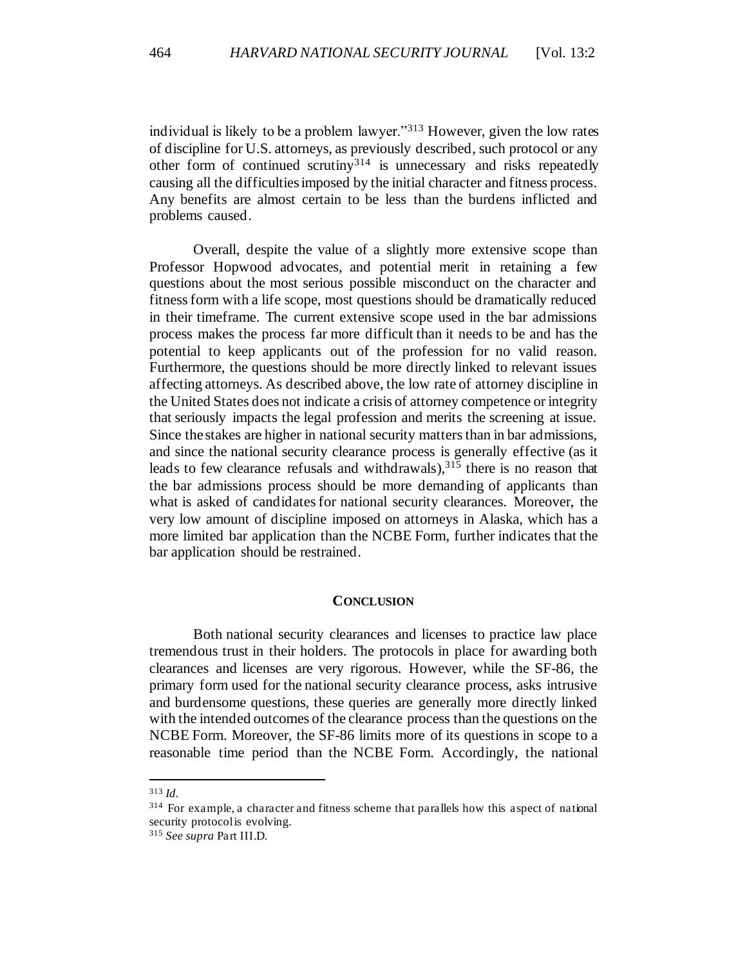individual is likely to be a problem lawyer."<sup>313</sup> However, given the low rates of discipline for U.S. attorneys, as previously described, such protocol or any other form of continued scrutiny<sup>314</sup> is unnecessary and risks repeatedly causing all the difficulties imposed by the initial character and fitness process. Any benefits are almost certain to be less than the burdens inflicted and problems caused.

Overall, despite the value of a slightly more extensive scope than Professor Hopwood advocates, and potential merit in retaining a few questions about the most serious possible misconduct on the character and fitness form with a life scope, most questions should be dramatically reduced in their timeframe. The current extensive scope used in the bar admissions process makes the process far more difficult than it needs to be and has the potential to keep applicants out of the profession for no valid reason. Furthermore, the questions should be more directly linked to relevant issues affecting attorneys. As described above, the low rate of attorney discipline in the United States does not indicate a crisis of attorney competence or integrity that seriously impacts the legal profession and merits the screening at issue. Since the stakes are higher in national security matters than in bar admissions, and since the national security clearance process is generally effective (as it leads to few clearance refusals and withdrawals), <sup>315</sup> there is no reason that the bar admissions process should be more demanding of applicants than what is asked of candidates for national security clearances. Moreover, the very low amount of discipline imposed on attorneys in Alaska, which has a more limited bar application than the NCBE Form, further indicates that the bar application should be restrained.

### **CONCLUSION**

Both national security clearances and licenses to practice law place tremendous trust in their holders. The protocols in place for awarding both clearances and licenses are very rigorous. However, while the SF-86, the primary form used for the national security clearance process, asks intrusive and burdensome questions, these queries are generally more directly linked with the intended outcomes of the clearance process than the questions on the NCBE Form. Moreover, the SF-86 limits more of its questions in scope to a reasonable time period than the NCBE Form. Accordingly, the national

<sup>313</sup> *Id.*

<sup>314</sup> For example, a character and fitness scheme that parallels how this aspect of national security protocol is evolving.

<sup>315</sup> *See supra* Part III.D.